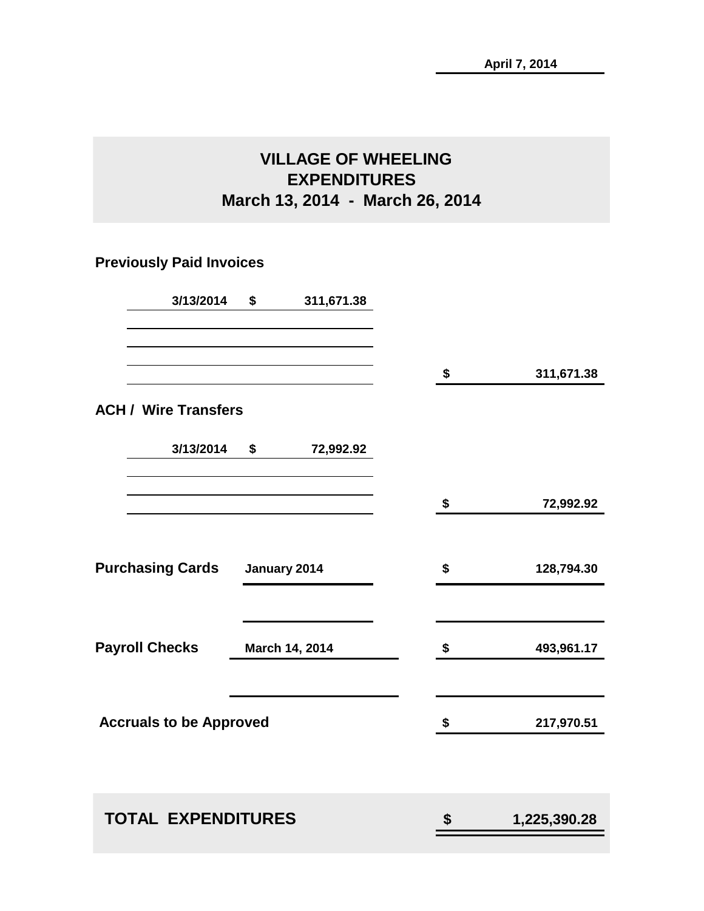## **VILLAGE OF WHEELING EXPENDITURES March 13, 2014 - March 26, 2014**

## **Previously Paid Invoices**

| 3/13/2014                      | \$<br>311,671.38 |                    |
|--------------------------------|------------------|--------------------|
|                                |                  |                    |
|                                |                  | \$<br>311,671.38   |
| <b>ACH / Wire Transfers</b>    |                  |                    |
| 3/13/2014                      | \$<br>72,992.92  |                    |
|                                |                  | \$<br>72,992.92    |
| <b>Purchasing Cards</b>        | January 2014     | \$<br>128,794.30   |
|                                |                  |                    |
| <b>Payroll Checks</b>          | March 14, 2014   | \$<br>493,961.17   |
| <b>Accruals to be Approved</b> |                  | \$<br>217,970.51   |
|                                |                  |                    |
| <b>TOTAL EXPENDITURES</b>      |                  | \$<br>1,225,390.28 |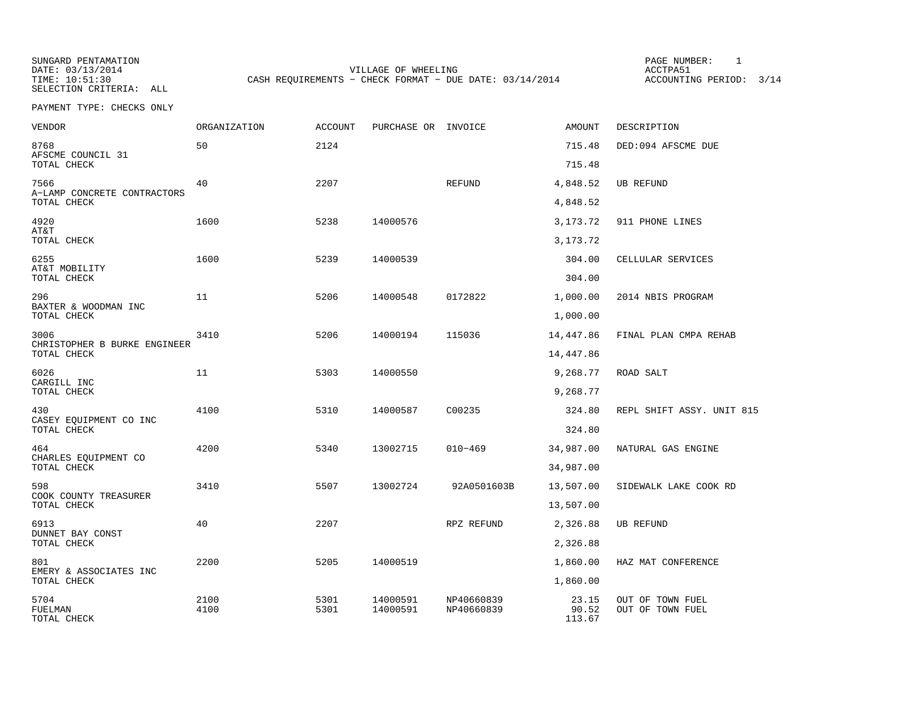VILLAGE OF WHEELING **ACCTPA51** TIME: 10:51:30 CASH REQUIREMENTS - CHECK FORMAT - DUE DATE: 03/14/2014 ACCOUNTING PERIOD: 3/14

PAGE NUMBER: 1

| VENDOR                               | ORGANIZATION | <b>ACCOUNT</b> | PURCHASE OR INVOICE  |                          | <b>AMOUNT</b>  | DESCRIPTION                          |
|--------------------------------------|--------------|----------------|----------------------|--------------------------|----------------|--------------------------------------|
| 8768<br>AFSCME COUNCIL 31            | 50           | 2124           |                      |                          | 715.48         | DED:094 AFSCME DUE                   |
| TOTAL CHECK                          |              |                |                      |                          | 715.48         |                                      |
| 7566<br>A-LAMP CONCRETE CONTRACTORS  | 40           | 2207           |                      | REFUND                   | 4,848.52       | <b>UB REFUND</b>                     |
| TOTAL CHECK                          |              |                |                      |                          | 4,848.52       |                                      |
| 4920<br>AT&T                         | 1600         | 5238           | 14000576             |                          | 3,173.72       | 911 PHONE LINES                      |
| TOTAL CHECK                          |              |                |                      |                          | 3, 173. 72     |                                      |
| 6255                                 | 1600         | 5239           | 14000539             |                          | 304.00         | CELLULAR SERVICES                    |
| AT&T MOBILITY<br>TOTAL CHECK         |              |                |                      |                          | 304.00         |                                      |
| 296<br>BAXTER & WOODMAN INC          | 11           | 5206           | 14000548             | 0172822                  | 1,000.00       | 2014 NBIS PROGRAM                    |
| TOTAL CHECK                          |              |                |                      |                          | 1,000.00       |                                      |
| 3006<br>CHRISTOPHER B BURKE ENGINEER | 3410         | 5206           | 14000194             | 115036                   | 14,447.86      | FINAL PLAN CMPA REHAB                |
| TOTAL CHECK                          |              |                |                      |                          | 14,447.86      |                                      |
| 6026<br>CARGILL INC                  | 11           | 5303           | 14000550             |                          | 9,268.77       | ROAD SALT                            |
| TOTAL CHECK                          |              |                |                      |                          | 9,268.77       |                                      |
| 430<br>CASEY EQUIPMENT CO INC        | 4100         | 5310           | 14000587             | C00235                   | 324.80         | REPL SHIFT ASSY. UNIT 815            |
| TOTAL CHECK                          |              |                |                      |                          | 324.80         |                                      |
| 464<br>CHARLES EQUIPMENT CO          | 4200         | 5340           | 13002715             | $010 - 469$              | 34,987.00      | NATURAL GAS ENGINE                   |
| TOTAL CHECK                          |              |                |                      |                          | 34,987.00      |                                      |
| 598<br>COOK COUNTY TREASURER         | 3410         | 5507           | 13002724             | 92A0501603B              | 13,507.00      | SIDEWALK LAKE COOK RD                |
| TOTAL CHECK                          |              |                |                      |                          | 13,507.00      |                                      |
| 6913<br>DUNNET BAY CONST             | 40           | 2207           |                      | RPZ REFUND               | 2,326.88       | <b>UB REFUND</b>                     |
| TOTAL CHECK                          |              |                |                      |                          | 2,326.88       |                                      |
| 801<br>EMERY & ASSOCIATES INC        | 2200         | 5205           | 14000519             |                          | 1,860.00       | HAZ MAT CONFERENCE                   |
| TOTAL CHECK                          |              |                |                      |                          | 1,860.00       |                                      |
| 5704<br>FUELMAN                      | 2100<br>4100 | 5301<br>5301   | 14000591<br>14000591 | NP40660839<br>NP40660839 | 23.15<br>90.52 | OUT OF TOWN FUEL<br>OUT OF TOWN FUEL |
| TOTAL CHECK                          |              |                |                      |                          | 113.67         |                                      |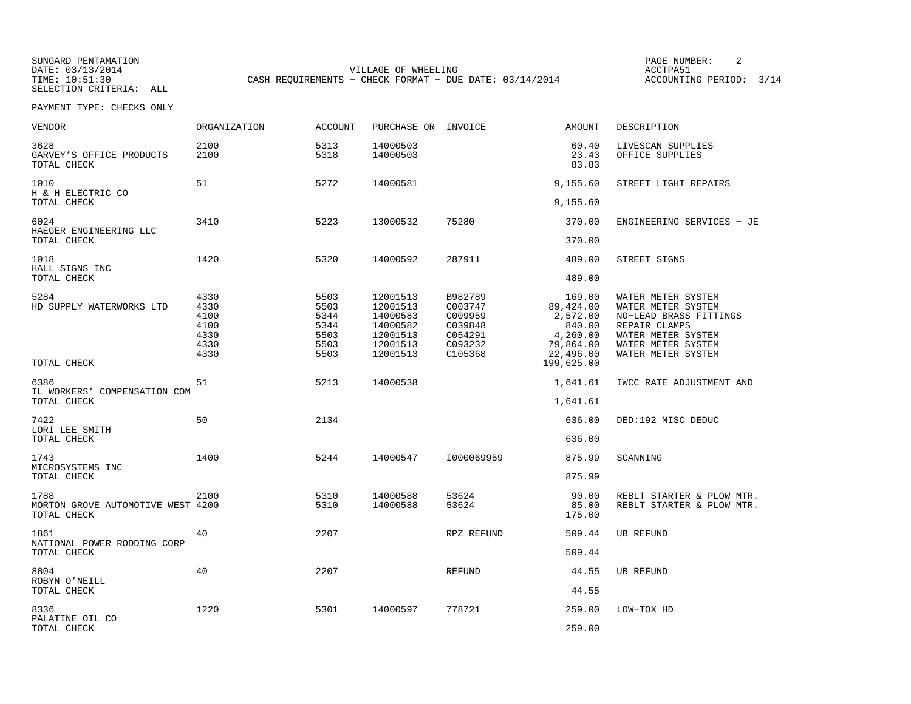VILLAGE OF WHEELING **ACCTPA51** TIME: 10:51:30 CASH REQUIREMENTS - CHECK FORMAT - DUE DATE: 03/14/2014 ACCOUNTING PERIOD: 3/14

PAGE NUMBER: 2

| <b>VENDOR</b>                                            | ORGANIZATION                                         | <b>ACCOUNT</b>                                       | PURCHASE OR INVOICE                                                              |                                                                           | <b>AMOUNT</b>                                                                   | DESCRIPTION                                                                                                                                           |
|----------------------------------------------------------|------------------------------------------------------|------------------------------------------------------|----------------------------------------------------------------------------------|---------------------------------------------------------------------------|---------------------------------------------------------------------------------|-------------------------------------------------------------------------------------------------------------------------------------------------------|
| 3628<br>GARVEY'S OFFICE PRODUCTS<br>TOTAL CHECK          | 2100<br>2100                                         | 5313<br>5318                                         | 14000503<br>14000503                                                             |                                                                           | 60.40<br>23.43<br>83.83                                                         | LIVESCAN SUPPLIES<br>OFFICE SUPPLIES                                                                                                                  |
| 1010<br>H & H ELECTRIC CO                                | 51                                                   | 5272                                                 | 14000581                                                                         |                                                                           | 9,155.60                                                                        | STREET LIGHT REPAIRS                                                                                                                                  |
| TOTAL CHECK                                              |                                                      |                                                      |                                                                                  |                                                                           | 9,155.60                                                                        |                                                                                                                                                       |
| 6024<br>HAEGER ENGINEERING LLC                           | 3410                                                 | 5223                                                 | 13000532                                                                         | 75280                                                                     | 370.00                                                                          | ENGINEERING SERVICES - JE                                                                                                                             |
| TOTAL CHECK                                              |                                                      |                                                      |                                                                                  |                                                                           | 370.00                                                                          |                                                                                                                                                       |
| 1018<br>HALL SIGNS INC                                   | 1420                                                 | 5320                                                 | 14000592                                                                         | 287911                                                                    | 489.00                                                                          | STREET SIGNS                                                                                                                                          |
| TOTAL CHECK                                              |                                                      |                                                      |                                                                                  |                                                                           | 489.00                                                                          |                                                                                                                                                       |
| 5284<br>HD SUPPLY WATERWORKS LTD                         | 4330<br>4330<br>4100<br>4100<br>4330<br>4330<br>4330 | 5503<br>5503<br>5344<br>5344<br>5503<br>5503<br>5503 | 12001513<br>12001513<br>14000583<br>14000582<br>12001513<br>12001513<br>12001513 | B982789<br>C003747<br>C009959<br>C039848<br>C054291<br>C093232<br>C105368 | 169.00<br>89,424.00<br>2,572.00<br>840.00<br>4,260.00<br>79,864.00<br>22,496.00 | WATER METER SYSTEM<br>WATER METER SYSTEM<br>NO-LEAD BRASS FITTINGS<br>REPAIR CLAMPS<br>WATER METER SYSTEM<br>WATER METER SYSTEM<br>WATER METER SYSTEM |
| TOTAL CHECK                                              |                                                      |                                                      |                                                                                  |                                                                           | 199,625.00                                                                      |                                                                                                                                                       |
| 6386<br>IL WORKERS' COMPENSATION COM                     | 51                                                   | 5213                                                 | 14000538                                                                         |                                                                           | 1,641.61                                                                        | IWCC RATE ADJUSTMENT AND                                                                                                                              |
| TOTAL CHECK                                              |                                                      |                                                      |                                                                                  |                                                                           | 1,641.61                                                                        |                                                                                                                                                       |
| 7422<br>LORI LEE SMITH                                   | 50                                                   | 2134                                                 |                                                                                  |                                                                           | 636.00                                                                          | DED:192 MISC DEDUC                                                                                                                                    |
| TOTAL CHECK                                              |                                                      |                                                      |                                                                                  |                                                                           | 636.00                                                                          |                                                                                                                                                       |
| 1743<br>MICROSYSTEMS INC                                 | 1400                                                 | 5244                                                 | 14000547                                                                         | I000069959                                                                | 875.99                                                                          | SCANNING                                                                                                                                              |
| TOTAL CHECK                                              |                                                      |                                                      |                                                                                  |                                                                           | 875.99                                                                          |                                                                                                                                                       |
| 1788<br>MORTON GROVE AUTOMOTIVE WEST 4200<br>TOTAL CHECK | 2100                                                 | 5310<br>5310                                         | 14000588<br>14000588                                                             | 53624<br>53624                                                            | 90.00<br>85.00<br>175.00                                                        | REBLT STARTER & PLOW MTR.<br>REBLT STARTER & PLOW MTR.                                                                                                |
| 1861<br>NATIONAL POWER RODDING CORP                      | 40                                                   | 2207                                                 |                                                                                  | RPZ REFUND                                                                | 509.44                                                                          | UB REFUND                                                                                                                                             |
| TOTAL CHECK                                              |                                                      |                                                      |                                                                                  |                                                                           | 509.44                                                                          |                                                                                                                                                       |
| 8804<br>ROBYN O'NEILL                                    | 40                                                   | 2207                                                 |                                                                                  | REFUND                                                                    | 44.55                                                                           | <b>UB REFUND</b>                                                                                                                                      |
| TOTAL CHECK                                              |                                                      |                                                      |                                                                                  |                                                                           | 44.55                                                                           |                                                                                                                                                       |
| 8336<br>PALATINE OIL CO                                  | 1220                                                 | 5301                                                 | 14000597                                                                         | 778721                                                                    | 259.00                                                                          | LOW-TOX HD                                                                                                                                            |
| TOTAL CHECK                                              |                                                      |                                                      |                                                                                  |                                                                           | 259.00                                                                          |                                                                                                                                                       |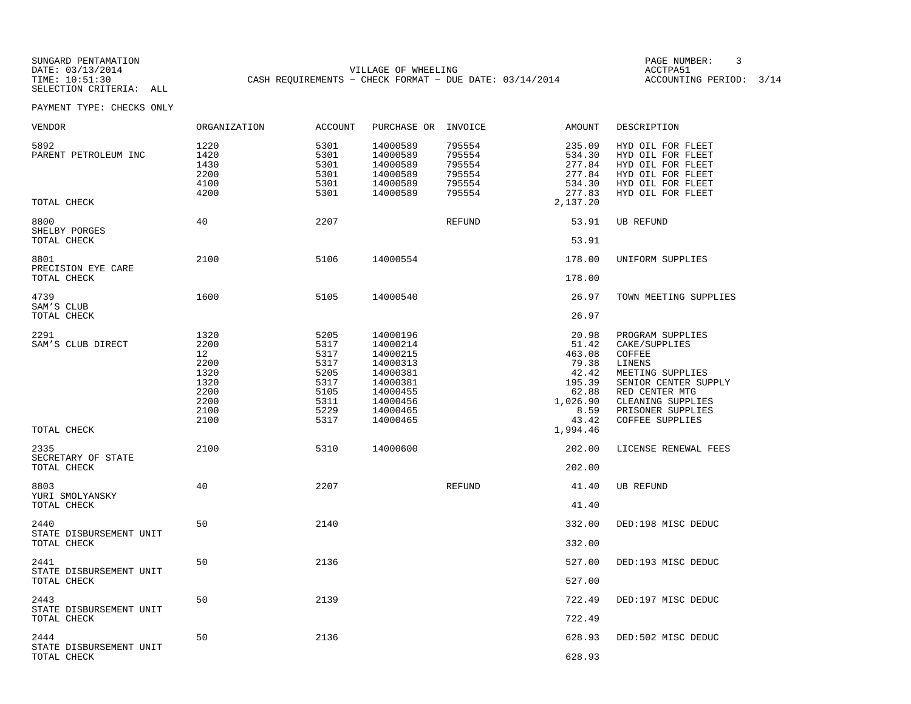VILLAGE OF WHEELING **ACCTPA51** TIME: 10:51:30 CASH REQUIREMENTS - CHECK FORMAT - DUE DATE: 03/14/2014 ACCOUNTING PERIOD: 3/14

PAGE NUMBER: 3

| VENDOR                                    | ORGANIZATION                                                               | <b>ACCOUNT</b>                                                               | PURCHASE OR INVOICE                                                                                                  |                                                          | AMOUNT                                                                                     | DESCRIPTION                                                                                                                                                                             |
|-------------------------------------------|----------------------------------------------------------------------------|------------------------------------------------------------------------------|----------------------------------------------------------------------------------------------------------------------|----------------------------------------------------------|--------------------------------------------------------------------------------------------|-----------------------------------------------------------------------------------------------------------------------------------------------------------------------------------------|
| 5892<br>PARENT PETROLEUM INC              | 1220<br>1420<br>1430<br>2200<br>4100<br>4200                               | 5301<br>5301<br>5301<br>5301<br>5301<br>5301                                 | 14000589<br>14000589<br>14000589<br>14000589<br>14000589<br>14000589                                                 | 795554<br>795554<br>795554<br>795554<br>795554<br>795554 | 235.09<br>534.30<br>277.84<br>277.84<br>534.30<br>277.83                                   | HYD OIL FOR FLEET<br>HYD OIL FOR FLEET<br>HYD OIL FOR FLEET<br>HYD OIL FOR FLEET<br>HYD OIL FOR FLEET<br>HYD OIL FOR FLEET                                                              |
| TOTAL CHECK                               |                                                                            |                                                                              |                                                                                                                      |                                                          | 2,137.20                                                                                   |                                                                                                                                                                                         |
| 8800<br>SHELBY PORGES<br>TOTAL CHECK      | 40                                                                         | 2207                                                                         |                                                                                                                      | REFUND                                                   | 53.91<br>53.91                                                                             | UB REFUND                                                                                                                                                                               |
| 8801<br>PRECISION EYE CARE                | 2100                                                                       | 5106                                                                         | 14000554                                                                                                             |                                                          | 178.00                                                                                     | UNIFORM SUPPLIES                                                                                                                                                                        |
| TOTAL CHECK                               |                                                                            |                                                                              |                                                                                                                      |                                                          | 178.00                                                                                     |                                                                                                                                                                                         |
| 4739<br>SAM'S CLUB                        | 1600                                                                       | 5105                                                                         | 14000540                                                                                                             |                                                          | 26.97                                                                                      | TOWN MEETING SUPPLIES                                                                                                                                                                   |
| TOTAL CHECK                               |                                                                            |                                                                              |                                                                                                                      |                                                          | 26.97                                                                                      |                                                                                                                                                                                         |
| 2291<br>SAM'S CLUB DIRECT                 | 1320<br>2200<br>12<br>2200<br>1320<br>1320<br>2200<br>2200<br>2100<br>2100 | 5205<br>5317<br>5317<br>5317<br>5205<br>5317<br>5105<br>5311<br>5229<br>5317 | 14000196<br>14000214<br>14000215<br>14000313<br>14000381<br>14000381<br>14000455<br>14000456<br>14000465<br>14000465 |                                                          | 20.98<br>51.42<br>463.08<br>79.38<br>42.42<br>195.39<br>62.88<br>1,026.90<br>8.59<br>43.42 | PROGRAM SUPPLIES<br>CAKE/SUPPLIES<br>COFFEE<br>LINENS<br>MEETING SUPPLIES<br>SENIOR CENTER SUPPLY<br>RED CENTER MTG<br>CLEANING SUPPLIES<br>PRISONER SUPPLIES<br><b>COFFEE SUPPLIES</b> |
| TOTAL CHECK                               |                                                                            |                                                                              |                                                                                                                      |                                                          | 1,994.46                                                                                   |                                                                                                                                                                                         |
| 2335<br>SECRETARY OF STATE<br>TOTAL CHECK | 2100                                                                       | 5310                                                                         | 14000600                                                                                                             |                                                          | 202.00<br>202.00                                                                           | LICENSE RENEWAL FEES                                                                                                                                                                    |
| 8803                                      | 40                                                                         | 2207                                                                         |                                                                                                                      | REFUND                                                   | 41.40                                                                                      | UB REFUND                                                                                                                                                                               |
| YURI SMOLYANSKY<br>TOTAL CHECK            |                                                                            |                                                                              |                                                                                                                      |                                                          | 41.40                                                                                      |                                                                                                                                                                                         |
| 2440                                      | 50                                                                         | 2140                                                                         |                                                                                                                      |                                                          | 332.00                                                                                     | DED:198 MISC DEDUC                                                                                                                                                                      |
| STATE DISBURSEMENT UNIT<br>TOTAL CHECK    |                                                                            |                                                                              |                                                                                                                      |                                                          | 332.00                                                                                     |                                                                                                                                                                                         |
| 2441                                      | 50                                                                         | 2136                                                                         |                                                                                                                      |                                                          | 527.00                                                                                     | DED:193 MISC DEDUC                                                                                                                                                                      |
| STATE DISBURSEMENT UNIT<br>TOTAL CHECK    |                                                                            |                                                                              |                                                                                                                      |                                                          | 527.00                                                                                     |                                                                                                                                                                                         |
| 2443                                      | 50                                                                         | 2139                                                                         |                                                                                                                      |                                                          | 722.49                                                                                     | DED:197 MISC DEDUC                                                                                                                                                                      |
| STATE DISBURSEMENT UNIT<br>TOTAL CHECK    |                                                                            |                                                                              |                                                                                                                      |                                                          | 722.49                                                                                     |                                                                                                                                                                                         |
| 2444                                      | 50                                                                         | 2136                                                                         |                                                                                                                      |                                                          | 628.93                                                                                     | DED:502 MISC DEDUC                                                                                                                                                                      |
| STATE DISBURSEMENT UNIT<br>TOTAL CHECK    |                                                                            |                                                                              |                                                                                                                      |                                                          | 628.93                                                                                     |                                                                                                                                                                                         |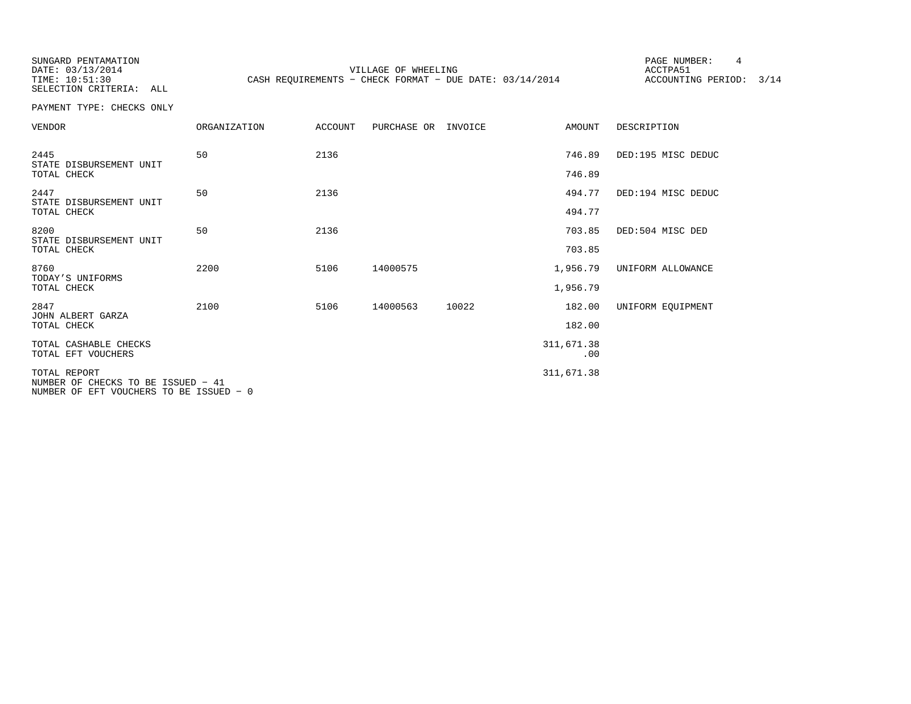SUNGARD PENTAMATION SELECTION CRITERIA: ALL

DATE: 03/13/2014 VILLAGE OF WHEELING ACCTPA51 TIME: 10:51:30 CASH REQUIREMENTS - CHECK FORMAT - DUE DATE: 03/14/2014 ACCOUNTING PERIOD: 3/14

PAGE NUMBER: 4

| <b>VENDOR</b>                                                                                 | ORGANIZATION | <b>ACCOUNT</b> | PURCHASE OR | INVOICE | <b>AMOUNT</b>     | DESCRIPTION        |
|-----------------------------------------------------------------------------------------------|--------------|----------------|-------------|---------|-------------------|--------------------|
| 2445<br>STATE DISBURSEMENT UNIT                                                               | 50           | 2136           |             |         | 746.89            | DED:195 MISC DEDUC |
| TOTAL CHECK                                                                                   |              |                |             |         | 746.89            |                    |
| 2447<br>STATE DISBURSEMENT UNIT                                                               | 50           | 2136           |             |         | 494.77            | DED:194 MISC DEDUC |
| TOTAL CHECK                                                                                   |              |                |             |         | 494.77            |                    |
| 8200<br>STATE DISBURSEMENT UNIT                                                               | 50           | 2136           |             |         | 703.85            | DED:504 MISC DED   |
| TOTAL CHECK                                                                                   |              |                |             |         | 703.85            |                    |
| 8760<br>TODAY'S UNIFORMS                                                                      | 2200         | 5106           | 14000575    |         | 1,956.79          | UNIFORM ALLOWANCE  |
| TOTAL CHECK                                                                                   |              |                |             |         | 1,956.79          |                    |
| 2847<br>JOHN ALBERT GARZA                                                                     | 2100         | 5106           | 14000563    | 10022   | 182.00            | UNIFORM EOUIPMENT  |
| TOTAL CHECK                                                                                   |              |                |             |         | 182.00            |                    |
| TOTAL CASHABLE CHECKS<br>TOTAL EFT VOUCHERS                                                   |              |                |             |         | 311,671.38<br>.00 |                    |
| TOTAL REPORT<br>NUMBER OF CHECKS TO BE ISSUED - 41<br>NUMBER OF EFT VOUCHERS TO BE ISSUED - 0 |              |                |             |         | 311,671.38        |                    |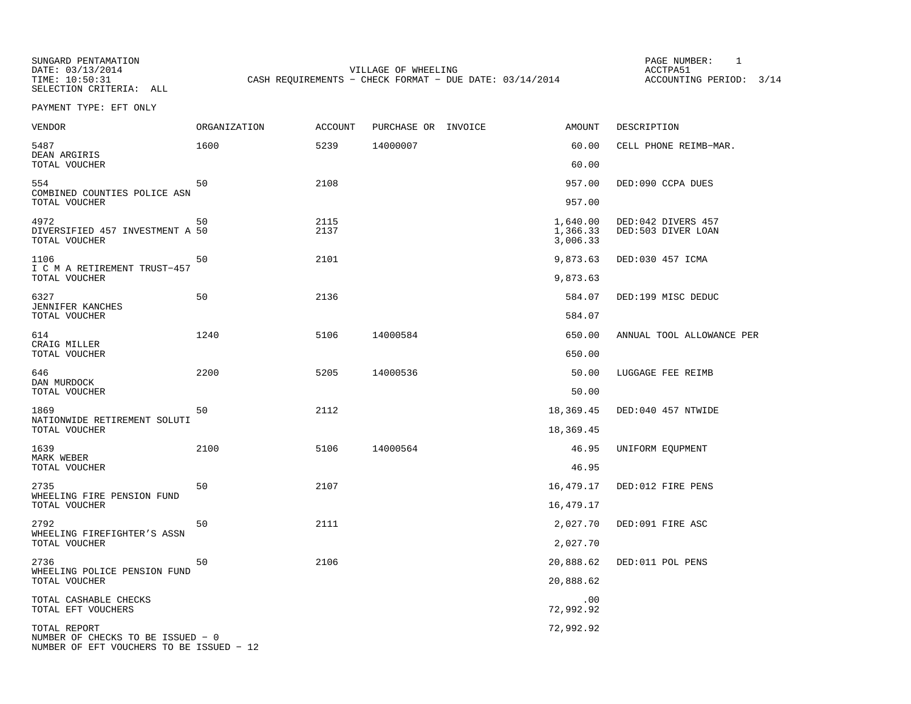DATE: 03/13/2014 VILLAGE OF WHEELING ACCTPA51 CASH REQUIREMENTS - CHECK FORMAT - DUE DATE: 03/14/2014 ACCOUNTING PERIOD: 3/14

PAGE NUMBER: 1

PAYMENT TYPE: EFT ONLY

| <b>VENDOR</b>                                            | ORGANIZATION | <b>ACCOUNT</b> | PURCHASE OR INVOICE | <b>AMOUNT</b>                    | DESCRIPTION                              |
|----------------------------------------------------------|--------------|----------------|---------------------|----------------------------------|------------------------------------------|
| 5487<br>DEAN ARGIRIS                                     | 1600         | 5239           | 14000007            | 60.00                            | CELL PHONE REIMB-MAR.                    |
| TOTAL VOUCHER                                            |              |                |                     | 60.00                            |                                          |
| 554<br>COMBINED COUNTIES POLICE ASN<br>TOTAL VOUCHER     | 50           | 2108           |                     | 957.00<br>957.00                 | DED:090 CCPA DUES                        |
|                                                          |              |                |                     |                                  |                                          |
| 4972<br>DIVERSIFIED 457 INVESTMENT A 50<br>TOTAL VOUCHER | 50           | 2115<br>2137   |                     | 1,640.00<br>1,366.33<br>3,006.33 | DED:042 DIVERS 457<br>DED:503 DIVER LOAN |
| 1106<br>I C M A RETIREMENT TRUST-457                     | 50           | 2101           |                     | 9,873.63                         | DED:030 457 ICMA                         |
| TOTAL VOUCHER                                            |              |                |                     | 9,873.63                         |                                          |
| 6327<br><b>JENNIFER KANCHES</b>                          | 50           | 2136           |                     | 584.07                           | DED:199 MISC DEDUC                       |
| TOTAL VOUCHER                                            |              |                |                     | 584.07                           |                                          |
| 614<br>CRAIG MILLER                                      | 1240         | 5106           | 14000584            | 650.00                           | ANNUAL TOOL ALLOWANCE PER                |
| TOTAL VOUCHER                                            |              |                |                     | 650.00                           |                                          |
| 646<br>DAN MURDOCK                                       | 2200         | 5205           | 14000536            | 50.00                            | LUGGAGE FEE REIMB                        |
| TOTAL VOUCHER                                            |              |                |                     | 50.00                            |                                          |
| 1869<br>NATIONWIDE RETIREMENT SOLUTI                     | 50           | 2112           |                     | 18,369.45                        | DED:040 457 NTWIDE                       |
| TOTAL VOUCHER                                            |              |                |                     | 18,369.45                        |                                          |
| 1639<br>MARK WEBER                                       | 2100         | 5106           | 14000564            | 46.95                            | UNIFORM EQUPMENT                         |
| TOTAL VOUCHER                                            |              |                |                     | 46.95                            |                                          |
| 2735<br>WHEELING FIRE PENSION FUND                       | 50           | 2107           |                     | 16,479.17                        | DED:012 FIRE PENS                        |
| TOTAL VOUCHER                                            |              |                |                     | 16,479.17                        |                                          |
| 2792<br>WHEELING FIREFIGHTER'S ASSN                      | 50           | 2111           |                     | 2,027.70                         | DED:091 FIRE ASC                         |
| TOTAL VOUCHER                                            |              |                |                     | 2,027.70                         |                                          |
| 2736<br>WHEELING POLICE PENSION FUND                     | 50           | 2106           |                     | 20,888.62                        | DED:011 POL PENS                         |
| TOTAL VOUCHER                                            |              |                |                     | 20,888.62                        |                                          |
| TOTAL CASHABLE CHECKS<br>TOTAL EFT VOUCHERS              |              |                |                     | .00<br>72,992.92                 |                                          |
| TOTAL REPORT<br>NUMBER OF CHECKS TO BE ISSUED - 0        |              |                |                     | 72,992.92                        |                                          |
| NUMBER OF EFT VOUCHERS TO BE ISSUED - 12                 |              |                |                     |                                  |                                          |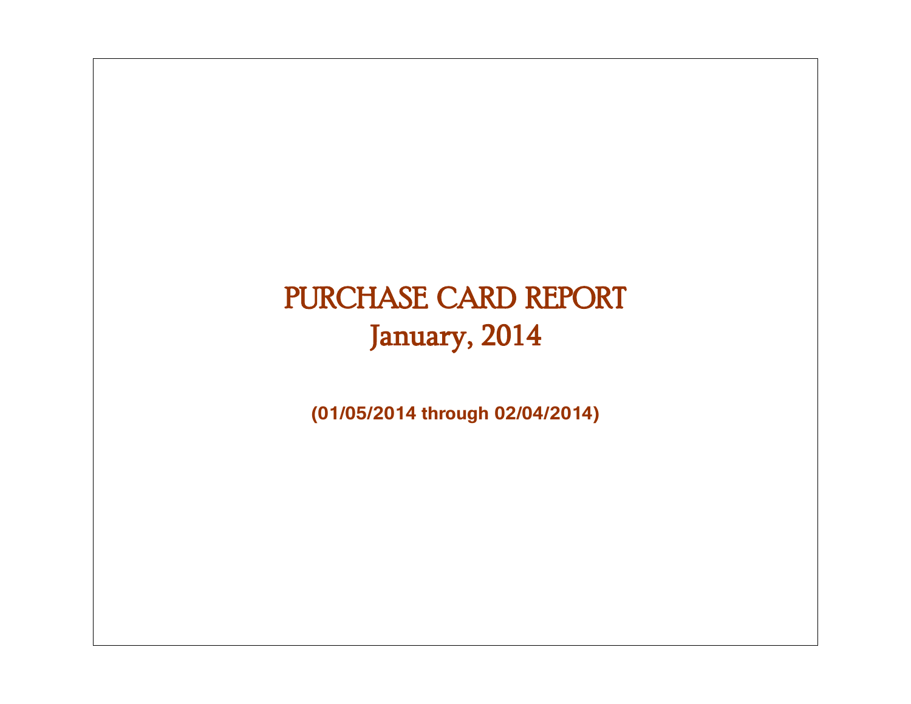# PURCHASE CARD REPORT January, 2014

**(01/05/2014 through 02/04/2014)**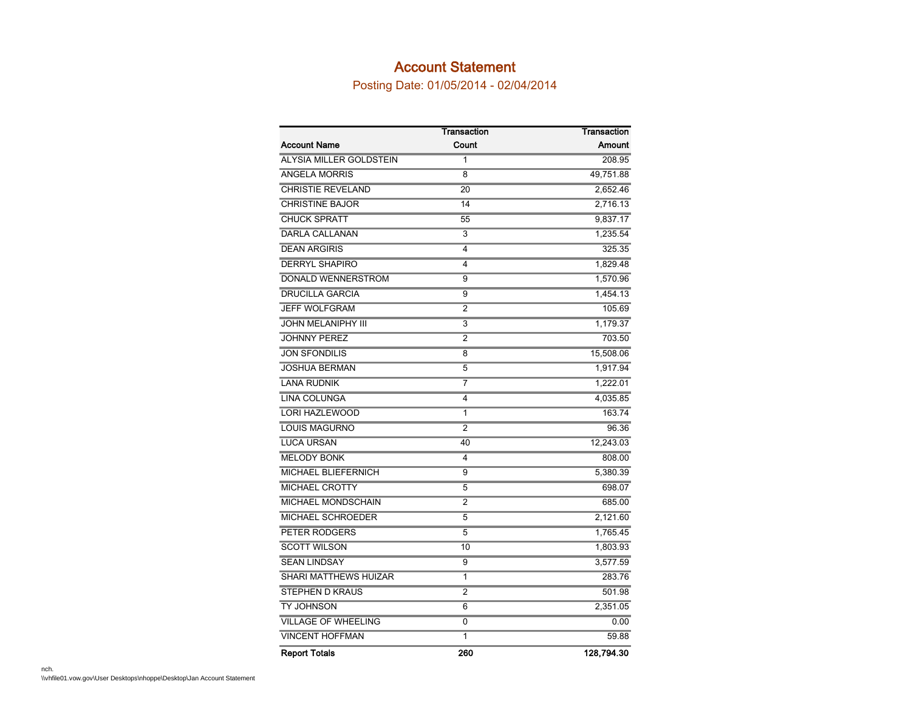#### Account Statement

Posting Date: 01/05/2014 - 02/04/2014

|                              | Transaction    | Transaction |
|------------------------------|----------------|-------------|
| <b>Account Name</b>          | Count          | Amount      |
| ALYSIA MILLER GOLDSTEIN      | 1              | 208.95      |
| <b>ANGELA MORRIS</b>         | 8              | 49,751.88   |
| <b>CHRISTIE REVELAND</b>     | 20             | 2,652.46    |
| <b>CHRISTINE BAJOR</b>       | 14             | 2,716.13    |
| <b>CHUCK SPRATT</b>          | 55             | 9,837.17    |
| <b>DARLA CALLANAN</b>        | 3              | 1,235.54    |
| <b>DEAN ARGIRIS</b>          | 4              | 325.35      |
| <b>DERRYL SHAPIRO</b>        | 4              | 1,829.48    |
| DONALD WENNERSTROM           | 9              | 1,570.96    |
| <b>DRUCILLA GARCIA</b>       | 9              | 1,454.13    |
| <b>JEFF WOLFGRAM</b>         | 2              | 105.69      |
| <b>JOHN MELANIPHY III</b>    | 3              | 1,179.37    |
| <b>JOHNNY PEREZ</b>          | 2              | 703.50      |
| <b>JON SFONDILIS</b>         | 8              | 15,508.06   |
| <b>JOSHUA BERMAN</b>         | 5              | 1,917.94    |
| <b>LANA RUDNIK</b>           | 7              | 1,222.01    |
| LINA COLUNGA                 | 4              | 4,035.85    |
| <b>LORI HAZLEWOOD</b>        | 1              | 163.74      |
| <b>LOUIS MAGURNO</b>         | $\overline{2}$ | 96.36       |
| <b>LUCA URSAN</b>            | 40             | 12,243.03   |
| <b>MELODY BONK</b>           | 4              | 808.00      |
| MICHAEL BLIEFERNICH          | 9              | 5,380.39    |
| <b>MICHAEL CROTTY</b>        | 5              | 698.07      |
| MICHAEL MONDSCHAIN           | 2              | 685.00      |
| MICHAEL SCHROEDER            | 5              | 2,121.60    |
| PETER RODGERS                | 5              | 1,765.45    |
| <b>SCOTT WILSON</b>          | 10             | 1,803.93    |
| <b>SEAN LINDSAY</b>          | 9              | 3,577.59    |
| <b>SHARI MATTHEWS HUIZAR</b> | 1              | 283.76      |
| <b>STEPHEN D KRAUS</b>       | $\overline{2}$ | 501.98      |
| <b>TY JOHNSON</b>            | 6              | 2,351.05    |
| <b>VILLAGE OF WHEELING</b>   | 0              | 0.00        |
| <b>VINCENT HOFFMAN</b>       | 1              | 59.88       |
| <b>Report Totals</b>         | 260            | 128.794.30  |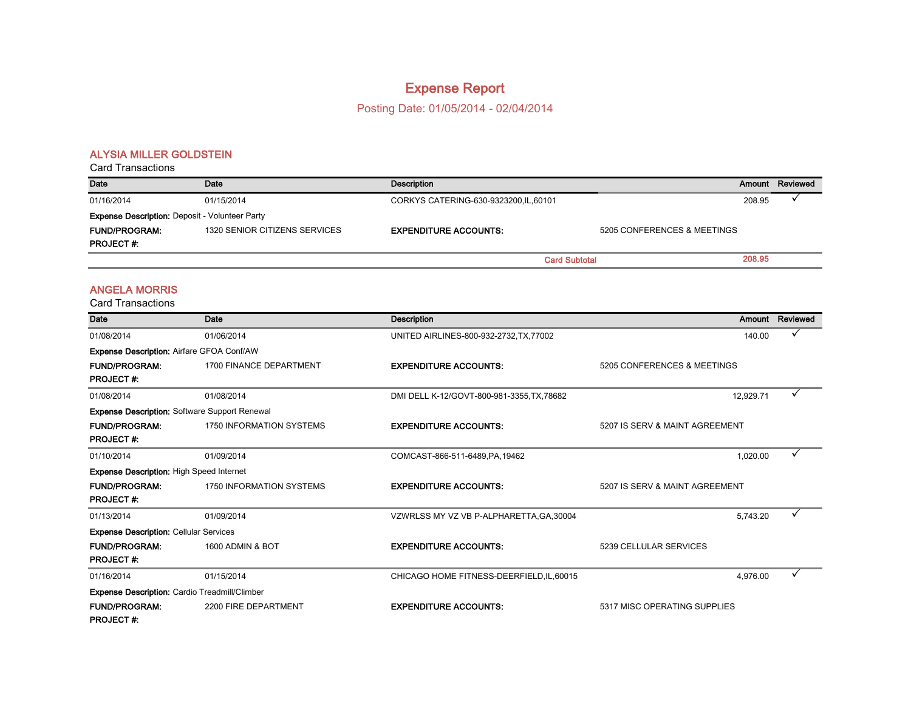### Expense Report

Posting Date: 01/05/2014 - 02/04/2014

#### ALYSIA MILLER GOLDSTEIN

| <b>Card Transactions</b>                              |                               |                                        |                             |        |          |
|-------------------------------------------------------|-------------------------------|----------------------------------------|-----------------------------|--------|----------|
| Date                                                  | Date                          | Description                            |                             | Amount | Reviewed |
| 01/16/2014                                            | 01/15/2014                    | CORKYS CATERING-630-9323200, IL, 60101 |                             | 208.95 |          |
| <b>Expense Description: Deposit - Volunteer Party</b> |                               |                                        |                             |        |          |
| <b>FUND/PROGRAM:</b>                                  | 1320 SENIOR CITIZENS SERVICES | <b>EXPENDITURE ACCOUNTS:</b>           | 5205 CONFERENCES & MEETINGS |        |          |
| <b>PROJECT#:</b>                                      |                               |                                        |                             |        |          |
|                                                       |                               |                                        | <b>Card Subtotal</b>        | 208.95 |          |

#### ANGELA MORRIS

| Date                                                 | Date                            | Description                                |                                | Amount Reviewed |
|------------------------------------------------------|---------------------------------|--------------------------------------------|--------------------------------|-----------------|
| 01/08/2014                                           | 01/06/2014                      | UNITED AIRLINES-800-932-2732, TX, 77002    | 140.00                         |                 |
| <b>Expense Description: Airfare GFOA Conf/AW</b>     |                                 |                                            |                                |                 |
| <b>FUND/PROGRAM:</b><br><b>PROJECT#:</b>             | 1700 FINANCE DEPARTMENT         | <b>EXPENDITURE ACCOUNTS:</b>               | 5205 CONFERENCES & MEETINGS    |                 |
| 01/08/2014                                           | 01/08/2014                      | DMI DELL K-12/GOVT-800-981-3355, TX, 78682 | 12,929.71                      |                 |
| <b>Expense Description: Software Support Renewal</b> |                                 |                                            |                                |                 |
| <b>FUND/PROGRAM:</b><br><b>PROJECT#:</b>             | <b>1750 INFORMATION SYSTEMS</b> | <b>EXPENDITURE ACCOUNTS:</b>               | 5207 IS SERV & MAINT AGREEMENT |                 |
| 01/10/2014                                           | 01/09/2014                      | COMCAST-866-511-6489, PA, 19462            | 1,020.00                       |                 |
| <b>Expense Description: High Speed Internet</b>      |                                 |                                            |                                |                 |
| <b>FUND/PROGRAM:</b><br><b>PROJECT#:</b>             | <b>1750 INFORMATION SYSTEMS</b> | <b>EXPENDITURE ACCOUNTS:</b>               | 5207 IS SERV & MAINT AGREEMENT |                 |
| 01/13/2014                                           | 01/09/2014                      | VZWRLSS MY VZ VB P-ALPHARETTA, GA, 30004   | 5.743.20                       |                 |
| <b>Expense Description: Cellular Services</b>        |                                 |                                            |                                |                 |
| <b>FUND/PROGRAM:</b><br><b>PROJECT#:</b>             | 1600 ADMIN & BOT                | <b>EXPENDITURE ACCOUNTS:</b>               | 5239 CELLULAR SERVICES         |                 |
| 01/16/2014                                           | 01/15/2014                      | CHICAGO HOME FITNESS-DEERFIELD, IL, 60015  | 4,976.00                       | ✓               |
| <b>Expense Description: Cardio Treadmill/Climber</b> |                                 |                                            |                                |                 |
| <b>FUND/PROGRAM:</b><br><b>PROJECT#:</b>             | 2200 FIRE DEPARTMENT            | <b>EXPENDITURE ACCOUNTS:</b>               | 5317 MISC OPERATING SUPPLIES   |                 |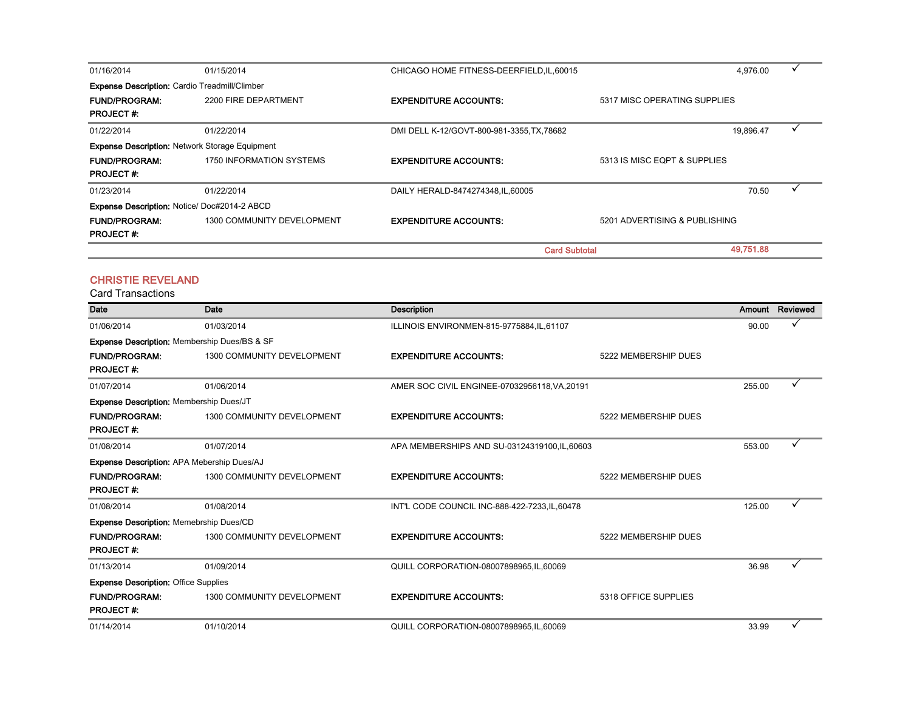| 01/16/2014                                           | 01/15/2014                                            | CHICAGO HOME FITNESS-DEERFIELD, IL, 60015  |                               | 4,976.00  |  |
|------------------------------------------------------|-------------------------------------------------------|--------------------------------------------|-------------------------------|-----------|--|
| <b>Expense Description:</b> Cardio Treadmill/Climber |                                                       |                                            |                               |           |  |
| <b>FUND/PROGRAM:</b>                                 | 2200 FIRE DEPARTMENT                                  | <b>EXPENDITURE ACCOUNTS:</b>               | 5317 MISC OPERATING SUPPLIES  |           |  |
| <b>PROJECT#:</b>                                     |                                                       |                                            |                               |           |  |
| 01/22/2014                                           | 01/22/2014                                            | DMI DELL K-12/GOVT-800-981-3355, TX, 78682 |                               | 19,896.47 |  |
|                                                      | <b>Expense Description: Network Storage Equipment</b> |                                            |                               |           |  |
| <b>FUND/PROGRAM:</b>                                 | 1750 INFORMATION SYSTEMS                              | <b>EXPENDITURE ACCOUNTS:</b>               | 5313 IS MISC EQPT & SUPPLIES  |           |  |
| <b>PROJECT#:</b>                                     |                                                       |                                            |                               |           |  |
| 01/23/2014                                           | 01/22/2014                                            | DAILY HERALD-8474274348.IL.60005           |                               | 70.50     |  |
| <b>Expense Description: Notice/ Doc#2014-2 ABCD</b>  |                                                       |                                            |                               |           |  |
| <b>FUND/PROGRAM:</b>                                 | 1300 COMMUNITY DEVELOPMENT                            | <b>EXPENDITURE ACCOUNTS:</b>               | 5201 ADVERTISING & PUBLISHING |           |  |
| <b>PROJECT#:</b>                                     |                                                       |                                            |                               |           |  |
|                                                      |                                                       | <b>Card Subtotal</b>                       |                               | 49,751.88 |  |

#### CHRISTIE REVELAND

| <b>Date</b>                                         | Date                              | <b>Description</b>                             |                      | Amount | Reviewed |
|-----------------------------------------------------|-----------------------------------|------------------------------------------------|----------------------|--------|----------|
| 01/06/2014                                          | 01/03/2014                        | ILLINOIS ENVIRONMEN-815-9775884, IL, 61107     |                      | 90.00  |          |
| <b>Expense Description:</b> Membership Dues/BS & SF |                                   |                                                |                      |        |          |
| <b>FUND/PROGRAM:</b><br><b>PROJECT#:</b>            | 1300 COMMUNITY DEVELOPMENT        | <b>EXPENDITURE ACCOUNTS:</b>                   | 5222 MEMBERSHIP DUES |        |          |
| 01/07/2014                                          | 01/06/2014                        | AMER SOC CIVIL ENGINEE-07032956118, VA, 20191  |                      | 255.00 |          |
| <b>Expense Description: Membership Dues/JT</b>      |                                   |                                                |                      |        |          |
| <b>FUND/PROGRAM:</b><br><b>PROJECT#:</b>            | 1300 COMMUNITY DEVELOPMENT        | <b>EXPENDITURE ACCOUNTS:</b>                   | 5222 MEMBERSHIP DUES |        |          |
| 01/08/2014                                          | 01/07/2014                        | APA MEMBERSHIPS AND SU-03124319100, IL, 60603  |                      | 553.00 |          |
| <b>Expense Description: APA Mebership Dues/AJ</b>   |                                   |                                                |                      |        |          |
| <b>FUND/PROGRAM:</b><br><b>PROJECT#:</b>            | 1300 COMMUNITY DEVELOPMENT        | <b>EXPENDITURE ACCOUNTS:</b>                   | 5222 MEMBERSHIP DUES |        |          |
| 01/08/2014                                          | 01/08/2014                        | INT'L CODE COUNCIL INC-888-422-7233, IL, 60478 |                      | 125.00 | ✓        |
| <b>Expense Description: Memebrship Dues/CD</b>      |                                   |                                                |                      |        |          |
| <b>FUND/PROGRAM:</b><br><b>PROJECT#:</b>            | 1300 COMMUNITY DEVELOPMENT        | <b>EXPENDITURE ACCOUNTS:</b>                   | 5222 MEMBERSHIP DUES |        |          |
| 01/13/2014                                          | 01/09/2014                        | QUILL CORPORATION-08007898965, IL, 60069       |                      | 36.98  |          |
| <b>Expense Description: Office Supplies</b>         |                                   |                                                |                      |        |          |
| <b>FUND/PROGRAM:</b><br><b>PROJECT#:</b>            | <b>1300 COMMUNITY DEVELOPMENT</b> | <b>EXPENDITURE ACCOUNTS:</b>                   | 5318 OFFICE SUPPLIES |        |          |
| 01/14/2014                                          | 01/10/2014                        | QUILL CORPORATION-08007898965, IL, 60069       |                      | 33.99  |          |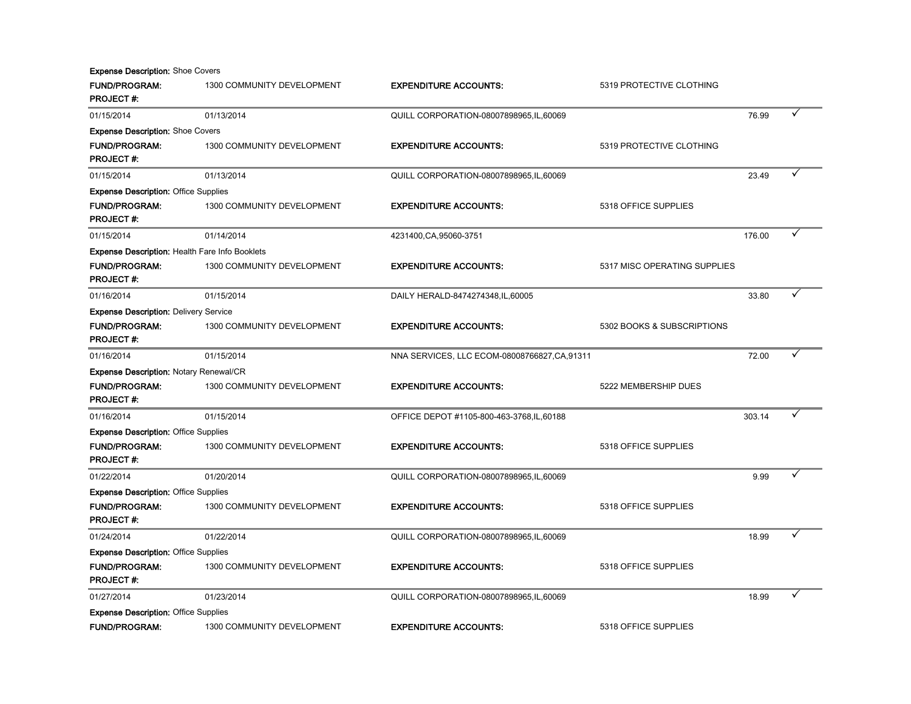| <b>Expense Description: Shoe Covers</b>               |                            |                                               |                              |        |  |
|-------------------------------------------------------|----------------------------|-----------------------------------------------|------------------------------|--------|--|
| <b>FUND/PROGRAM:</b><br><b>PROJECT#:</b>              | 1300 COMMUNITY DEVELOPMENT | <b>EXPENDITURE ACCOUNTS:</b>                  | 5319 PROTECTIVE CLOTHING     |        |  |
| 01/15/2014                                            | 01/13/2014                 | QUILL CORPORATION-08007898965,IL,60069        |                              | 76.99  |  |
| <b>Expense Description: Shoe Covers</b>               |                            |                                               |                              |        |  |
| <b>FUND/PROGRAM:</b><br><b>PROJECT#:</b>              | 1300 COMMUNITY DEVELOPMENT | <b>EXPENDITURE ACCOUNTS:</b>                  | 5319 PROTECTIVE CLOTHING     |        |  |
| 01/15/2014                                            | 01/13/2014                 | QUILL CORPORATION-08007898965, IL, 60069      |                              | 23.49  |  |
| <b>Expense Description: Office Supplies</b>           |                            |                                               |                              |        |  |
| <b>FUND/PROGRAM:</b><br><b>PROJECT#:</b>              | 1300 COMMUNITY DEVELOPMENT | <b>EXPENDITURE ACCOUNTS:</b>                  | 5318 OFFICE SUPPLIES         |        |  |
| 01/15/2014                                            | 01/14/2014                 | 4231400, CA, 95060-3751                       |                              | 176.00 |  |
| <b>Expense Description: Health Fare Info Booklets</b> |                            |                                               |                              |        |  |
| <b>FUND/PROGRAM:</b><br><b>PROJECT#:</b>              | 1300 COMMUNITY DEVELOPMENT | <b>EXPENDITURE ACCOUNTS:</b>                  | 5317 MISC OPERATING SUPPLIES |        |  |
| 01/16/2014                                            | 01/15/2014                 | DAILY HERALD-8474274348, IL, 60005            |                              | 33.80  |  |
| <b>Expense Description: Delivery Service</b>          |                            |                                               |                              |        |  |
| <b>FUND/PROGRAM:</b><br><b>PROJECT#:</b>              | 1300 COMMUNITY DEVELOPMENT | <b>EXPENDITURE ACCOUNTS:</b>                  | 5302 BOOKS & SUBSCRIPTIONS   |        |  |
| 01/16/2014                                            | 01/15/2014                 | NNA SERVICES, LLC ECOM-08008766827, CA, 91311 |                              | 72.00  |  |
| <b>Expense Description: Notary Renewal/CR</b>         |                            |                                               |                              |        |  |
| <b>FUND/PROGRAM:</b><br><b>PROJECT#:</b>              | 1300 COMMUNITY DEVELOPMENT | <b>EXPENDITURE ACCOUNTS:</b>                  | 5222 MEMBERSHIP DUES         |        |  |
| 01/16/2014                                            | 01/15/2014                 | OFFICE DEPOT #1105-800-463-3768, IL, 60188    |                              | 303.14 |  |
| <b>Expense Description: Office Supplies</b>           |                            |                                               |                              |        |  |
| <b>FUND/PROGRAM:</b><br><b>PROJECT#:</b>              | 1300 COMMUNITY DEVELOPMENT | <b>EXPENDITURE ACCOUNTS:</b>                  | 5318 OFFICE SUPPLIES         |        |  |
| 01/22/2014                                            | 01/20/2014                 | QUILL CORPORATION-08007898965,IL,60069        |                              | 9.99   |  |
| <b>Expense Description: Office Supplies</b>           |                            |                                               |                              |        |  |
| <b>FUND/PROGRAM:</b><br><b>PROJECT#:</b>              | 1300 COMMUNITY DEVELOPMENT | <b>EXPENDITURE ACCOUNTS:</b>                  | 5318 OFFICE SUPPLIES         |        |  |
| 01/24/2014                                            | 01/22/2014                 | QUILL CORPORATION-08007898965,IL,60069        |                              | 18.99  |  |
| <b>Expense Description: Office Supplies</b>           |                            |                                               |                              |        |  |
| <b>FUND/PROGRAM:</b><br><b>PROJECT#:</b>              | 1300 COMMUNITY DEVELOPMENT | <b>EXPENDITURE ACCOUNTS:</b>                  | 5318 OFFICE SUPPLIES         |        |  |
| 01/27/2014                                            | 01/23/2014                 | QUILL CORPORATION-08007898965,IL,60069        |                              | 18.99  |  |
| <b>Expense Description: Office Supplies</b>           |                            |                                               |                              |        |  |
| <b>FUND/PROGRAM:</b>                                  | 1300 COMMUNITY DEVELOPMENT | <b>EXPENDITURE ACCOUNTS:</b>                  | 5318 OFFICE SUPPLIES         |        |  |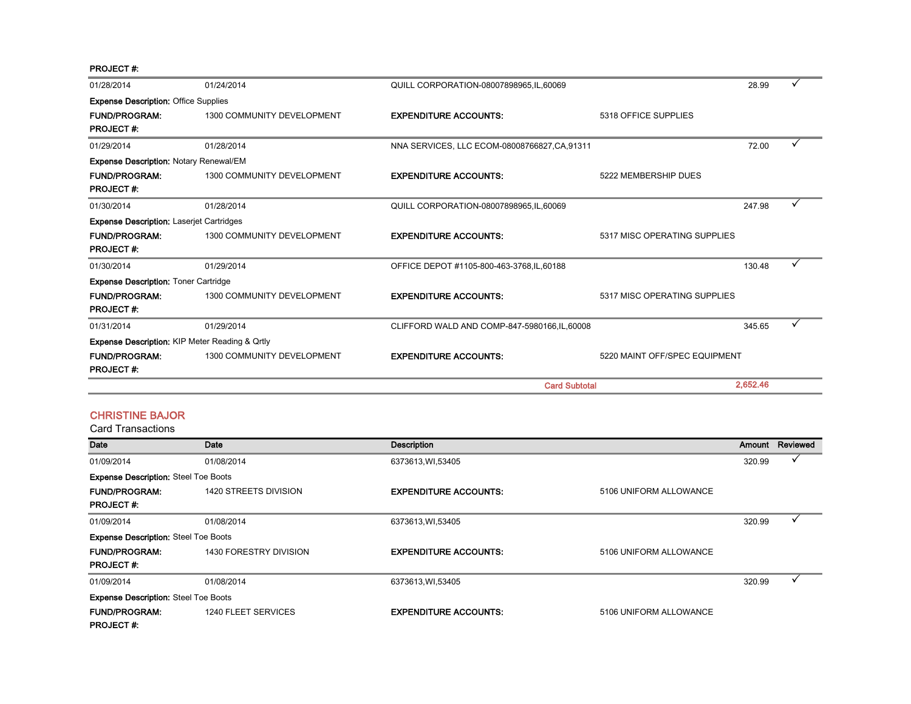PROJECT #:

| 01/28/2014                                                | 01/24/2014                 | QUILL CORPORATION-08007898965, IL, 60069      |                               | 28.99    |  |
|-----------------------------------------------------------|----------------------------|-----------------------------------------------|-------------------------------|----------|--|
| <b>Expense Description: Office Supplies</b>               |                            |                                               |                               |          |  |
| <b>FUND/PROGRAM:</b><br><b>PROJECT#:</b>                  | 1300 COMMUNITY DEVELOPMENT | <b>EXPENDITURE ACCOUNTS:</b>                  | 5318 OFFICE SUPPLIES          |          |  |
| 01/29/2014                                                | 01/28/2014                 | NNA SERVICES, LLC ECOM-08008766827, CA, 91311 |                               | 72.00    |  |
| <b>Expense Description: Notary Renewal/EM</b>             |                            |                                               |                               |          |  |
| <b>FUND/PROGRAM:</b><br><b>PROJECT#:</b>                  | 1300 COMMUNITY DEVELOPMENT | <b>EXPENDITURE ACCOUNTS:</b>                  | 5222 MEMBERSHIP DUES          |          |  |
| 01/30/2014                                                | 01/28/2014                 | QUILL CORPORATION-08007898965,IL,60069        |                               | 247.98   |  |
| <b>Expense Description: Laserjet Cartridges</b>           |                            |                                               |                               |          |  |
| <b>FUND/PROGRAM:</b><br><b>PROJECT#:</b>                  | 1300 COMMUNITY DEVELOPMENT | <b>EXPENDITURE ACCOUNTS:</b>                  | 5317 MISC OPERATING SUPPLIES  |          |  |
| 01/30/2014                                                | 01/29/2014                 | OFFICE DEPOT #1105-800-463-3768, IL, 60188    |                               | 130.48   |  |
| <b>Expense Description: Toner Cartridge</b>               |                            |                                               |                               |          |  |
| <b>FUND/PROGRAM:</b><br><b>PROJECT#:</b>                  | 1300 COMMUNITY DEVELOPMENT | <b>EXPENDITURE ACCOUNTS:</b>                  | 5317 MISC OPERATING SUPPLIES  |          |  |
| 01/31/2014                                                | 01/29/2014                 | CLIFFORD WALD AND COMP-847-5980166, IL, 60008 |                               | 345.65   |  |
| <b>Expense Description: KIP Meter Reading &amp; Qrtly</b> |                            |                                               |                               |          |  |
| <b>FUND/PROGRAM:</b><br><b>PROJECT#:</b>                  | 1300 COMMUNITY DEVELOPMENT | <b>EXPENDITURE ACCOUNTS:</b>                  | 5220 MAINT OFF/SPEC EQUIPMENT |          |  |
|                                                           |                            | <b>Card Subtotal</b>                          |                               | 2.652.46 |  |

#### CHRISTINE BAJOR

| Date                                        | Date                   | <b>Description</b>           |                        | Amount | Reviewed |
|---------------------------------------------|------------------------|------------------------------|------------------------|--------|----------|
| 01/09/2014                                  | 01/08/2014             | 6373613, WI, 53405           |                        | 320.99 |          |
| <b>Expense Description: Steel Toe Boots</b> |                        |                              |                        |        |          |
| <b>FUND/PROGRAM:</b>                        | 1420 STREETS DIVISION  | <b>EXPENDITURE ACCOUNTS:</b> | 5106 UNIFORM ALLOWANCE |        |          |
| <b>PROJECT#:</b>                            |                        |                              |                        |        |          |
| 01/09/2014                                  | 01/08/2014             | 6373613, WI, 53405           |                        | 320.99 |          |
| <b>Expense Description: Steel Toe Boots</b> |                        |                              |                        |        |          |
| <b>FUND/PROGRAM:</b>                        | 1430 FORESTRY DIVISION | <b>EXPENDITURE ACCOUNTS:</b> | 5106 UNIFORM ALLOWANCE |        |          |
| <b>PROJECT#:</b>                            |                        |                              |                        |        |          |
| 01/09/2014                                  | 01/08/2014             | 6373613, WI, 53405           |                        | 320.99 |          |
| <b>Expense Description: Steel Toe Boots</b> |                        |                              |                        |        |          |
| <b>FUND/PROGRAM:</b>                        | 1240 FLEET SERVICES    | <b>EXPENDITURE ACCOUNTS:</b> | 5106 UNIFORM ALLOWANCE |        |          |
| <b>PROJECT#:</b>                            |                        |                              |                        |        |          |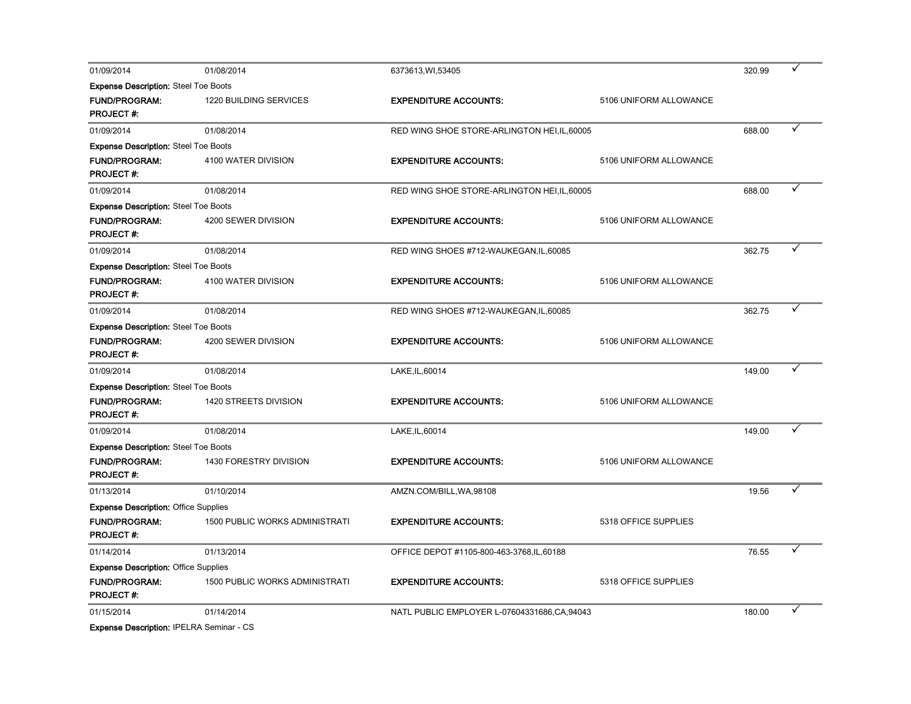| 01/09/2014                                  | 01/08/2014                            | 6373613, WI, 53405                            |                        | 320.99 |  |
|---------------------------------------------|---------------------------------------|-----------------------------------------------|------------------------|--------|--|
| <b>Expense Description:</b> Steel Toe Boots |                                       |                                               |                        |        |  |
| <b>FUND/PROGRAM:</b>                        | 1220 BUILDING SERVICES                | <b>EXPENDITURE ACCOUNTS:</b>                  | 5106 UNIFORM ALLOWANCE |        |  |
| <b>PROJECT#:</b>                            |                                       |                                               |                        |        |  |
| 01/09/2014                                  | 01/08/2014                            | RED WING SHOE STORE-ARLINGTON HEI, IL, 60005  |                        | 688.00 |  |
| <b>Expense Description: Steel Toe Boots</b> |                                       |                                               |                        |        |  |
| <b>FUND/PROGRAM:</b>                        | 4100 WATER DIVISION                   | <b>EXPENDITURE ACCOUNTS:</b>                  | 5106 UNIFORM ALLOWANCE |        |  |
| <b>PROJECT#:</b>                            |                                       |                                               |                        |        |  |
| 01/09/2014                                  | 01/08/2014                            | RED WING SHOE STORE-ARLINGTON HEI, IL, 60005  |                        | 688.00 |  |
| <b>Expense Description: Steel Toe Boots</b> |                                       |                                               |                        |        |  |
| <b>FUND/PROGRAM:</b>                        | 4200 SEWER DIVISION                   | <b>EXPENDITURE ACCOUNTS:</b>                  | 5106 UNIFORM ALLOWANCE |        |  |
| <b>PROJECT#:</b>                            |                                       |                                               |                        |        |  |
| 01/09/2014                                  | 01/08/2014                            | RED WING SHOES #712-WAUKEGAN, IL, 60085       |                        | 362.75 |  |
| <b>Expense Description: Steel Toe Boots</b> |                                       |                                               |                        |        |  |
| <b>FUND/PROGRAM:</b>                        | 4100 WATER DIVISION                   | <b>EXPENDITURE ACCOUNTS:</b>                  | 5106 UNIFORM ALLOWANCE |        |  |
| <b>PROJECT#:</b>                            |                                       |                                               |                        |        |  |
| 01/09/2014                                  | 01/08/2014                            | RED WING SHOES #712-WAUKEGAN, IL, 60085       |                        | 362.75 |  |
| <b>Expense Description: Steel Toe Boots</b> |                                       |                                               |                        |        |  |
| <b>FUND/PROGRAM:</b>                        | 4200 SEWER DIVISION                   | <b>EXPENDITURE ACCOUNTS:</b>                  | 5106 UNIFORM ALLOWANCE |        |  |
| <b>PROJECT#:</b>                            |                                       |                                               |                        |        |  |
| 01/09/2014                                  | 01/08/2014                            | LAKE, IL, 60014                               |                        | 149.00 |  |
| <b>Expense Description: Steel Toe Boots</b> |                                       |                                               |                        |        |  |
| <b>FUND/PROGRAM:</b>                        | 1420 STREETS DIVISION                 | <b>EXPENDITURE ACCOUNTS:</b>                  | 5106 UNIFORM ALLOWANCE |        |  |
| <b>PROJECT#:</b>                            |                                       |                                               |                        |        |  |
| 01/09/2014                                  | 01/08/2014                            | LAKE, IL, 60014                               |                        | 149.00 |  |
| <b>Expense Description: Steel Toe Boots</b> |                                       |                                               |                        |        |  |
| <b>FUND/PROGRAM:</b>                        | 1430 FORESTRY DIVISION                | <b>EXPENDITURE ACCOUNTS:</b>                  | 5106 UNIFORM ALLOWANCE |        |  |
| <b>PROJECT#:</b>                            |                                       |                                               |                        |        |  |
| 01/13/2014                                  | 01/10/2014                            | AMZN.COM/BILL, WA, 98108                      |                        | 19.56  |  |
| <b>Expense Description: Office Supplies</b> |                                       |                                               |                        |        |  |
| <b>FUND/PROGRAM:</b>                        | <b>1500 PUBLIC WORKS ADMINISTRATI</b> | <b>EXPENDITURE ACCOUNTS:</b>                  | 5318 OFFICE SUPPLIES   |        |  |
| <b>PROJECT#:</b>                            |                                       |                                               |                        |        |  |
| 01/14/2014                                  | 01/13/2014                            | OFFICE DEPOT #1105-800-463-3768, IL, 60188    |                        | 76.55  |  |
| <b>Expense Description: Office Supplies</b> |                                       |                                               |                        |        |  |
| <b>FUND/PROGRAM:</b>                        | <b>1500 PUBLIC WORKS ADMINISTRATI</b> | <b>EXPENDITURE ACCOUNTS:</b>                  | 5318 OFFICE SUPPLIES   |        |  |
| <b>PROJECT#:</b>                            |                                       |                                               |                        |        |  |
| 01/15/2014                                  | 01/14/2014                            | NATL PUBLIC EMPLOYER L-07604331686, CA, 94043 |                        | 180.00 |  |
|                                             |                                       |                                               |                        |        |  |

Expense Description: IPELRA Seminar - CS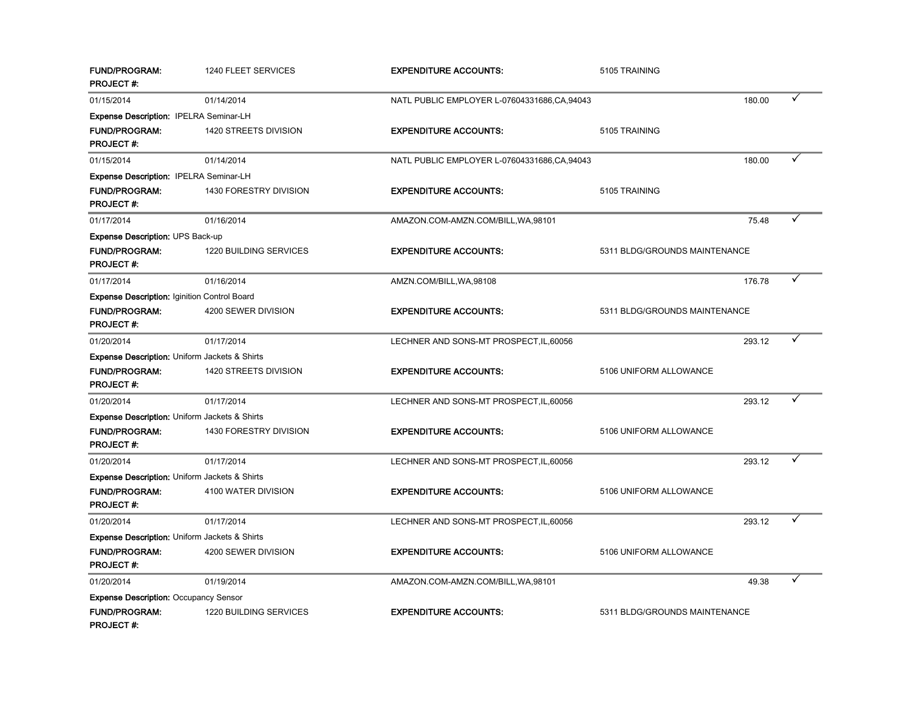| <b>FUND/PROGRAM:</b><br><b>PROJECT#:</b>                 | 1240 FLEET SERVICES    | <b>EXPENDITURE ACCOUNTS:</b>                  | 5105 TRAINING                 |        |   |
|----------------------------------------------------------|------------------------|-----------------------------------------------|-------------------------------|--------|---|
| 01/15/2014                                               | 01/14/2014             | NATL PUBLIC EMPLOYER L-07604331686, CA, 94043 |                               | 180.00 | ✓ |
| Expense Description: IPELRA Seminar-LH                   |                        |                                               |                               |        |   |
| <b>FUND/PROGRAM:</b>                                     | 1420 STREETS DIVISION  | <b>EXPENDITURE ACCOUNTS:</b>                  | 5105 TRAINING                 |        |   |
| <b>PROJECT#:</b>                                         |                        |                                               |                               |        |   |
| 01/15/2014                                               | 01/14/2014             | NATL PUBLIC EMPLOYER L-07604331686, CA, 94043 |                               | 180.00 | ✓ |
| Expense Description: IPELRA Seminar-LH                   |                        |                                               |                               |        |   |
| <b>FUND/PROGRAM:</b><br><b>PROJECT#:</b>                 | 1430 FORESTRY DIVISION | <b>EXPENDITURE ACCOUNTS:</b>                  | 5105 TRAINING                 |        |   |
| 01/17/2014                                               | 01/16/2014             | AMAZON.COM-AMZN.COM/BILL, WA, 98101           |                               | 75.48  |   |
| <b>Expense Description: UPS Back-up</b>                  |                        |                                               |                               |        |   |
| <b>FUND/PROGRAM:</b><br><b>PROJECT#:</b>                 | 1220 BUILDING SERVICES | <b>EXPENDITURE ACCOUNTS:</b>                  | 5311 BLDG/GROUNDS MAINTENANCE |        |   |
| 01/17/2014                                               | 01/16/2014             | AMZN.COM/BILL, WA, 98108                      |                               | 176.78 |   |
| <b>Expense Description: Iginition Control Board</b>      |                        |                                               |                               |        |   |
| <b>FUND/PROGRAM:</b>                                     | 4200 SEWER DIVISION    | <b>EXPENDITURE ACCOUNTS:</b>                  | 5311 BLDG/GROUNDS MAINTENANCE |        |   |
| <b>PROJECT#:</b>                                         |                        |                                               |                               |        |   |
| 01/20/2014                                               | 01/17/2014             | LECHNER AND SONS-MT PROSPECT, IL, 60056       |                               | 293.12 |   |
| <b>Expense Description: Uniform Jackets &amp; Shirts</b> |                        |                                               |                               |        |   |
| <b>FUND/PROGRAM:</b><br><b>PROJECT#:</b>                 | 1420 STREETS DIVISION  | <b>EXPENDITURE ACCOUNTS:</b>                  | 5106 UNIFORM ALLOWANCE        |        |   |
| 01/20/2014                                               | 01/17/2014             | LECHNER AND SONS-MT PROSPECT, IL, 60056       |                               | 293.12 |   |
| <b>Expense Description: Uniform Jackets &amp; Shirts</b> |                        |                                               |                               |        |   |
| FUND/PROGRAM:<br><b>PROJECT#:</b>                        | 1430 FORESTRY DIVISION | <b>EXPENDITURE ACCOUNTS:</b>                  | 5106 UNIFORM ALLOWANCE        |        |   |
| 01/20/2014                                               | 01/17/2014             | LECHNER AND SONS-MT PROSPECT, IL, 60056       |                               | 293.12 |   |
| Expense Description: Uniform Jackets & Shirts            |                        |                                               |                               |        |   |
| <b>FUND/PROGRAM:</b><br><b>PROJECT#:</b>                 | 4100 WATER DIVISION    | <b>EXPENDITURE ACCOUNTS:</b>                  | 5106 UNIFORM ALLOWANCE        |        |   |
| 01/20/2014                                               | 01/17/2014             | LECHNER AND SONS-MT PROSPECT, IL, 60056       |                               | 293.12 |   |
| <b>Expense Description: Uniform Jackets &amp; Shirts</b> |                        |                                               |                               |        |   |
| <b>FUND/PROGRAM:</b><br><b>PROJECT#:</b>                 | 4200 SEWER DIVISION    | <b>EXPENDITURE ACCOUNTS:</b>                  | 5106 UNIFORM ALLOWANCE        |        |   |
| 01/20/2014                                               | 01/19/2014             | AMAZON.COM-AMZN.COM/BILL, WA, 98101           |                               | 49.38  |   |
| <b>Expense Description: Occupancy Sensor</b>             |                        |                                               |                               |        |   |
| <b>FUND/PROGRAM:</b><br><b>PROJECT #:</b>                | 1220 BUILDING SERVICES | <b>EXPENDITURE ACCOUNTS:</b>                  | 5311 BLDG/GROUNDS MAINTENANCE |        |   |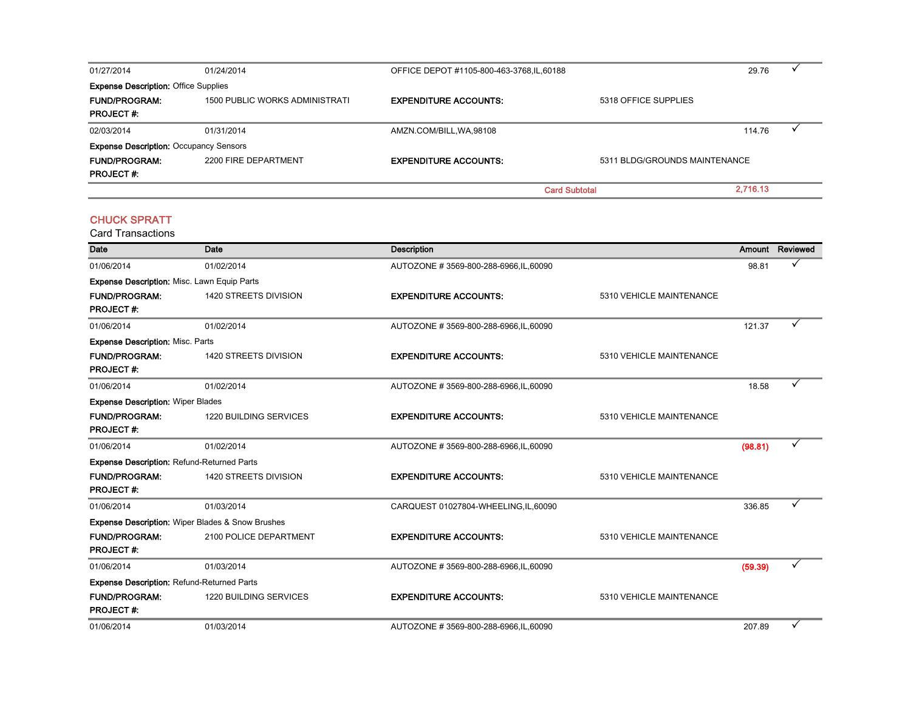| 01/27/2014                                    | 01/24/2014                     | OFFICE DEPOT #1105-800-463-3768,IL,60188 |                               | 29.76    |  |
|-----------------------------------------------|--------------------------------|------------------------------------------|-------------------------------|----------|--|
| <b>Expense Description: Office Supplies</b>   |                                |                                          |                               |          |  |
| <b>FUND/PROGRAM:</b>                          | 1500 PUBLIC WORKS ADMINISTRATI | <b>EXPENDITURE ACCOUNTS:</b>             | 5318 OFFICE SUPPLIES          |          |  |
| <b>PROJECT#:</b>                              |                                |                                          |                               |          |  |
| 02/03/2014                                    | 01/31/2014                     | AMZN.COM/BILL, WA, 98108                 |                               | 114.76   |  |
| <b>Expense Description: Occupancy Sensors</b> |                                |                                          |                               |          |  |
| <b>FUND/PROGRAM:</b>                          | 2200 FIRE DEPARTMENT           | <b>EXPENDITURE ACCOUNTS:</b>             | 5311 BLDG/GROUNDS MAINTENANCE |          |  |
| <b>PROJECT#:</b>                              |                                |                                          |                               |          |  |
|                                               |                                | <b>Card Subtotal</b>                     |                               | 2.716.13 |  |

#### CHUCK SPRATT

| <b>Date</b>                                        | Date                                             | <b>Description</b>                     |                          |         | Amount Reviewed |
|----------------------------------------------------|--------------------------------------------------|----------------------------------------|--------------------------|---------|-----------------|
| 01/06/2014                                         | 01/02/2014                                       | AUTOZONE #3569-800-288-6966, IL, 60090 |                          | 98.81   |                 |
| <b>Expense Description: Misc. Lawn Equip Parts</b> |                                                  |                                        |                          |         |                 |
| <b>FUND/PROGRAM:</b>                               | <b>1420 STREETS DIVISION</b>                     | <b>EXPENDITURE ACCOUNTS:</b>           | 5310 VEHICLE MAINTENANCE |         |                 |
| <b>PROJECT#:</b>                                   |                                                  |                                        |                          |         |                 |
| 01/06/2014                                         | 01/02/2014                                       | AUTOZONE #3569-800-288-6966, IL, 60090 |                          | 121.37  |                 |
| <b>Expense Description: Misc. Parts</b>            |                                                  |                                        |                          |         |                 |
| <b>FUND/PROGRAM:</b>                               | 1420 STREETS DIVISION                            | <b>EXPENDITURE ACCOUNTS:</b>           | 5310 VEHICLE MAINTENANCE |         |                 |
| <b>PROJECT#:</b>                                   |                                                  |                                        |                          |         |                 |
| 01/06/2014                                         | 01/02/2014                                       | AUTOZONE #3569-800-288-6966, IL, 60090 |                          | 18.58   |                 |
| <b>Expense Description: Wiper Blades</b>           |                                                  |                                        |                          |         |                 |
| <b>FUND/PROGRAM:</b>                               | <b>1220 BUILDING SERVICES</b>                    | <b>EXPENDITURE ACCOUNTS:</b>           | 5310 VEHICLE MAINTENANCE |         |                 |
| <b>PROJECT#:</b>                                   |                                                  |                                        |                          |         |                 |
| 01/06/2014                                         | 01/02/2014                                       | AUTOZONE #3569-800-288-6966, IL, 60090 |                          | (98.81) |                 |
| <b>Expense Description: Refund-Returned Parts</b>  |                                                  |                                        |                          |         |                 |
| <b>FUND/PROGRAM:</b>                               | 1420 STREETS DIVISION                            | <b>EXPENDITURE ACCOUNTS:</b>           | 5310 VEHICLE MAINTENANCE |         |                 |
| <b>PROJECT#:</b>                                   |                                                  |                                        |                          |         |                 |
| 01/06/2014                                         | 01/03/2014                                       | CARQUEST 01027804-WHEELING,IL,60090    |                          | 336.85  |                 |
|                                                    | Expense Description: Wiper Blades & Snow Brushes |                                        |                          |         |                 |
| <b>FUND/PROGRAM:</b>                               | 2100 POLICE DEPARTMENT                           | <b>EXPENDITURE ACCOUNTS:</b>           | 5310 VEHICLE MAINTENANCE |         |                 |
| <b>PROJECT#:</b>                                   |                                                  |                                        |                          |         |                 |
| 01/06/2014                                         | 01/03/2014                                       | AUTOZONE #3569-800-288-6966, IL, 60090 |                          | (59.39) | ✓               |
| <b>Expense Description: Refund-Returned Parts</b>  |                                                  |                                        |                          |         |                 |
| <b>FUND/PROGRAM:</b>                               | 1220 BUILDING SERVICES                           | <b>EXPENDITURE ACCOUNTS:</b>           | 5310 VEHICLE MAINTENANCE |         |                 |
| <b>PROJECT#:</b>                                   |                                                  |                                        |                          |         |                 |
| 01/06/2014                                         | 01/03/2014                                       | AUTOZONE #3569-800-288-6966.IL.60090   |                          | 207.89  |                 |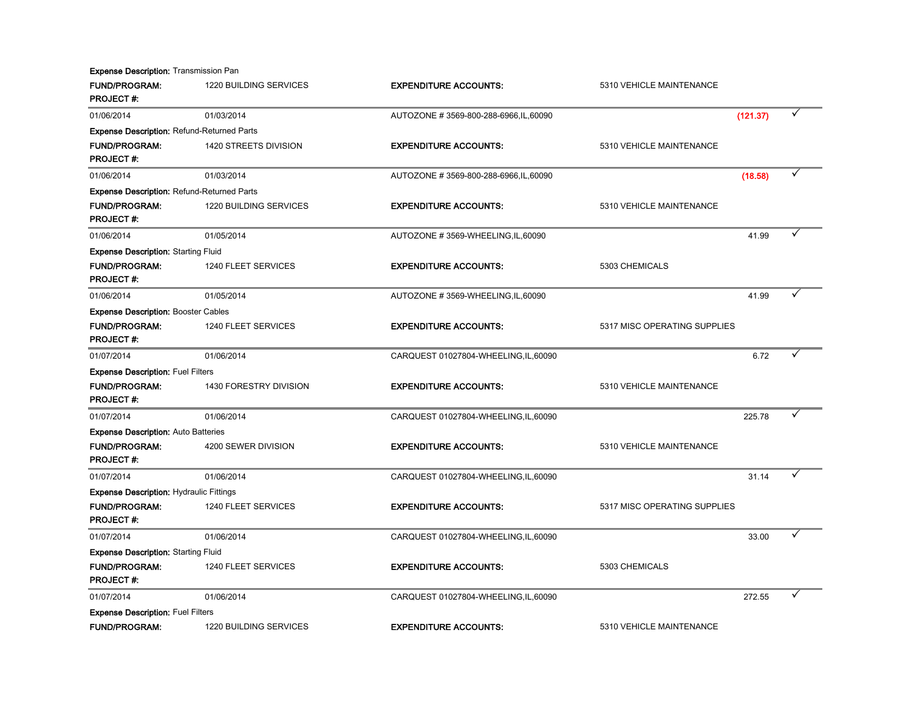**Expense Description: Transmission Pan** 

| <b>FUND/PROGRAM:</b><br><b>PROJECT#:</b>          | 1220 BUILDING SERVICES | <b>EXPENDITURE ACCOUNTS:</b>           | 5310 VEHICLE MAINTENANCE     |          |  |
|---------------------------------------------------|------------------------|----------------------------------------|------------------------------|----------|--|
| 01/06/2014                                        | 01/03/2014             | AUTOZONE #3569-800-288-6966, IL, 60090 |                              | (121.37) |  |
| <b>Expense Description: Refund-Returned Parts</b> |                        |                                        |                              |          |  |
| <b>FUND/PROGRAM:</b>                              | 1420 STREETS DIVISION  | <b>EXPENDITURE ACCOUNTS:</b>           | 5310 VEHICLE MAINTENANCE     |          |  |
| <b>PROJECT#:</b>                                  |                        |                                        |                              |          |  |
| 01/06/2014                                        | 01/03/2014             | AUTOZONE #3569-800-288-6966, IL, 60090 |                              | (18.58)  |  |
| <b>Expense Description: Refund-Returned Parts</b> |                        |                                        |                              |          |  |
| <b>FUND/PROGRAM:</b>                              | 1220 BUILDING SERVICES | <b>EXPENDITURE ACCOUNTS:</b>           | 5310 VEHICLE MAINTENANCE     |          |  |
| <b>PROJECT#:</b>                                  |                        |                                        |                              |          |  |
| 01/06/2014                                        | 01/05/2014             | AUTOZONE #3569-WHEELING,IL,60090       |                              | 41.99    |  |
| <b>Expense Description: Starting Fluid</b>        |                        |                                        |                              |          |  |
| <b>FUND/PROGRAM:</b>                              | 1240 FLEET SERVICES    | <b>EXPENDITURE ACCOUNTS:</b>           | 5303 CHEMICALS               |          |  |
| <b>PROJECT#:</b>                                  |                        |                                        |                              |          |  |
| 01/06/2014                                        | 01/05/2014             | AUTOZONE #3569-WHEELING, IL, 60090     |                              | 41.99    |  |
| <b>Expense Description: Booster Cables</b>        |                        |                                        |                              |          |  |
| <b>FUND/PROGRAM:</b>                              | 1240 FLEET SERVICES    | <b>EXPENDITURE ACCOUNTS:</b>           | 5317 MISC OPERATING SUPPLIES |          |  |
| <b>PROJECT#:</b>                                  |                        |                                        |                              |          |  |
| 01/07/2014                                        | 01/06/2014             | CARQUEST 01027804-WHEELING, IL, 60090  |                              | 6.72     |  |
| <b>Expense Description: Fuel Filters</b>          |                        |                                        |                              |          |  |
| <b>FUND/PROGRAM:</b>                              | 1430 FORESTRY DIVISION | <b>EXPENDITURE ACCOUNTS:</b>           | 5310 VEHICLE MAINTENANCE     |          |  |
| <b>PROJECT#:</b>                                  |                        |                                        |                              |          |  |
| 01/07/2014                                        | 01/06/2014             | CARQUEST 01027804-WHEELING,IL,60090    |                              | 225.78   |  |
| <b>Expense Description: Auto Batteries</b>        |                        |                                        |                              |          |  |
| <b>FUND/PROGRAM:</b>                              | 4200 SEWER DIVISION    | <b>EXPENDITURE ACCOUNTS:</b>           | 5310 VEHICLE MAINTENANCE     |          |  |
| <b>PROJECT#:</b>                                  |                        |                                        |                              |          |  |
| 01/07/2014                                        | 01/06/2014             | CARQUEST 01027804-WHEELING,IL,60090    |                              | 31.14    |  |
| <b>Expense Description: Hydraulic Fittings</b>    |                        |                                        |                              |          |  |
| <b>FUND/PROGRAM:</b>                              | 1240 FLEET SERVICES    | <b>EXPENDITURE ACCOUNTS:</b>           | 5317 MISC OPERATING SUPPLIES |          |  |
| <b>PROJECT#:</b>                                  |                        |                                        |                              |          |  |
| 01/07/2014                                        | 01/06/2014             | CARQUEST 01027804-WHEELING,IL,60090    |                              | 33.00    |  |
| <b>Expense Description: Starting Fluid</b>        |                        |                                        |                              |          |  |
| <b>FUND/PROGRAM:</b>                              | 1240 FLEET SERVICES    | <b>EXPENDITURE ACCOUNTS:</b>           | 5303 CHEMICALS               |          |  |
| <b>PROJECT#:</b>                                  |                        |                                        |                              |          |  |
| 01/07/2014                                        | 01/06/2014             | CARQUEST 01027804-WHEELING, IL, 60090  |                              | 272.55   |  |
| <b>Expense Description: Fuel Filters</b>          |                        |                                        |                              |          |  |
| <b>FUND/PROGRAM:</b>                              | 1220 BUILDING SERVICES | <b>EXPENDITURE ACCOUNTS:</b>           | 5310 VEHICLE MAINTENANCE     |          |  |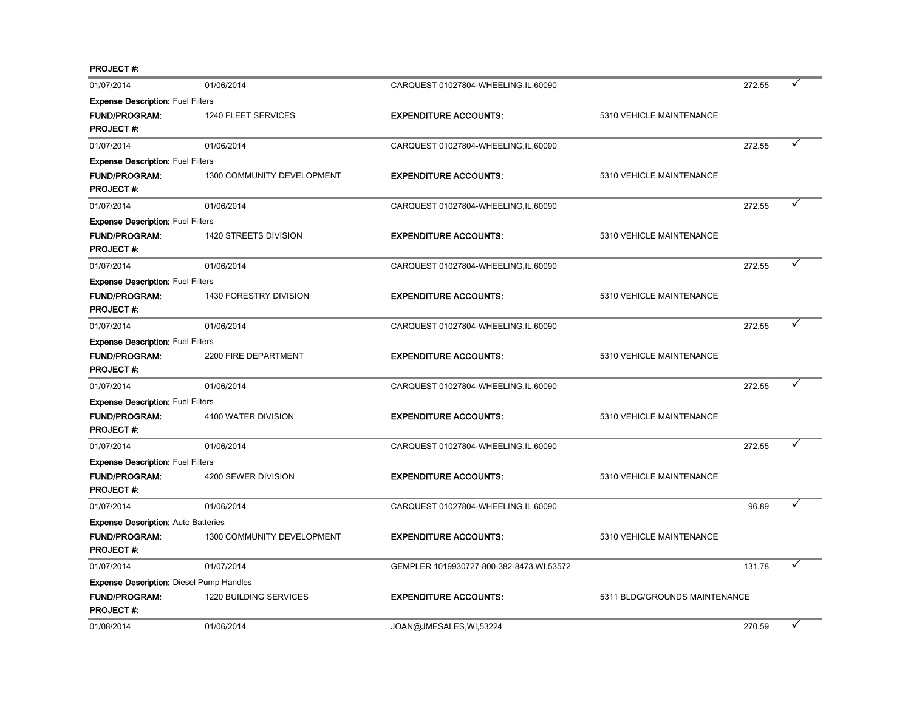PROJECT #:

| 01/07/2014                                      | 01/06/2014                 | CARQUEST 01027804-WHEELING, IL, 60090      |                               | 272.55 |   |
|-------------------------------------------------|----------------------------|--------------------------------------------|-------------------------------|--------|---|
| <b>Expense Description: Fuel Filters</b>        |                            |                                            |                               |        |   |
| <b>FUND/PROGRAM:</b><br><b>PROJECT#:</b>        | 1240 FLEET SERVICES        | <b>EXPENDITURE ACCOUNTS:</b>               | 5310 VEHICLE MAINTENANCE      |        |   |
| 01/07/2014                                      | 01/06/2014                 | CARQUEST 01027804-WHEELING, IL, 60090      |                               | 272.55 |   |
| <b>Expense Description: Fuel Filters</b>        |                            |                                            |                               |        |   |
| <b>FUND/PROGRAM:</b><br><b>PROJECT#:</b>        | 1300 COMMUNITY DEVELOPMENT | <b>EXPENDITURE ACCOUNTS:</b>               | 5310 VEHICLE MAINTENANCE      |        |   |
| 01/07/2014                                      | 01/06/2014                 | CARQUEST 01027804-WHEELING, IL, 60090      |                               | 272.55 |   |
| <b>Expense Description: Fuel Filters</b>        |                            |                                            |                               |        |   |
| <b>FUND/PROGRAM:</b><br><b>PROJECT#:</b>        | 1420 STREETS DIVISION      | <b>EXPENDITURE ACCOUNTS:</b>               | 5310 VEHICLE MAINTENANCE      |        |   |
| 01/07/2014                                      | 01/06/2014                 | CARQUEST 01027804-WHEELING, IL, 60090      |                               | 272.55 |   |
| <b>Expense Description: Fuel Filters</b>        |                            |                                            |                               |        |   |
| <b>FUND/PROGRAM:</b><br><b>PROJECT#:</b>        | 1430 FORESTRY DIVISION     | <b>EXPENDITURE ACCOUNTS:</b>               | 5310 VEHICLE MAINTENANCE      |        |   |
| 01/07/2014                                      | 01/06/2014                 | CARQUEST 01027804-WHEELING, IL, 60090      |                               | 272.55 | ✓ |
| <b>Expense Description: Fuel Filters</b>        |                            |                                            |                               |        |   |
| <b>FUND/PROGRAM:</b><br><b>PROJECT#:</b>        | 2200 FIRE DEPARTMENT       | <b>EXPENDITURE ACCOUNTS:</b>               | 5310 VEHICLE MAINTENANCE      |        |   |
| 01/07/2014                                      | 01/06/2014                 | CARQUEST 01027804-WHEELING, IL, 60090      |                               | 272.55 |   |
| <b>Expense Description: Fuel Filters</b>        |                            |                                            |                               |        |   |
| <b>FUND/PROGRAM:</b><br><b>PROJECT#:</b>        | 4100 WATER DIVISION        | <b>EXPENDITURE ACCOUNTS:</b>               | 5310 VEHICLE MAINTENANCE      |        |   |
| 01/07/2014                                      | 01/06/2014                 | CARQUEST 01027804-WHEELING, IL, 60090      |                               | 272.55 |   |
| <b>Expense Description: Fuel Filters</b>        |                            |                                            |                               |        |   |
| <b>FUND/PROGRAM:</b><br><b>PROJECT#:</b>        | 4200 SEWER DIVISION        | <b>EXPENDITURE ACCOUNTS:</b>               | 5310 VEHICLE MAINTENANCE      |        |   |
| 01/07/2014                                      | 01/06/2014                 | CARQUEST 01027804-WHEELING, IL, 60090      |                               | 96.89  |   |
| <b>Expense Description: Auto Batteries</b>      |                            |                                            |                               |        |   |
| <b>FUND/PROGRAM:</b><br><b>PROJECT#:</b>        | 1300 COMMUNITY DEVELOPMENT | <b>EXPENDITURE ACCOUNTS:</b>               | 5310 VEHICLE MAINTENANCE      |        |   |
| 01/07/2014                                      | 01/07/2014                 | GEMPLER 1019930727-800-382-8473, WI, 53572 |                               | 131.78 |   |
| <b>Expense Description: Diesel Pump Handles</b> |                            |                                            |                               |        |   |
| <b>FUND/PROGRAM:</b><br><b>PROJECT#:</b>        | 1220 BUILDING SERVICES     | <b>EXPENDITURE ACCOUNTS:</b>               | 5311 BLDG/GROUNDS MAINTENANCE |        |   |
| 01/08/2014                                      | 01/06/2014                 | JOAN@JMESALES, WI, 53224                   |                               | 270.59 | ✓ |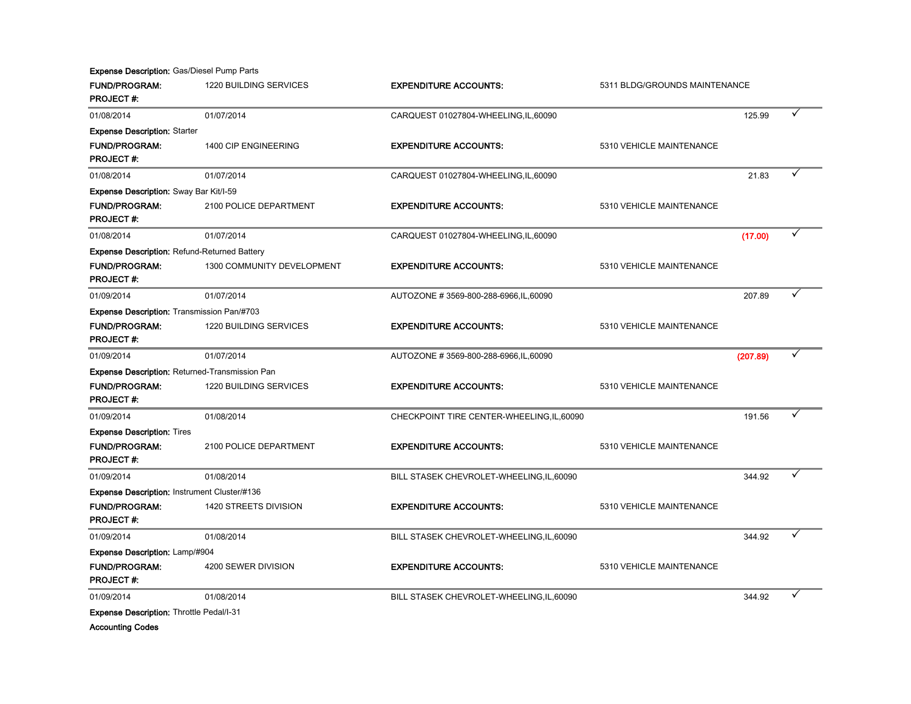Expense Description: Gas/Diesel Pump Parts

| <b>FUND/PROGRAM:</b><br><b>PROJECT#:</b>            | 1220 BUILDING SERVICES<br><b>EXPENDITURE ACCOUNTS:</b><br>5311 BLDG/GROUNDS MAINTENANCE |                                            |                          |          |  |
|-----------------------------------------------------|-----------------------------------------------------------------------------------------|--------------------------------------------|--------------------------|----------|--|
| 01/08/2014                                          | 01/07/2014                                                                              | CARQUEST 01027804-WHEELING, IL, 60090      |                          | 125.99   |  |
| <b>Expense Description: Starter</b>                 |                                                                                         |                                            |                          |          |  |
| <b>FUND/PROGRAM:</b>                                | 1400 CIP ENGINEERING                                                                    | <b>EXPENDITURE ACCOUNTS:</b>               | 5310 VEHICLE MAINTENANCE |          |  |
| <b>PROJECT#:</b>                                    |                                                                                         |                                            |                          |          |  |
| 01/08/2014                                          | 01/07/2014                                                                              | CARQUEST 01027804-WHEELING, IL, 60090      |                          | 21.83    |  |
| <b>Expense Description: Sway Bar Kit/I-59</b>       |                                                                                         |                                            |                          |          |  |
| <b>FUND/PROGRAM:</b>                                | 2100 POLICE DEPARTMENT                                                                  | <b>EXPENDITURE ACCOUNTS:</b>               | 5310 VEHICLE MAINTENANCE |          |  |
| <b>PROJECT#:</b>                                    |                                                                                         |                                            |                          |          |  |
| 01/08/2014                                          | 01/07/2014                                                                              | CARQUEST 01027804-WHEELING, IL, 60090      |                          | (17.00)  |  |
| <b>Expense Description: Refund-Returned Battery</b> |                                                                                         |                                            |                          |          |  |
| FUND/PROGRAM:<br><b>PROJECT#:</b>                   | 1300 COMMUNITY DEVELOPMENT                                                              | <b>EXPENDITURE ACCOUNTS:</b>               | 5310 VEHICLE MAINTENANCE |          |  |
| 01/09/2014                                          | 01/07/2014                                                                              | AUTOZONE #3569-800-288-6966, IL, 60090     |                          | 207.89   |  |
| Expense Description: Transmission Pan/#703          |                                                                                         |                                            |                          |          |  |
| <b>FUND/PROGRAM:</b>                                | 1220 BUILDING SERVICES                                                                  | <b>EXPENDITURE ACCOUNTS:</b>               | 5310 VEHICLE MAINTENANCE |          |  |
| <b>PROJECT#:</b>                                    |                                                                                         |                                            |                          |          |  |
| 01/09/2014                                          | 01/07/2014                                                                              | AUTOZONE #3569-800-288-6966, IL, 60090     |                          | (207.89) |  |
|                                                     | Expense Description: Returned-Transmission Pan                                          |                                            |                          |          |  |
| <b>FUND/PROGRAM:</b>                                | 1220 BUILDING SERVICES                                                                  | <b>EXPENDITURE ACCOUNTS:</b>               | 5310 VEHICLE MAINTENANCE |          |  |
| <b>PROJECT#:</b>                                    |                                                                                         |                                            |                          |          |  |
| 01/09/2014                                          | 01/08/2014                                                                              | CHECKPOINT TIRE CENTER-WHEELING, IL, 60090 |                          | 191.56   |  |
| <b>Expense Description: Tires</b>                   |                                                                                         |                                            |                          |          |  |
| <b>FUND/PROGRAM:</b>                                | 2100 POLICE DEPARTMENT                                                                  | <b>EXPENDITURE ACCOUNTS:</b>               | 5310 VEHICLE MAINTENANCE |          |  |
| <b>PROJECT#:</b>                                    |                                                                                         |                                            |                          |          |  |
| 01/09/2014                                          | 01/08/2014                                                                              | BILL STASEK CHEVROLET-WHEELING, IL, 60090  |                          | 344.92   |  |
| Expense Description: Instrument Cluster/#136        |                                                                                         |                                            |                          |          |  |
| <b>FUND/PROGRAM:</b>                                | 1420 STREETS DIVISION                                                                   | <b>EXPENDITURE ACCOUNTS:</b>               | 5310 VEHICLE MAINTENANCE |          |  |
| <b>PROJECT#:</b>                                    |                                                                                         |                                            |                          |          |  |
| 01/09/2014                                          | 01/08/2014                                                                              | BILL STASEK CHEVROLET-WHEELING, IL, 60090  |                          | 344.92   |  |
| Expense Description: Lamp/#904                      |                                                                                         |                                            |                          |          |  |
| <b>FUND/PROGRAM:</b><br><b>PROJECT#:</b>            | 4200 SEWER DIVISION                                                                     | <b>EXPENDITURE ACCOUNTS:</b>               | 5310 VEHICLE MAINTENANCE |          |  |
| 01/09/2014                                          | 01/08/2014                                                                              | BILL STASEK CHEVROLET-WHEELING, IL, 60090  |                          | 344.92   |  |
| Expense Description: Throttle Pedal/I-31            |                                                                                         |                                            |                          |          |  |
| <b>Accounting Codes</b>                             |                                                                                         |                                            |                          |          |  |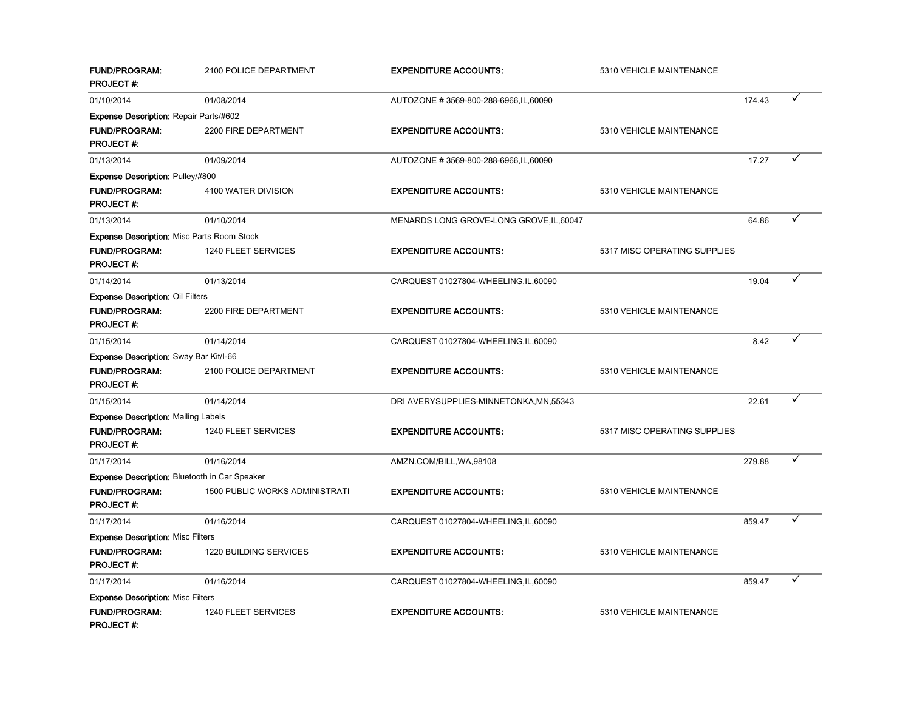| <b>FUND/PROGRAM:</b><br><b>PROJECT#:</b>             | 2100 POLICE DEPARTMENT         | <b>EXPENDITURE ACCOUNTS:</b>             | 5310 VEHICLE MAINTENANCE     |        |   |
|------------------------------------------------------|--------------------------------|------------------------------------------|------------------------------|--------|---|
| 01/10/2014                                           | 01/08/2014                     | AUTOZONE #3569-800-288-6966, IL, 60090   |                              | 174.43 | ✓ |
| <b>Expense Description: Repair Parts/#602</b>        |                                |                                          |                              |        |   |
| <b>FUND/PROGRAM:</b>                                 | 2200 FIRE DEPARTMENT           | <b>EXPENDITURE ACCOUNTS:</b>             | 5310 VEHICLE MAINTENANCE     |        |   |
| <b>PROJECT#:</b>                                     |                                |                                          |                              |        |   |
| 01/13/2014                                           | 01/09/2014                     | AUTOZONE #3569-800-288-6966, IL, 60090   |                              | 17.27  | ✓ |
| <b>Expense Description: Pulley/#800</b>              |                                |                                          |                              |        |   |
| <b>FUND/PROGRAM:</b><br><b>PROJECT#:</b>             | 4100 WATER DIVISION            | <b>EXPENDITURE ACCOUNTS:</b>             | 5310 VEHICLE MAINTENANCE     |        |   |
| 01/13/2014                                           | 01/10/2014                     | MENARDS LONG GROVE-LONG GROVE, IL, 60047 |                              | 64.86  | ✓ |
| <b>Expense Description: Misc Parts Room Stock</b>    |                                |                                          |                              |        |   |
| <b>FUND/PROGRAM:</b>                                 | 1240 FLEET SERVICES            | <b>EXPENDITURE ACCOUNTS:</b>             | 5317 MISC OPERATING SUPPLIES |        |   |
| <b>PROJECT#:</b>                                     |                                |                                          |                              |        |   |
| 01/14/2014                                           | 01/13/2014                     | CARQUEST 01027804-WHEELING, IL, 60090    |                              | 19.04  | ✓ |
| <b>Expense Description: Oil Filters</b>              |                                |                                          |                              |        |   |
| FUND/PROGRAM:                                        | 2200 FIRE DEPARTMENT           | <b>EXPENDITURE ACCOUNTS:</b>             | 5310 VEHICLE MAINTENANCE     |        |   |
| <b>PROJECT#:</b>                                     |                                |                                          |                              |        |   |
| 01/15/2014                                           | 01/14/2014                     | CARQUEST 01027804-WHEELING,IL,60090      |                              | 8.42   | ✓ |
| Expense Description: Sway Bar Kit/I-66               |                                |                                          |                              |        |   |
| <b>FUND/PROGRAM:</b>                                 | 2100 POLICE DEPARTMENT         | <b>EXPENDITURE ACCOUNTS:</b>             | 5310 VEHICLE MAINTENANCE     |        |   |
| <b>PROJECT#:</b>                                     |                                |                                          |                              |        |   |
| 01/15/2014                                           | 01/14/2014                     | DRI AVERYSUPPLIES-MINNETONKA, MN, 55343  |                              | 22.61  | ✓ |
| <b>Expense Description: Mailing Labels</b>           |                                |                                          |                              |        |   |
| <b>FUND/PROGRAM:</b><br><b>PROJECT#:</b>             | 1240 FLEET SERVICES            | <b>EXPENDITURE ACCOUNTS:</b>             | 5317 MISC OPERATING SUPPLIES |        |   |
| 01/17/2014                                           | 01/16/2014                     | AMZN.COM/BILL, WA, 98108                 |                              | 279.88 | ✓ |
| <b>Expense Description: Bluetooth in Car Speaker</b> |                                |                                          |                              |        |   |
| <b>FUND/PROGRAM:</b><br><b>PROJECT#:</b>             | 1500 PUBLIC WORKS ADMINISTRATI | <b>EXPENDITURE ACCOUNTS:</b>             | 5310 VEHICLE MAINTENANCE     |        |   |
| 01/17/2014                                           | 01/16/2014                     | CARQUEST 01027804-WHEELING,IL,60090      |                              | 859.47 | ✓ |
| <b>Expense Description: Misc Filters</b>             |                                |                                          |                              |        |   |
| <b>FUND/PROGRAM:</b><br><b>PROJECT#:</b>             | 1220 BUILDING SERVICES         | <b>EXPENDITURE ACCOUNTS:</b>             | 5310 VEHICLE MAINTENANCE     |        |   |
| 01/17/2014                                           | 01/16/2014                     | CARQUEST 01027804-WHEELING, IL, 60090    |                              | 859.47 | ✓ |
| <b>Expense Description: Misc Filters</b>             |                                |                                          |                              |        |   |
| <b>FUND/PROGRAM:</b><br><b>PROJECT#:</b>             | 1240 FLEET SERVICES            | <b>EXPENDITURE ACCOUNTS:</b>             | 5310 VEHICLE MAINTENANCE     |        |   |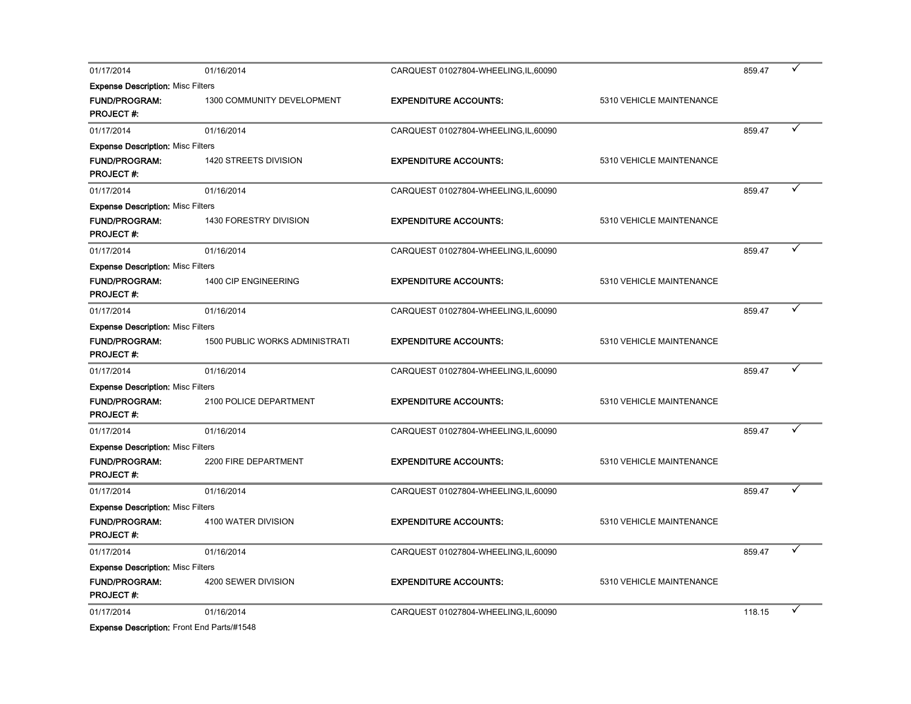| 01/17/2014                                 | 01/16/2014                            | CARQUEST 01027804-WHEELING, IL, 60090 |                          | 859.47 |  |
|--------------------------------------------|---------------------------------------|---------------------------------------|--------------------------|--------|--|
| <b>Expense Description: Misc Filters</b>   |                                       |                                       |                          |        |  |
| <b>FUND/PROGRAM:</b><br><b>PROJECT#:</b>   | 1300 COMMUNITY DEVELOPMENT            | <b>EXPENDITURE ACCOUNTS:</b>          | 5310 VEHICLE MAINTENANCE |        |  |
| 01/17/2014                                 | 01/16/2014                            | CARQUEST 01027804-WHEELING,IL,60090   |                          | 859.47 |  |
| <b>Expense Description: Misc Filters</b>   |                                       |                                       |                          |        |  |
| <b>FUND/PROGRAM:</b><br><b>PROJECT#:</b>   | 1420 STREETS DIVISION                 | <b>EXPENDITURE ACCOUNTS:</b>          | 5310 VEHICLE MAINTENANCE |        |  |
| 01/17/2014                                 | 01/16/2014                            | CARQUEST 01027804-WHEELING,IL,60090   |                          | 859.47 |  |
| <b>Expense Description: Misc Filters</b>   |                                       |                                       |                          |        |  |
| <b>FUND/PROGRAM:</b><br><b>PROJECT#:</b>   | 1430 FORESTRY DIVISION                | <b>EXPENDITURE ACCOUNTS:</b>          | 5310 VEHICLE MAINTENANCE |        |  |
| 01/17/2014                                 | 01/16/2014                            | CARQUEST 01027804-WHEELING,IL,60090   |                          | 859.47 |  |
| <b>Expense Description: Misc Filters</b>   |                                       |                                       |                          |        |  |
| <b>FUND/PROGRAM:</b><br><b>PROJECT#:</b>   | 1400 CIP ENGINEERING                  | <b>EXPENDITURE ACCOUNTS:</b>          | 5310 VEHICLE MAINTENANCE |        |  |
| 01/17/2014                                 | 01/16/2014                            | CARQUEST 01027804-WHEELING, IL, 60090 |                          | 859.47 |  |
| <b>Expense Description: Misc Filters</b>   |                                       |                                       |                          |        |  |
| <b>FUND/PROGRAM:</b><br><b>PROJECT#:</b>   | <b>1500 PUBLIC WORKS ADMINISTRATI</b> | <b>EXPENDITURE ACCOUNTS:</b>          | 5310 VEHICLE MAINTENANCE |        |  |
| 01/17/2014                                 | 01/16/2014                            | CARQUEST 01027804-WHEELING, IL, 60090 |                          | 859.47 |  |
| <b>Expense Description: Misc Filters</b>   |                                       |                                       |                          |        |  |
| <b>FUND/PROGRAM:</b><br><b>PROJECT#:</b>   | 2100 POLICE DEPARTMENT                | <b>EXPENDITURE ACCOUNTS:</b>          | 5310 VEHICLE MAINTENANCE |        |  |
| 01/17/2014                                 | 01/16/2014                            | CARQUEST 01027804-WHEELING, IL, 60090 |                          | 859.47 |  |
| <b>Expense Description: Misc Filters</b>   |                                       |                                       |                          |        |  |
| <b>FUND/PROGRAM:</b><br><b>PROJECT#:</b>   | 2200 FIRE DEPARTMENT                  | <b>EXPENDITURE ACCOUNTS:</b>          | 5310 VEHICLE MAINTENANCE |        |  |
| 01/17/2014                                 | 01/16/2014                            | CARQUEST 01027804-WHEELING, IL, 60090 |                          | 859.47 |  |
| <b>Expense Description: Misc Filters</b>   |                                       |                                       |                          |        |  |
| <b>FUND/PROGRAM:</b><br><b>PROJECT#:</b>   | 4100 WATER DIVISION                   | <b>EXPENDITURE ACCOUNTS:</b>          | 5310 VEHICLE MAINTENANCE |        |  |
| 01/17/2014                                 | 01/16/2014                            | CARQUEST 01027804-WHEELING,IL,60090   |                          | 859.47 |  |
| <b>Expense Description: Misc Filters</b>   |                                       |                                       |                          |        |  |
| <b>FUND/PROGRAM:</b><br><b>PROJECT#:</b>   | 4200 SEWER DIVISION                   | <b>EXPENDITURE ACCOUNTS:</b>          | 5310 VEHICLE MAINTENANCE |        |  |
| 01/17/2014                                 | 01/16/2014                            | CARQUEST 01027804-WHEELING, IL, 60090 |                          | 118.15 |  |
| Expense Description: Front End Parts/#1548 |                                       |                                       |                          |        |  |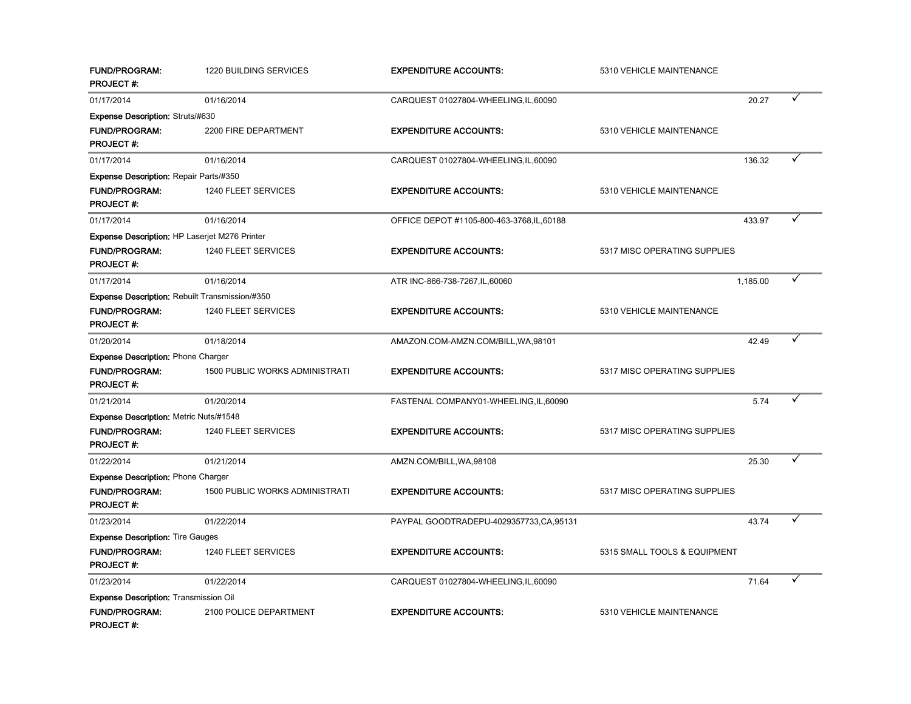| <b>FUND/PROGRAM:</b><br><b>PROJECT#:</b>              | 1220 BUILDING SERVICES                | <b>EXPENDITURE ACCOUNTS:</b>               | 5310 VEHICLE MAINTENANCE     |          |  |
|-------------------------------------------------------|---------------------------------------|--------------------------------------------|------------------------------|----------|--|
| 01/17/2014                                            | 01/16/2014                            | CARQUEST 01027804-WHEELING, IL, 60090      |                              | 20.27    |  |
| <b>Expense Description: Struts/#630</b>               |                                       |                                            |                              |          |  |
| <b>FUND/PROGRAM:</b><br><b>PROJECT#:</b>              | 2200 FIRE DEPARTMENT                  | <b>EXPENDITURE ACCOUNTS:</b>               | 5310 VEHICLE MAINTENANCE     |          |  |
| 01/17/2014                                            | 01/16/2014                            | CARQUEST 01027804-WHEELING, IL, 60090      |                              | 136.32   |  |
| <b>Expense Description: Repair Parts/#350</b>         |                                       |                                            |                              |          |  |
| <b>FUND/PROGRAM:</b><br><b>PROJECT#:</b>              | 1240 FLEET SERVICES                   | <b>EXPENDITURE ACCOUNTS:</b>               | 5310 VEHICLE MAINTENANCE     |          |  |
| 01/17/2014                                            | 01/16/2014                            | OFFICE DEPOT #1105-800-463-3768, IL, 60188 |                              | 433.97   |  |
| <b>Expense Description: HP Laserjet M276 Printer</b>  |                                       |                                            |                              |          |  |
| <b>FUND/PROGRAM:</b><br><b>PROJECT#:</b>              | 1240 FLEET SERVICES                   | <b>EXPENDITURE ACCOUNTS:</b>               | 5317 MISC OPERATING SUPPLIES |          |  |
| 01/17/2014                                            | 01/16/2014                            | ATR INC-866-738-7267, IL, 60060            |                              | 1,185.00 |  |
| <b>Expense Description: Rebuilt Transmission/#350</b> |                                       |                                            |                              |          |  |
| <b>FUND/PROGRAM:</b><br><b>PROJECT#:</b>              | 1240 FLEET SERVICES                   | <b>EXPENDITURE ACCOUNTS:</b>               | 5310 VEHICLE MAINTENANCE     |          |  |
| 01/20/2014                                            | 01/18/2014                            | AMAZON.COM-AMZN.COM/BILL, WA, 98101        |                              | 42.49    |  |
| Expense Description: Phone Charger                    |                                       |                                            |                              |          |  |
| <b>FUND/PROGRAM:</b><br><b>PROJECT#:</b>              | 1500 PUBLIC WORKS ADMINISTRATI        | <b>EXPENDITURE ACCOUNTS:</b>               | 5317 MISC OPERATING SUPPLIES |          |  |
| 01/21/2014                                            | 01/20/2014                            | FASTENAL COMPANY01-WHEELING,IL,60090       |                              | 5.74     |  |
| <b>Expense Description: Metric Nuts/#1548</b>         |                                       |                                            |                              |          |  |
| <b>FUND/PROGRAM:</b><br><b>PROJECT#:</b>              | 1240 FLEET SERVICES                   | <b>EXPENDITURE ACCOUNTS:</b>               | 5317 MISC OPERATING SUPPLIES |          |  |
| 01/22/2014                                            | 01/21/2014                            | AMZN.COM/BILL, WA, 98108                   |                              | 25.30    |  |
| <b>Expense Description: Phone Charger</b>             |                                       |                                            |                              |          |  |
| <b>FUND/PROGRAM:</b><br><b>PROJECT#:</b>              | <b>1500 PUBLIC WORKS ADMINISTRATI</b> | <b>EXPENDITURE ACCOUNTS:</b>               | 5317 MISC OPERATING SUPPLIES |          |  |
| 01/23/2014                                            | 01/22/2014                            | PAYPAL GOODTRADEPU-4029357733,CA,95131     |                              | 43.74    |  |
| <b>Expense Description: Tire Gauges</b>               |                                       |                                            |                              |          |  |
| <b>FUND/PROGRAM:</b><br><b>PROJECT#:</b>              | 1240 FLEET SERVICES                   | <b>EXPENDITURE ACCOUNTS:</b>               | 5315 SMALL TOOLS & EQUIPMENT |          |  |
| 01/23/2014                                            | 01/22/2014                            | CARQUEST 01027804-WHEELING,IL,60090        |                              | 71.64    |  |
| <b>Expense Description: Transmission Oil</b>          |                                       |                                            |                              |          |  |
| <b>FUND/PROGRAM:</b><br>PROJECT #:                    | 2100 POLICE DEPARTMENT                | <b>EXPENDITURE ACCOUNTS:</b>               | 5310 VEHICLE MAINTENANCE     |          |  |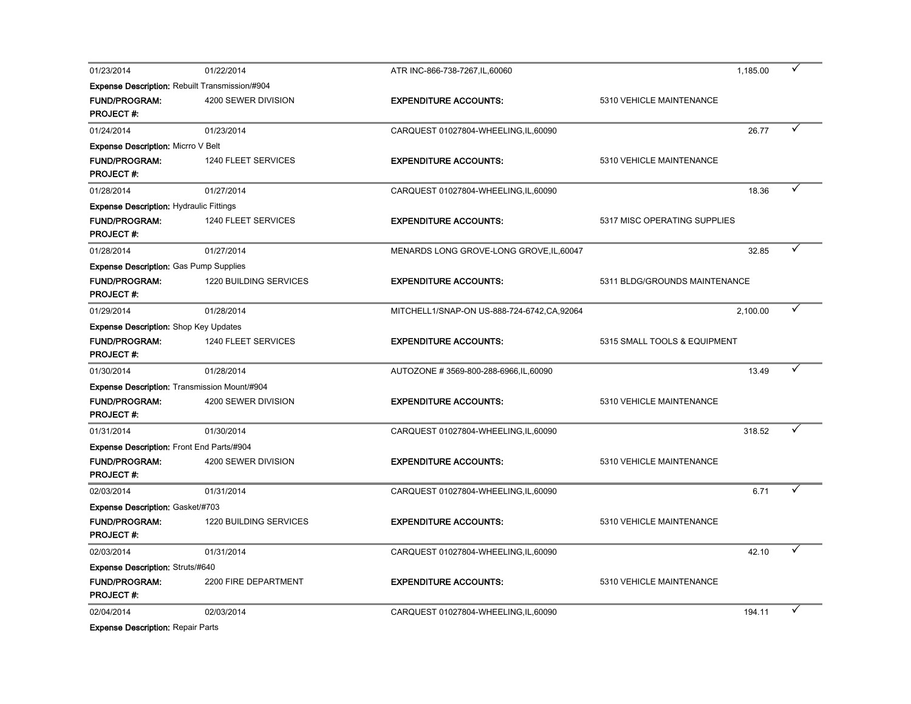| 01/23/2014                                                                                | 01/22/2014             | ATR INC-866-738-7267, IL, 60060            | 1,185.00                      |  |
|-------------------------------------------------------------------------------------------|------------------------|--------------------------------------------|-------------------------------|--|
| Expense Description: Rebuilt Transmission/#904                                            |                        |                                            |                               |  |
| FUND/PROGRAM:<br><b>PROJECT#:</b>                                                         | 4200 SEWER DIVISION    | <b>EXPENDITURE ACCOUNTS:</b>               | 5310 VEHICLE MAINTENANCE      |  |
| 01/24/2014                                                                                | 01/23/2014             | CARQUEST 01027804-WHEELING, IL, 60090      | 26.77                         |  |
| <b>Expense Description: Micrro V Belt</b>                                                 |                        |                                            |                               |  |
| <b>FUND/PROGRAM:</b><br><b>PROJECT#:</b>                                                  | 1240 FLEET SERVICES    | <b>EXPENDITURE ACCOUNTS:</b>               | 5310 VEHICLE MAINTENANCE      |  |
| 01/28/2014                                                                                | 01/27/2014             | CARQUEST 01027804-WHEELING, IL, 60090      | 18.36                         |  |
| <b>Expense Description: Hydraulic Fittings</b>                                            |                        |                                            |                               |  |
| <b>FUND/PROGRAM:</b><br><b>PROJECT#:</b>                                                  | 1240 FLEET SERVICES    | <b>EXPENDITURE ACCOUNTS:</b>               | 5317 MISC OPERATING SUPPLIES  |  |
| 01/28/2014                                                                                | 01/27/2014             | MENARDS LONG GROVE-LONG GROVE, IL, 60047   | 32.85                         |  |
| <b>Expense Description: Gas Pump Supplies</b><br><b>FUND/PROGRAM:</b><br><b>PROJECT#:</b> | 1220 BUILDING SERVICES | <b>EXPENDITURE ACCOUNTS:</b>               | 5311 BLDG/GROUNDS MAINTENANCE |  |
| 01/29/2014                                                                                | 01/28/2014             | MITCHELL1/SNAP-ON US-888-724-6742,CA,92064 | 2,100.00                      |  |
| <b>Expense Description:</b> Shop Key Updates                                              |                        |                                            |                               |  |
| <b>FUND/PROGRAM:</b><br><b>PROJECT#:</b>                                                  | 1240 FLEET SERVICES    | <b>EXPENDITURE ACCOUNTS:</b>               | 5315 SMALL TOOLS & EQUIPMENT  |  |
| 01/30/2014                                                                                | 01/28/2014             | AUTOZONE #3569-800-288-6966, IL, 60090     | 13.49                         |  |
| Expense Description: Transmission Mount/#904                                              |                        |                                            |                               |  |
| <b>FUND/PROGRAM:</b><br><b>PROJECT#:</b>                                                  | 4200 SEWER DIVISION    | <b>EXPENDITURE ACCOUNTS:</b>               | 5310 VEHICLE MAINTENANCE      |  |
| 01/31/2014                                                                                | 01/30/2014             | CARQUEST 01027804-WHEELING, IL, 60090      | 318.52                        |  |
| Expense Description: Front End Parts/#904                                                 |                        |                                            |                               |  |
| <b>FUND/PROGRAM:</b><br><b>PROJECT#:</b>                                                  | 4200 SEWER DIVISION    | <b>EXPENDITURE ACCOUNTS:</b>               | 5310 VEHICLE MAINTENANCE      |  |
| 02/03/2014                                                                                | 01/31/2014             | CARQUEST 01027804-WHEELING, IL, 60090      | 6.71                          |  |
| <b>Expense Description: Gasket/#703</b>                                                   |                        |                                            |                               |  |
| <b>FUND/PROGRAM:</b><br><b>PROJECT#:</b>                                                  | 1220 BUILDING SERVICES | <b>EXPENDITURE ACCOUNTS:</b>               | 5310 VEHICLE MAINTENANCE      |  |
| 02/03/2014                                                                                | 01/31/2014             | CARQUEST 01027804-WHEELING, IL, 60090      | 42.10                         |  |
| <b>Expense Description: Struts/#640</b>                                                   |                        |                                            |                               |  |
| <b>FUND/PROGRAM:</b><br><b>PROJECT#:</b>                                                  | 2200 FIRE DEPARTMENT   | <b>EXPENDITURE ACCOUNTS:</b>               | 5310 VEHICLE MAINTENANCE      |  |
| 02/04/2014                                                                                | 02/03/2014             | CARQUEST 01027804-WHEELING, IL, 60090      | 194.11                        |  |

Expense Description: Repair Parts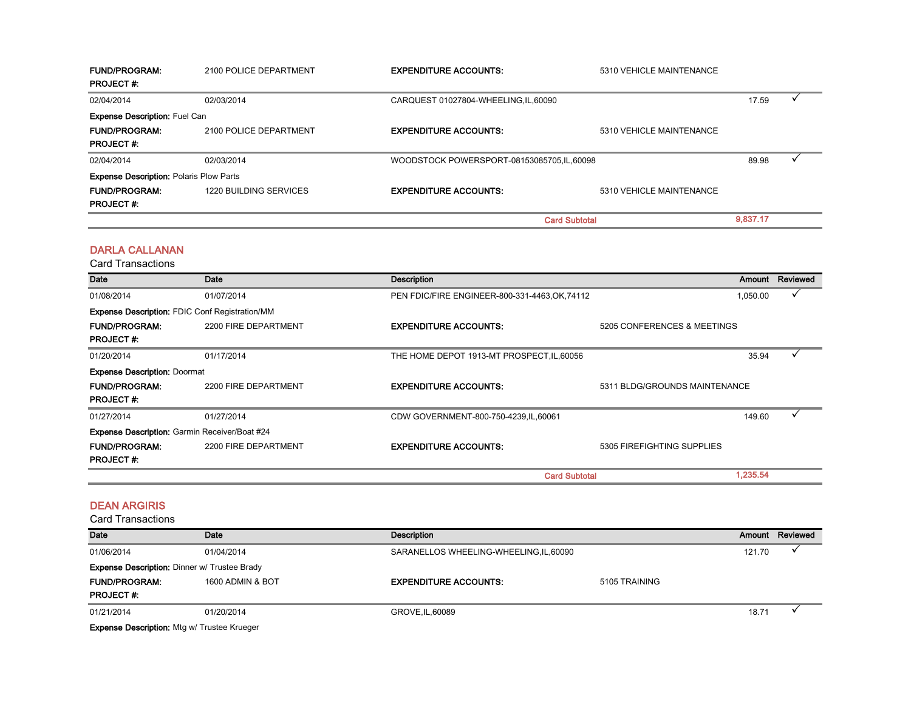| <b>FUND/PROGRAM:</b><br><b>PROJECT#:</b>       | 2100 POLICE DEPARTMENT        | <b>EXPENDITURE ACCOUNTS:</b>              | 5310 VEHICLE MAINTENANCE |          |  |
|------------------------------------------------|-------------------------------|-------------------------------------------|--------------------------|----------|--|
| 02/04/2014                                     | 02/03/2014                    | CARQUEST 01027804-WHEELING, IL, 60090     |                          | 17.59    |  |
| <b>Expense Description: Fuel Can</b>           |                               |                                           |                          |          |  |
| <b>FUND/PROGRAM:</b>                           | 2100 POLICE DEPARTMENT        | <b>EXPENDITURE ACCOUNTS:</b>              | 5310 VEHICLE MAINTENANCE |          |  |
| <b>PROJECT#:</b>                               |                               |                                           |                          |          |  |
| 02/04/2014                                     | 02/03/2014                    | WOODSTOCK POWERSPORT-08153085705,IL,60098 |                          | 89.98    |  |
| <b>Expense Description: Polaris Plow Parts</b> |                               |                                           |                          |          |  |
| <b>FUND/PROGRAM:</b>                           | <b>1220 BUILDING SERVICES</b> | <b>EXPENDITURE ACCOUNTS:</b>              | 5310 VEHICLE MAINTENANCE |          |  |
| <b>PROJECT#:</b>                               |                               |                                           |                          |          |  |
|                                                |                               |                                           | <b>Card Subtotal</b>     | 9,837.17 |  |

#### DARLA CALLANAN

Card Transactions **Date** Date Description Amount Reviewed 01/08/2014 01/07/2014 01/07/2014 01/07/2014 PEN FDIC/FIRE ENGINEER-800-331-4463,OK,74112 FUND/PROGRAM: 2200 FIRE DEPARTMENT EXPENDITURE ACCOUNTS: 5205 CONFERENCES & MEETINGS PROJECT #: 01/20/2014 01/17/2014 01/17/2014 THE HOME DEPOT 1913-MT PROSPECT,IL,60056 25.94 P FUND/PROGRAM: 2200 FIRE DEPARTMENT EXPENDITURE ACCOUNTS: 5311 BLDG/GROUNDS MAINTENANCE PROJECT #: 01/27/2014 01/27/2014 CDW GOVERNMENT-800-750-4239,IL,60061 149.60 Ý FUND/PROGRAM: 2200 FIRE DEPARTMENT EXPENDITURE ACCOUNTS: 5305 FIREFIGHTING SUPPLIES PROJECT #: 1,235.54 Expense Description: Doormat Expense Description: Garmin Receiver/Boat #24 Card Subtotal Expense Description: FDIC Conf Registration/MM

#### DEAN ARGIRIS

Card Transactions

| Date                                                | Date             | Description                             |               | Amount | Reviewed |
|-----------------------------------------------------|------------------|-----------------------------------------|---------------|--------|----------|
| 01/06/2014                                          | 01/04/2014       | SARANELLOS WHEELING-WHEELING, IL, 60090 |               | 121.70 |          |
| <b>Expense Description: Dinner w/ Trustee Brady</b> |                  |                                         |               |        |          |
| <b>FUND/PROGRAM:</b>                                | 1600 ADMIN & BOT | <b>EXPENDITURE ACCOUNTS:</b>            | 5105 TRAINING |        |          |
| <b>PROJECT#:</b>                                    |                  |                                         |               |        |          |
| 01/21/2014                                          | 01/20/2014       | GROVE, IL, 60089                        |               | 18.71  |          |
|                                                     |                  |                                         |               |        |          |

Expense Description: Mtg w/ Trustee Krueger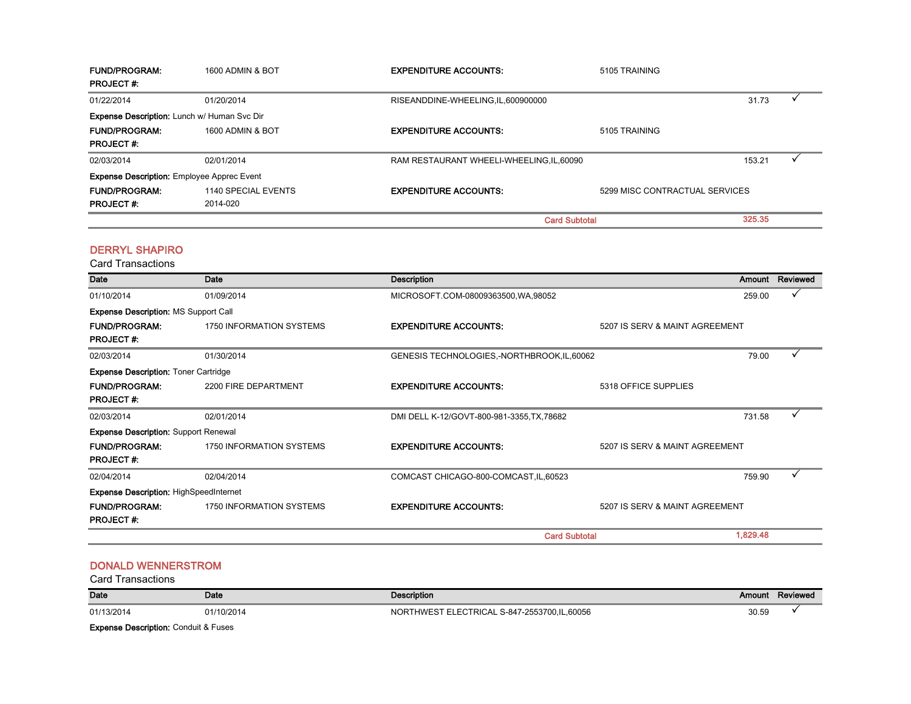| <b>FUND/PROGRAM:</b><br><b>PROJECT#:</b>          | 1600 ADMIN & BOT    | <b>EXPENDITURE ACCOUNTS:</b>              | 5105 TRAINING        |                                |  |
|---------------------------------------------------|---------------------|-------------------------------------------|----------------------|--------------------------------|--|
| 01/22/2014                                        | 01/20/2014          | RISEANDDINE-WHEELING, IL, 600900000       |                      | 31.73                          |  |
| Expense Description: Lunch w/ Human Svc Dir       |                     |                                           |                      |                                |  |
| <b>FUND/PROGRAM:</b>                              | 1600 ADMIN & BOT    | <b>EXPENDITURE ACCOUNTS:</b>              | 5105 TRAINING        |                                |  |
| <b>PROJECT#:</b>                                  |                     |                                           |                      |                                |  |
| 02/03/2014                                        | 02/01/2014          | RAM RESTAURANT WHEELI-WHEELING, IL, 60090 |                      | 153.21                         |  |
| <b>Expense Description: Employee Apprec Event</b> |                     |                                           |                      |                                |  |
| <b>FUND/PROGRAM:</b>                              | 1140 SPECIAL EVENTS | <b>EXPENDITURE ACCOUNTS:</b>              |                      | 5299 MISC CONTRACTUAL SERVICES |  |
| <b>PROJECT#:</b>                                  | 2014-020            |                                           |                      |                                |  |
|                                                   |                     |                                           | <b>Card Subtotal</b> | 325.35                         |  |

#### DERRYL SHAPIRO

Card Transactions

| <b>Date</b>                                   | Date                     | Description                                 |                                |          | Amount Reviewed |
|-----------------------------------------------|--------------------------|---------------------------------------------|--------------------------------|----------|-----------------|
| 01/10/2014                                    | 01/09/2014               | MICROSOFT.COM-08009363500, WA, 98052        |                                | 259.00   |                 |
| <b>Expense Description: MS Support Call</b>   |                          |                                             |                                |          |                 |
| <b>FUND/PROGRAM:</b>                          | 1750 INFORMATION SYSTEMS | <b>EXPENDITURE ACCOUNTS:</b>                | 5207 IS SERV & MAINT AGREEMENT |          |                 |
| <b>PROJECT#:</b>                              |                          |                                             |                                |          |                 |
| 02/03/2014                                    | 01/30/2014               | GENESIS TECHNOLOGIES,-NORTHBROOK, IL, 60062 |                                | 79.00    |                 |
| <b>Expense Description: Toner Cartridge</b>   |                          |                                             |                                |          |                 |
| <b>FUND/PROGRAM:</b>                          | 2200 FIRE DEPARTMENT     | <b>EXPENDITURE ACCOUNTS:</b>                | 5318 OFFICE SUPPLIES           |          |                 |
| <b>PROJECT#:</b>                              |                          |                                             |                                |          |                 |
| 02/03/2014                                    | 02/01/2014               | DMI DELL K-12/GOVT-800-981-3355, TX, 78682  |                                | 731.58   | ✓               |
| <b>Expense Description: Support Renewal</b>   |                          |                                             |                                |          |                 |
| <b>FUND/PROGRAM:</b>                          | 1750 INFORMATION SYSTEMS | <b>EXPENDITURE ACCOUNTS:</b>                | 5207 IS SERV & MAINT AGREEMENT |          |                 |
| <b>PROJECT#:</b>                              |                          |                                             |                                |          |                 |
| 02/04/2014                                    | 02/04/2014               | COMCAST CHICAGO-800-COMCAST, IL, 60523      |                                | 759.90   |                 |
| <b>Expense Description: HighSpeedInternet</b> |                          |                                             |                                |          |                 |
| <b>FUND/PROGRAM:</b>                          | 1750 INFORMATION SYSTEMS | <b>EXPENDITURE ACCOUNTS:</b>                | 5207 IS SERV & MAINT AGREEMENT |          |                 |
| <b>PROJECT#:</b>                              |                          |                                             |                                |          |                 |
|                                               |                          | <b>Card Subtotal</b>                        |                                | 1,829.48 |                 |

#### DONALD WENNERSTROM

Card Transactions

| Date                                 | Date       | <b>Description</b>                          | Amount | Reviewed |  |
|--------------------------------------|------------|---------------------------------------------|--------|----------|--|
| 01/13/2014                           | 01/10/2014 | NORTHWEST ELECTRICAL S-847-2553700,IL,60056 | 30.59  |          |  |
| Evannon Benediction, Conduit 9 Eugen |            |                                             |        |          |  |

Expense Description: Conduit & Fuses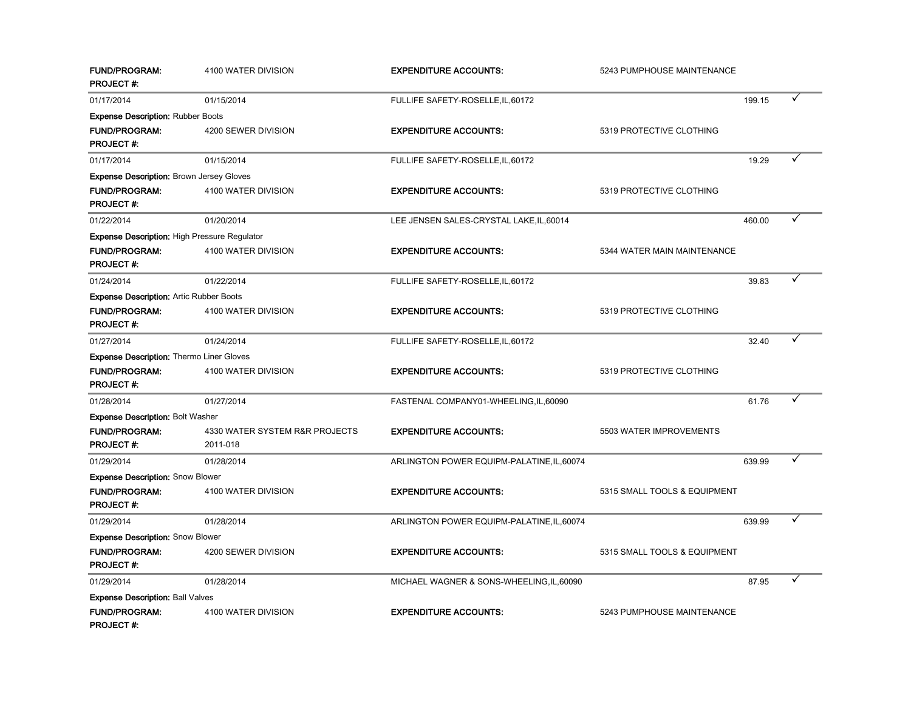| <b>FUND/PROGRAM:</b><br><b>PROJECT#:</b>        | 4100 WATER DIVISION                        | <b>EXPENDITURE ACCOUNTS:</b>               | 5243 PUMPHOUSE MAINTENANCE   |        |   |
|-------------------------------------------------|--------------------------------------------|--------------------------------------------|------------------------------|--------|---|
| 01/17/2014                                      | 01/15/2014                                 | FULLIFE SAFETY-ROSELLE, IL, 60172          |                              | 199.15 |   |
| <b>Expense Description: Rubber Boots</b>        |                                            |                                            |                              |        |   |
| <b>FUND/PROGRAM:</b><br><b>PROJECT#:</b>        | 4200 SEWER DIVISION                        | <b>EXPENDITURE ACCOUNTS:</b>               | 5319 PROTECTIVE CLOTHING     |        |   |
| 01/17/2014                                      | 01/15/2014                                 | FULLIFE SAFETY-ROSELLE, IL, 60172          |                              | 19.29  |   |
| <b>Expense Description: Brown Jersey Gloves</b> |                                            |                                            |                              |        |   |
| FUND/PROGRAM:<br><b>PROJECT#:</b>               | 4100 WATER DIVISION                        | <b>EXPENDITURE ACCOUNTS:</b>               | 5319 PROTECTIVE CLOTHING     |        |   |
| 01/22/2014                                      | 01/20/2014                                 | LEE JENSEN SALES-CRYSTAL LAKE, IL, 60014   |                              | 460.00 |   |
| Expense Description: High Pressure Regulator    |                                            |                                            |                              |        |   |
| <b>FUND/PROGRAM:</b><br><b>PROJECT#:</b>        | 4100 WATER DIVISION                        | <b>EXPENDITURE ACCOUNTS:</b>               | 5344 WATER MAIN MAINTENANCE  |        |   |
| 01/24/2014                                      | 01/22/2014                                 | FULLIFE SAFETY-ROSELLE, IL, 60172          |                              | 39.83  |   |
| <b>Expense Description: Artic Rubber Boots</b>  |                                            |                                            |                              |        |   |
| <b>FUND/PROGRAM:</b><br><b>PROJECT#:</b>        | 4100 WATER DIVISION                        | <b>EXPENDITURE ACCOUNTS:</b>               | 5319 PROTECTIVE CLOTHING     |        |   |
| 01/27/2014                                      | 01/24/2014                                 | FULLIFE SAFETY-ROSELLE, IL, 60172          |                              | 32.40  | ✓ |
| Expense Description: Thermo Liner Gloves        |                                            |                                            |                              |        |   |
| <b>FUND/PROGRAM:</b><br><b>PROJECT#:</b>        | 4100 WATER DIVISION                        | <b>EXPENDITURE ACCOUNTS:</b>               | 5319 PROTECTIVE CLOTHING     |        |   |
| 01/28/2014                                      | 01/27/2014                                 | FASTENAL COMPANY01-WHEELING,IL,60090       |                              | 61.76  |   |
| <b>Expense Description: Bolt Washer</b>         |                                            |                                            |                              |        |   |
| <b>FUND/PROGRAM:</b><br><b>PROJECT#:</b>        | 4330 WATER SYSTEM R&R PROJECTS<br>2011-018 | <b>EXPENDITURE ACCOUNTS:</b>               | 5503 WATER IMPROVEMENTS      |        |   |
| 01/29/2014                                      | 01/28/2014                                 | ARLINGTON POWER EQUIPM-PALATINE, IL, 60074 |                              | 639.99 |   |
| <b>Expense Description: Snow Blower</b>         |                                            |                                            |                              |        |   |
| <b>FUND/PROGRAM:</b><br><b>PROJECT#:</b>        | 4100 WATER DIVISION                        | <b>EXPENDITURE ACCOUNTS:</b>               | 5315 SMALL TOOLS & EQUIPMENT |        |   |
| 01/29/2014                                      | 01/28/2014                                 | ARLINGTON POWER EQUIPM-PALATINE, IL, 60074 |                              | 639.99 |   |
| <b>Expense Description: Snow Blower</b>         |                                            |                                            |                              |        |   |
| <b>FUND/PROGRAM:</b><br><b>PROJECT#:</b>        | 4200 SEWER DIVISION                        | <b>EXPENDITURE ACCOUNTS:</b>               | 5315 SMALL TOOLS & EQUIPMENT |        |   |
| 01/29/2014                                      | 01/28/2014                                 | MICHAEL WAGNER & SONS-WHEELING, IL, 60090  |                              | 87.95  |   |
| <b>Expense Description: Ball Valves</b>         |                                            |                                            |                              |        |   |
| <b>FUND/PROGRAM:</b><br>PROJECT #:              | 4100 WATER DIVISION                        | <b>EXPENDITURE ACCOUNTS:</b>               | 5243 PUMPHOUSE MAINTENANCE   |        |   |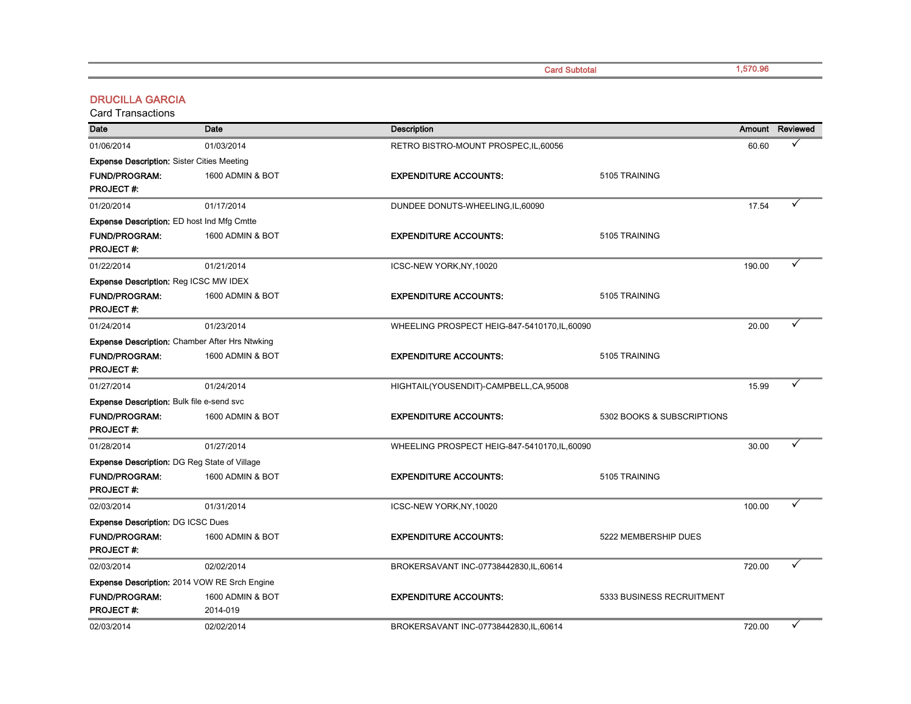Card Subtotal

1,570.96

#### DRUCILLA GARCIA

| Date                                                | <b>Date</b>                                           | <b>Description</b>                            |                            |        | Amount Reviewed |
|-----------------------------------------------------|-------------------------------------------------------|-----------------------------------------------|----------------------------|--------|-----------------|
| 01/06/2014                                          | 01/03/2014                                            | RETRO BISTRO-MOUNT PROSPEC, IL, 60056         |                            | 60.60  |                 |
| <b>Expense Description: Sister Cities Meeting</b>   |                                                       |                                               |                            |        |                 |
| <b>FUND/PROGRAM:</b>                                | 1600 ADMIN & BOT                                      | <b>EXPENDITURE ACCOUNTS:</b>                  | 5105 TRAINING              |        |                 |
| <b>PROJECT#:</b>                                    |                                                       |                                               |                            |        |                 |
| 01/20/2014                                          | 01/17/2014                                            | DUNDEE DONUTS-WHEELING, IL, 60090             |                            | 17.54  |                 |
| <b>Expense Description:</b> ED host Ind Mfg Cmtte   |                                                       |                                               |                            |        |                 |
| <b>FUND/PROGRAM:</b>                                | 1600 ADMIN & BOT                                      | <b>EXPENDITURE ACCOUNTS:</b>                  | 5105 TRAINING              |        |                 |
| <b>PROJECT#:</b>                                    |                                                       |                                               |                            |        |                 |
| 01/22/2014                                          | 01/21/2014                                            | ICSC-NEW YORK, NY, 10020                      |                            | 190.00 |                 |
| Expense Description: Reg ICSC MW IDEX               |                                                       |                                               |                            |        |                 |
| <b>FUND/PROGRAM:</b>                                | 1600 ADMIN & BOT                                      | <b>EXPENDITURE ACCOUNTS:</b>                  | 5105 TRAINING              |        |                 |
| <b>PROJECT#:</b>                                    |                                                       |                                               |                            |        |                 |
| 01/24/2014                                          | 01/23/2014                                            | WHEELING PROSPECT HEIG-847-5410170, IL, 60090 |                            | 20.00  |                 |
|                                                     | <b>Expense Description: Chamber After Hrs Ntwking</b> |                                               |                            |        |                 |
| <b>FUND/PROGRAM:</b>                                | 1600 ADMIN & BOT                                      | <b>EXPENDITURE ACCOUNTS:</b>                  | 5105 TRAINING              |        |                 |
| <b>PROJECT#:</b>                                    |                                                       |                                               |                            |        |                 |
| 01/27/2014                                          | 01/24/2014                                            | HIGHTAIL(YOUSENDIT)-CAMPBELL,CA,95008         |                            | 15.99  |                 |
| <b>Expense Description: Bulk file e-send svc</b>    |                                                       |                                               |                            |        |                 |
| <b>FUND/PROGRAM:</b>                                | 1600 ADMIN & BOT                                      | <b>EXPENDITURE ACCOUNTS:</b>                  | 5302 BOOKS & SUBSCRIPTIONS |        |                 |
| <b>PROJECT#:</b>                                    |                                                       |                                               |                            |        |                 |
| 01/28/2014                                          | 01/27/2014                                            | WHEELING PROSPECT HEIG-847-5410170, IL, 60090 |                            | 30.00  |                 |
| <b>Expense Description: DG Reg State of Village</b> |                                                       |                                               |                            |        |                 |
| <b>FUND/PROGRAM:</b>                                | 1600 ADMIN & BOT                                      | <b>EXPENDITURE ACCOUNTS:</b>                  | 5105 TRAINING              |        |                 |
| <b>PROJECT#:</b>                                    |                                                       |                                               |                            |        |                 |
| 02/03/2014                                          | 01/31/2014                                            | ICSC-NEW YORK, NY, 10020                      |                            | 100.00 |                 |
| <b>Expense Description: DG ICSC Dues</b>            |                                                       |                                               |                            |        |                 |
| <b>FUND/PROGRAM:</b>                                | 1600 ADMIN & BOT                                      | <b>EXPENDITURE ACCOUNTS:</b>                  | 5222 MEMBERSHIP DUES       |        |                 |
| <b>PROJECT#:</b>                                    |                                                       |                                               |                            |        |                 |
| 02/03/2014                                          | 02/02/2014                                            | BROKERSAVANT INC-07738442830,IL,60614         |                            | 720.00 |                 |
|                                                     | Expense Description: 2014 VOW RE Srch Engine          |                                               |                            |        |                 |
| <b>FUND/PROGRAM:</b>                                | 1600 ADMIN & BOT                                      | <b>EXPENDITURE ACCOUNTS:</b>                  | 5333 BUSINESS RECRUITMENT  |        |                 |
| <b>PROJECT#:</b>                                    | 2014-019                                              |                                               |                            |        |                 |
| 02/03/2014                                          | 02/02/2014                                            | BROKERSAVANT INC-07738442830, IL, 60614       |                            | 720.00 |                 |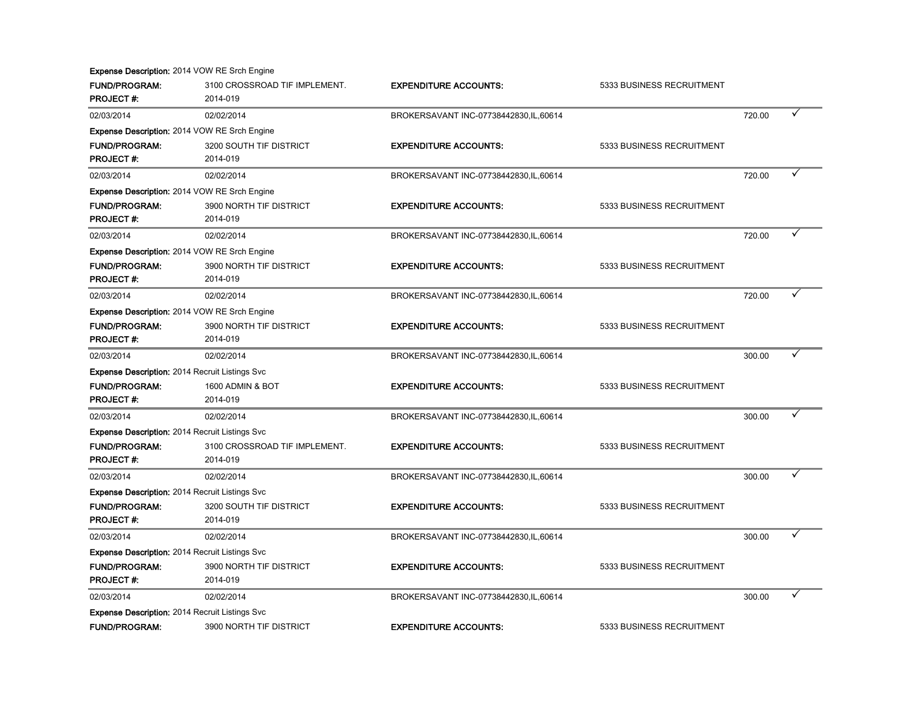|                                                       | Expense Description: 2014 VOW RE Srch Engine        |                                         |                           |        |   |
|-------------------------------------------------------|-----------------------------------------------------|-----------------------------------------|---------------------------|--------|---|
| <b>FUND/PROGRAM:</b>                                  | 3100 CROSSROAD TIF IMPLEMENT.                       | <b>EXPENDITURE ACCOUNTS:</b>            | 5333 BUSINESS RECRUITMENT |        |   |
| <b>PROJECT#:</b>                                      | 2014-019                                            |                                         |                           |        |   |
| 02/03/2014                                            | 02/02/2014                                          | BROKERSAVANT INC-07738442830,IL,60614   |                           | 720.00 | ✓ |
|                                                       | <b>Expense Description: 2014 VOW RE Srch Engine</b> |                                         |                           |        |   |
| <b>FUND/PROGRAM:</b>                                  | 3200 SOUTH TIF DISTRICT                             | <b>EXPENDITURE ACCOUNTS:</b>            | 5333 BUSINESS RECRUITMENT |        |   |
| <b>PROJECT#:</b>                                      | 2014-019                                            |                                         |                           |        |   |
| 02/03/2014                                            | 02/02/2014                                          | BROKERSAVANT INC-07738442830, IL, 60614 |                           | 720.00 |   |
|                                                       | <b>Expense Description: 2014 VOW RE Srch Engine</b> |                                         |                           |        |   |
| <b>FUND/PROGRAM:</b>                                  | 3900 NORTH TIF DISTRICT                             | <b>EXPENDITURE ACCOUNTS:</b>            | 5333 BUSINESS RECRUITMENT |        |   |
| <b>PROJECT#:</b>                                      | 2014-019                                            |                                         |                           |        |   |
| 02/03/2014                                            | 02/02/2014                                          | BROKERSAVANT INC-07738442830, IL, 60614 |                           | 720.00 |   |
|                                                       | Expense Description: 2014 VOW RE Srch Engine        |                                         |                           |        |   |
| <b>FUND/PROGRAM:</b>                                  | 3900 NORTH TIF DISTRICT                             | <b>EXPENDITURE ACCOUNTS:</b>            | 5333 BUSINESS RECRUITMENT |        |   |
| <b>PROJECT#:</b>                                      | 2014-019                                            |                                         |                           |        |   |
| 02/03/2014                                            | 02/02/2014                                          | BROKERSAVANT INC-07738442830.IL,60614   |                           | 720.00 |   |
|                                                       | Expense Description: 2014 VOW RE Srch Engine        |                                         |                           |        |   |
| <b>FUND/PROGRAM:</b>                                  | 3900 NORTH TIF DISTRICT                             | <b>EXPENDITURE ACCOUNTS:</b>            | 5333 BUSINESS RECRUITMENT |        |   |
| <b>PROJECT#:</b>                                      | 2014-019                                            |                                         |                           |        |   |
| 02/03/2014                                            | 02/02/2014                                          | BROKERSAVANT INC-07738442830, IL, 60614 |                           | 300.00 | ✓ |
| <b>Expense Description: 2014 Recruit Listings Svc</b> |                                                     |                                         |                           |        |   |
| <b>FUND/PROGRAM:</b>                                  | 1600 ADMIN & BOT                                    | <b>EXPENDITURE ACCOUNTS:</b>            | 5333 BUSINESS RECRUITMENT |        |   |
| <b>PROJECT#:</b>                                      | 2014-019                                            |                                         |                           |        |   |
| 02/03/2014                                            | 02/02/2014                                          | BROKERSAVANT INC-07738442830, IL, 60614 |                           | 300.00 |   |
| Expense Description: 2014 Recruit Listings Svc        |                                                     |                                         |                           |        |   |
| FUND/PROGRAM:                                         | 3100 CROSSROAD TIF IMPLEMENT.                       | <b>EXPENDITURE ACCOUNTS:</b>            | 5333 BUSINESS RECRUITMENT |        |   |
| <b>PROJECT#:</b>                                      | 2014-019                                            |                                         |                           |        |   |
| 02/03/2014                                            | 02/02/2014                                          | BROKERSAVANT INC-07738442830, IL, 60614 |                           | 300.00 |   |
| <b>Expense Description: 2014 Recruit Listings Svc</b> |                                                     |                                         |                           |        |   |
| <b>FUND/PROGRAM:</b>                                  | 3200 SOUTH TIF DISTRICT                             | <b>EXPENDITURE ACCOUNTS:</b>            | 5333 BUSINESS RECRUITMENT |        |   |
| PROJECT#:                                             | 2014-019                                            |                                         |                           |        |   |
| 02/03/2014                                            | 02/02/2014                                          | BROKERSAVANT INC-07738442830,IL,60614   |                           | 300.00 | ✓ |
| <b>Expense Description: 2014 Recruit Listings Svc</b> |                                                     |                                         |                           |        |   |
| <b>FUND/PROGRAM:</b>                                  | 3900 NORTH TIF DISTRICT                             | <b>EXPENDITURE ACCOUNTS:</b>            | 5333 BUSINESS RECRUITMENT |        |   |
| <b>PROJECT#:</b>                                      | 2014-019                                            |                                         |                           |        |   |
| 02/03/2014                                            | 02/02/2014                                          | BROKERSAVANT INC-07738442830, IL, 60614 |                           | 300.00 |   |
| <b>Expense Description: 2014 Recruit Listings Svc</b> |                                                     |                                         |                           |        |   |
| <b>FUND/PROGRAM:</b>                                  | 3900 NORTH TIF DISTRICT                             | <b>EXPENDITURE ACCOUNTS:</b>            | 5333 BUSINESS RECRUITMENT |        |   |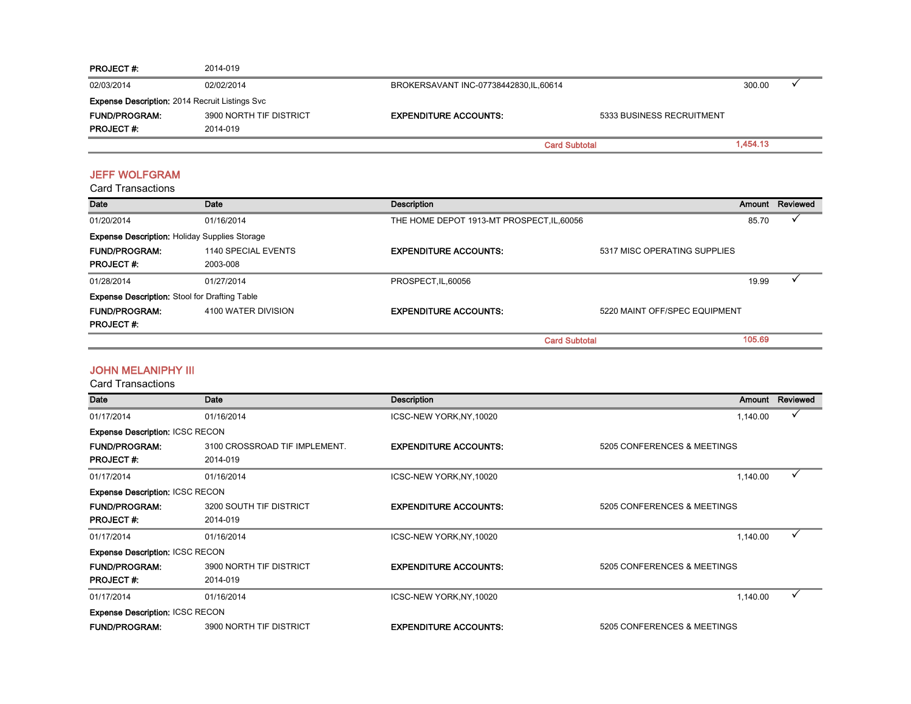| <b>PROJECT #:</b>                                     | 2014-019                |                                         |                           |          |  |
|-------------------------------------------------------|-------------------------|-----------------------------------------|---------------------------|----------|--|
| 02/03/2014                                            | 02/02/2014              | BROKERSAVANT INC-07738442830, IL, 60614 |                           | 300.00   |  |
| <b>Expense Description: 2014 Recruit Listings Svc</b> |                         |                                         |                           |          |  |
| <b>FUND/PROGRAM:</b>                                  | 3900 NORTH TIF DISTRICT | <b>EXPENDITURE ACCOUNTS:</b>            | 5333 BUSINESS RECRUITMENT |          |  |
| <b>PROJECT#:</b>                                      | 2014-019                |                                         |                           |          |  |
|                                                       |                         | <b>Card Subtotal</b>                    |                           | 1,454.13 |  |

#### JEFF WOLFGRAM

Card Transactions

| Date                                                 | Date                | Description                                |                               | Amount | Reviewed |
|------------------------------------------------------|---------------------|--------------------------------------------|-------------------------------|--------|----------|
| 01/20/2014                                           | 01/16/2014          | THE HOME DEPOT 1913-MT PROSPECT, IL, 60056 |                               | 85.70  |          |
| <b>Expense Description: Holiday Supplies Storage</b> |                     |                                            |                               |        |          |
| <b>FUND/PROGRAM:</b>                                 | 1140 SPECIAL EVENTS | <b>EXPENDITURE ACCOUNTS:</b>               | 5317 MISC OPERATING SUPPLIES  |        |          |
| <b>PROJECT#:</b>                                     | 2003-008            |                                            |                               |        |          |
| 01/28/2014                                           | 01/27/2014          | PROSPECT, IL, 60056                        |                               | 19.99  |          |
| <b>Expense Description:</b> Stool for Drafting Table |                     |                                            |                               |        |          |
| <b>FUND/PROGRAM:</b>                                 | 4100 WATER DIVISION | <b>EXPENDITURE ACCOUNTS:</b>               | 5220 MAINT OFF/SPEC EQUIPMENT |        |          |
| <b>PROJECT#:</b>                                     |                     |                                            |                               |        |          |
|                                                      |                     | <b>Card Subtotal</b>                       |                               | 105.69 |          |

#### JOHN MELANIPHY III

| Date                                   | Date                          | <b>Description</b>           |                             | Amount   | Reviewed |
|----------------------------------------|-------------------------------|------------------------------|-----------------------------|----------|----------|
| 01/17/2014                             | 01/16/2014                    | ICSC-NEW YORK, NY, 10020     |                             | 1,140.00 |          |
| <b>Expense Description: ICSC RECON</b> |                               |                              |                             |          |          |
| <b>FUND/PROGRAM:</b>                   | 3100 CROSSROAD TIF IMPLEMENT. | <b>EXPENDITURE ACCOUNTS:</b> | 5205 CONFERENCES & MEETINGS |          |          |
| <b>PROJECT#:</b>                       | 2014-019                      |                              |                             |          |          |
| 01/17/2014                             | 01/16/2014                    | ICSC-NEW YORK, NY, 10020     |                             | 1,140.00 |          |
| <b>Expense Description: ICSC RECON</b> |                               |                              |                             |          |          |
| <b>FUND/PROGRAM:</b>                   | 3200 SOUTH TIF DISTRICT       | <b>EXPENDITURE ACCOUNTS:</b> | 5205 CONFERENCES & MEETINGS |          |          |
| <b>PROJECT#:</b>                       | 2014-019                      |                              |                             |          |          |
| 01/17/2014                             | 01/16/2014                    | ICSC-NEW YORK, NY, 10020     |                             | 1,140.00 | ✓        |
| <b>Expense Description: ICSC RECON</b> |                               |                              |                             |          |          |
| <b>FUND/PROGRAM:</b>                   | 3900 NORTH TIF DISTRICT       | <b>EXPENDITURE ACCOUNTS:</b> | 5205 CONFERENCES & MEETINGS |          |          |
| <b>PROJECT#:</b>                       | 2014-019                      |                              |                             |          |          |
| 01/17/2014                             | 01/16/2014                    | ICSC-NEW YORK, NY, 10020     |                             | 1,140.00 |          |
| <b>Expense Description: ICSC RECON</b> |                               |                              |                             |          |          |
| <b>FUND/PROGRAM:</b>                   | 3900 NORTH TIF DISTRICT       | <b>EXPENDITURE ACCOUNTS:</b> | 5205 CONFERENCES & MEETINGS |          |          |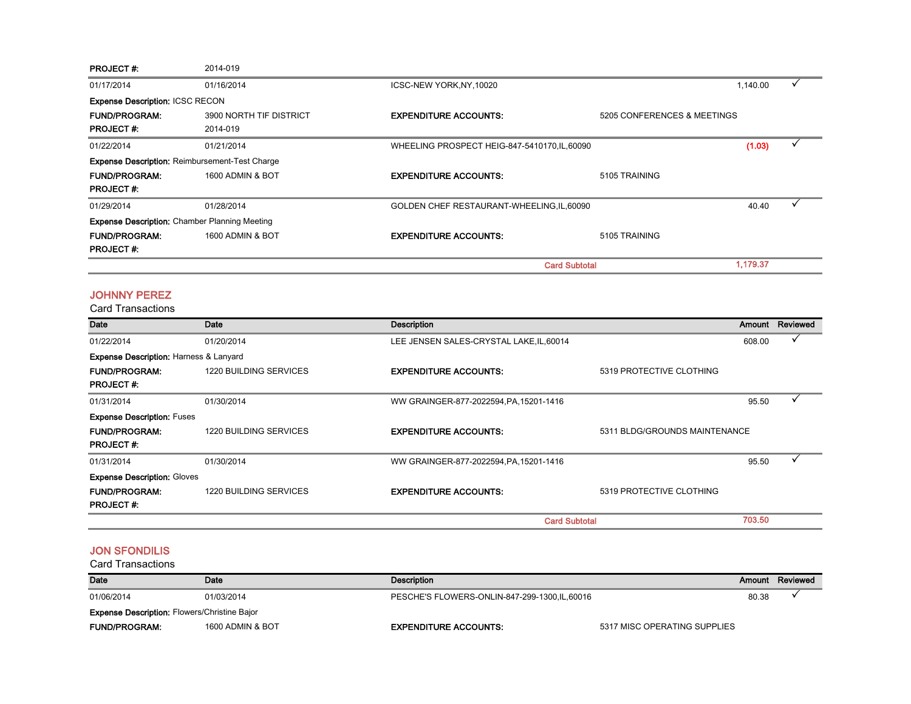| <b>PROJECT#:</b>                       | 2014-019                                              |                                               |                             |          |  |
|----------------------------------------|-------------------------------------------------------|-----------------------------------------------|-----------------------------|----------|--|
| 01/17/2014                             | 01/16/2014                                            | ICSC-NEW YORK, NY, 10020                      |                             | 1,140.00 |  |
| <b>Expense Description: ICSC RECON</b> |                                                       |                                               |                             |          |  |
| <b>FUND/PROGRAM:</b>                   | 3900 NORTH TIF DISTRICT                               | <b>EXPENDITURE ACCOUNTS:</b>                  | 5205 CONFERENCES & MEETINGS |          |  |
| <b>PROJECT#:</b>                       | 2014-019                                              |                                               |                             |          |  |
| 01/22/2014                             | 01/21/2014                                            | WHEELING PROSPECT HEIG-847-5410170, IL, 60090 |                             | (1.03)   |  |
|                                        | <b>Expense Description: Reimbursement-Test Charge</b> |                                               |                             |          |  |
| <b>FUND/PROGRAM:</b>                   | 1600 ADMIN & BOT                                      | <b>EXPENDITURE ACCOUNTS:</b>                  | 5105 TRAINING               |          |  |
| <b>PROJECT#:</b>                       |                                                       |                                               |                             |          |  |
| 01/29/2014                             | 01/28/2014                                            | GOLDEN CHEF RESTAURANT-WHEELING, IL, 60090    |                             | 40.40    |  |
|                                        | <b>Expense Description: Chamber Planning Meeting</b>  |                                               |                             |          |  |
| <b>FUND/PROGRAM:</b>                   | 1600 ADMIN & BOT                                      | <b>EXPENDITURE ACCOUNTS:</b>                  | 5105 TRAINING               |          |  |
| <b>PROJECT#:</b>                       |                                                       |                                               |                             |          |  |
|                                        |                                                       |                                               | <b>Card Subtotal</b>        | 1,179.37 |  |

#### JOHNNY PEREZ

Card Transactions

| Date                                              | Date                          | Description                              |                               | Amount | Reviewed |
|---------------------------------------------------|-------------------------------|------------------------------------------|-------------------------------|--------|----------|
| 01/22/2014                                        | 01/20/2014                    | LEE JENSEN SALES-CRYSTAL LAKE, IL, 60014 |                               | 608.00 |          |
| <b>Expense Description: Harness &amp; Lanyard</b> |                               |                                          |                               |        |          |
| <b>FUND/PROGRAM:</b>                              | 1220 BUILDING SERVICES        | <b>EXPENDITURE ACCOUNTS:</b>             | 5319 PROTECTIVE CLOTHING      |        |          |
| <b>PROJECT#:</b>                                  |                               |                                          |                               |        |          |
| 01/31/2014                                        | 01/30/2014                    | WW GRAINGER-877-2022594, PA, 15201-1416  |                               | 95.50  |          |
| <b>Expense Description: Fuses</b>                 |                               |                                          |                               |        |          |
| <b>FUND/PROGRAM:</b>                              | <b>1220 BUILDING SERVICES</b> | <b>EXPENDITURE ACCOUNTS:</b>             | 5311 BLDG/GROUNDS MAINTENANCE |        |          |
| <b>PROJECT#:</b>                                  |                               |                                          |                               |        |          |
| 01/31/2014                                        | 01/30/2014                    | WW GRAINGER-877-2022594, PA, 15201-1416  |                               | 95.50  |          |
| <b>Expense Description: Gloves</b>                |                               |                                          |                               |        |          |
| <b>FUND/PROGRAM:</b>                              | 1220 BUILDING SERVICES        | <b>EXPENDITURE ACCOUNTS:</b>             | 5319 PROTECTIVE CLOTHING      |        |          |
| <b>PROJECT#:</b>                                  |                               |                                          |                               |        |          |
|                                                   |                               | <b>Card Subtotal</b>                     |                               | 703.50 |          |

#### JON SFONDILIS

| <b>Date</b>          | Date                                                | Description                                  |                              |       | Amount Reviewed |  |
|----------------------|-----------------------------------------------------|----------------------------------------------|------------------------------|-------|-----------------|--|
| 01/06/2014           | 01/03/2014                                          | PESCHE'S FLOWERS-ONLIN-847-299-1300.IL.60016 |                              | 80.38 |                 |  |
|                      | <b>Expense Description:</b> Flowers/Christine Bajor |                                              |                              |       |                 |  |
| <b>FUND/PROGRAM:</b> | 1600 ADMIN & BOT                                    | <b>EXPENDITURE ACCOUNTS:</b>                 | 5317 MISC OPERATING SUPPLIES |       |                 |  |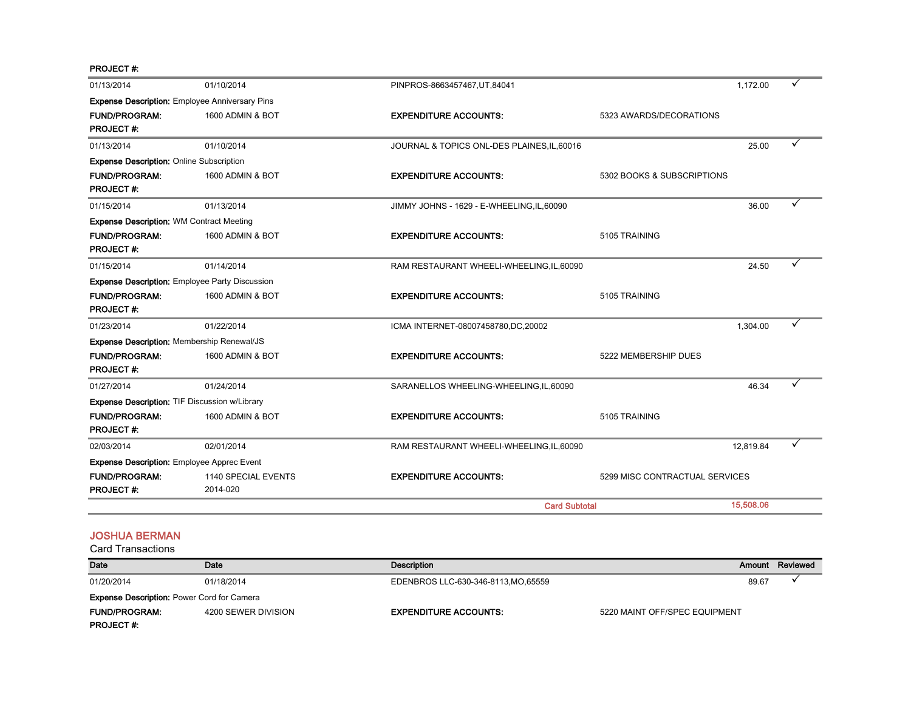PROJECT #:

| 01/13/2014                                            | 01/10/2014                                            | PINPROS-8663457467, UT, 84041               |                                | 1,172.00  |  |
|-------------------------------------------------------|-------------------------------------------------------|---------------------------------------------|--------------------------------|-----------|--|
|                                                       | <b>Expense Description:</b> Employee Anniversary Pins |                                             |                                |           |  |
| <b>FUND/PROGRAM:</b><br><b>PROJECT#:</b>              | 1600 ADMIN & BOT                                      | <b>EXPENDITURE ACCOUNTS:</b>                | 5323 AWARDS/DECORATIONS        |           |  |
| 01/13/2014                                            | 01/10/2014                                            | JOURNAL & TOPICS ONL-DES PLAINES, IL, 60016 |                                | 25.00     |  |
| <b>Expense Description: Online Subscription</b>       |                                                       |                                             |                                |           |  |
| <b>FUND/PROGRAM:</b><br><b>PROJECT#:</b>              | 1600 ADMIN & BOT                                      | <b>EXPENDITURE ACCOUNTS:</b>                | 5302 BOOKS & SUBSCRIPTIONS     |           |  |
| 01/15/2014                                            | 01/13/2014                                            | JIMMY JOHNS - 1629 - E-WHEELING, IL, 60090  |                                | 36.00     |  |
| <b>Expense Description: WM Contract Meeting</b>       |                                                       |                                             |                                |           |  |
| <b>FUND/PROGRAM:</b><br><b>PROJECT#:</b>              | 1600 ADMIN & BOT                                      | <b>EXPENDITURE ACCOUNTS:</b>                | 5105 TRAINING                  |           |  |
| 01/15/2014                                            | 01/14/2014                                            | RAM RESTAURANT WHEELI-WHEELING, IL, 60090   |                                | 24.50     |  |
| <b>Expense Description: Employee Party Discussion</b> |                                                       |                                             |                                |           |  |
| <b>FUND/PROGRAM:</b><br><b>PROJECT#:</b>              | 1600 ADMIN & BOT                                      | <b>EXPENDITURE ACCOUNTS:</b>                | 5105 TRAINING                  |           |  |
| 01/23/2014                                            | 01/22/2014                                            | ICMA INTERNET-08007458780,DC,20002          |                                | 1,304.00  |  |
| Expense Description: Membership Renewal/JS            |                                                       |                                             |                                |           |  |
| <b>FUND/PROGRAM:</b><br><b>PROJECT#:</b>              | 1600 ADMIN & BOT                                      | <b>EXPENDITURE ACCOUNTS:</b>                | 5222 MEMBERSHIP DUES           |           |  |
| 01/27/2014                                            | 01/24/2014                                            | SARANELLOS WHEELING-WHEELING,IL,60090       |                                | 46.34     |  |
| Expense Description: TIF Discussion w/Library         |                                                       |                                             |                                |           |  |
| <b>FUND/PROGRAM:</b><br><b>PROJECT#:</b>              | 1600 ADMIN & BOT                                      | <b>EXPENDITURE ACCOUNTS:</b>                | 5105 TRAINING                  |           |  |
| 02/03/2014                                            | 02/01/2014                                            | RAM RESTAURANT WHEELI-WHEELING, IL, 60090   |                                | 12,819.84 |  |
| <b>Expense Description:</b> Employee Apprec Event     |                                                       |                                             |                                |           |  |
| <b>FUND/PROGRAM:</b><br><b>PROJECT#:</b>              | 1140 SPECIAL EVENTS<br>2014-020                       | <b>EXPENDITURE ACCOUNTS:</b>                | 5299 MISC CONTRACTUAL SERVICES |           |  |
|                                                       |                                                       | <b>Card Subtotal</b>                        |                                | 15,508.06 |  |

#### JOSHUA BERMAN

| Date                                              | Date                | Description                         |                               | Amount Reviewed |
|---------------------------------------------------|---------------------|-------------------------------------|-------------------------------|-----------------|
| 01/20/2014                                        | 01/18/2014          | EDENBROS LLC-630-346-8113, MO.65559 | 89.67                         |                 |
| <b>Expense Description: Power Cord for Camera</b> |                     |                                     |                               |                 |
| <b>FUND/PROGRAM:</b>                              | 4200 SEWER DIVISION | <b>EXPENDITURE ACCOUNTS:</b>        | 5220 MAINT OFF/SPEC EQUIPMENT |                 |
| <b>PROJECT#:</b>                                  |                     |                                     |                               |                 |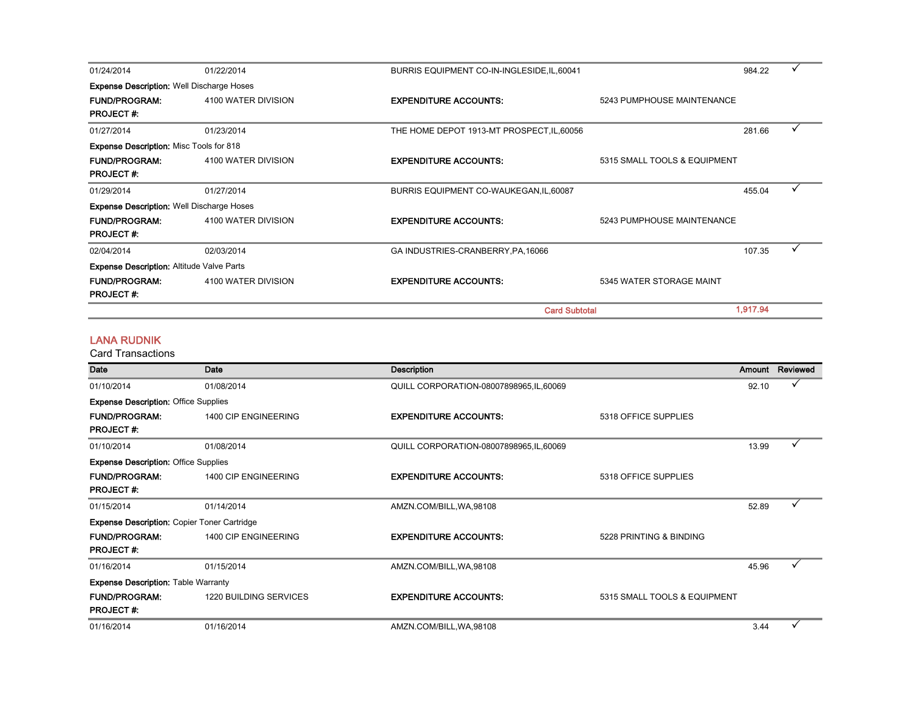| 01/24/2014                                       | 01/22/2014          | BURRIS EQUIPMENT CO-IN-INGLESIDE, IL, 60041 |                              | 984.22   |  |
|--------------------------------------------------|---------------------|---------------------------------------------|------------------------------|----------|--|
| <b>Expense Description:</b> Well Discharge Hoses |                     |                                             |                              |          |  |
| <b>FUND/PROGRAM:</b>                             | 4100 WATER DIVISION | <b>EXPENDITURE ACCOUNTS:</b>                | 5243 PUMPHOUSE MAINTENANCE   |          |  |
| <b>PROJECT#:</b>                                 |                     |                                             |                              |          |  |
| 01/27/2014                                       | 01/23/2014          | THE HOME DEPOT 1913-MT PROSPECT, IL, 60056  |                              | 281.66   |  |
| <b>Expense Description: Misc Tools for 818</b>   |                     |                                             |                              |          |  |
| <b>FUND/PROGRAM:</b>                             | 4100 WATER DIVISION | <b>EXPENDITURE ACCOUNTS:</b>                | 5315 SMALL TOOLS & EQUIPMENT |          |  |
| <b>PROJECT#:</b>                                 |                     |                                             |                              |          |  |
| 01/29/2014                                       | 01/27/2014          | BURRIS EQUIPMENT CO-WAUKEGAN, IL, 60087     |                              | 455.04   |  |
| <b>Expense Description: Well Discharge Hoses</b> |                     |                                             |                              |          |  |
| <b>FUND/PROGRAM:</b>                             | 4100 WATER DIVISION | <b>EXPENDITURE ACCOUNTS:</b>                | 5243 PUMPHOUSE MAINTENANCE   |          |  |
| <b>PROJECT#:</b>                                 |                     |                                             |                              |          |  |
| 02/04/2014                                       | 02/03/2014          | GA INDUSTRIES-CRANBERRY, PA, 16066          |                              | 107.35   |  |
| <b>Expense Description: Altitude Valve Parts</b> |                     |                                             |                              |          |  |
| <b>FUND/PROGRAM:</b>                             | 4100 WATER DIVISION | <b>EXPENDITURE ACCOUNTS:</b>                | 5345 WATER STORAGE MAINT     |          |  |
| <b>PROJECT#:</b>                                 |                     |                                             |                              |          |  |
|                                                  |                     | <b>Card Subtotal</b>                        |                              | 1,917.94 |  |

#### LANA RUDNIK

Card Transactions

| Date                                               | Date                          | <b>Description</b>                       |                              |       | Amount Reviewed |
|----------------------------------------------------|-------------------------------|------------------------------------------|------------------------------|-------|-----------------|
| 01/10/2014                                         | 01/08/2014                    | QUILL CORPORATION-08007898965, IL, 60069 |                              | 92.10 |                 |
| <b>Expense Description: Office Supplies</b>        |                               |                                          |                              |       |                 |
| <b>FUND/PROGRAM:</b><br><b>PROJECT#:</b>           | 1400 CIP ENGINEERING          | <b>EXPENDITURE ACCOUNTS:</b>             | 5318 OFFICE SUPPLIES         |       |                 |
| 01/10/2014                                         | 01/08/2014                    | QUILL CORPORATION-08007898965, IL, 60069 |                              | 13.99 |                 |
| <b>Expense Description: Office Supplies</b>        |                               |                                          |                              |       |                 |
| <b>FUND/PROGRAM:</b>                               | 1400 CIP ENGINEERING          | <b>EXPENDITURE ACCOUNTS:</b>             | 5318 OFFICE SUPPLIES         |       |                 |
| <b>PROJECT#:</b>                                   |                               |                                          |                              |       |                 |
| 01/15/2014                                         | 01/14/2014                    | AMZN.COM/BILL, WA, 98108                 |                              | 52.89 |                 |
| <b>Expense Description: Copier Toner Cartridge</b> |                               |                                          |                              |       |                 |
| <b>FUND/PROGRAM:</b>                               | 1400 CIP ENGINEERING          | <b>EXPENDITURE ACCOUNTS:</b>             | 5228 PRINTING & BINDING      |       |                 |
| <b>PROJECT#:</b>                                   |                               |                                          |                              |       |                 |
| 01/16/2014                                         | 01/15/2014                    | AMZN.COM/BILL, WA, 98108                 |                              | 45.96 |                 |
| <b>Expense Description: Table Warranty</b>         |                               |                                          |                              |       |                 |
| <b>FUND/PROGRAM:</b>                               | <b>1220 BUILDING SERVICES</b> | <b>EXPENDITURE ACCOUNTS:</b>             | 5315 SMALL TOOLS & EQUIPMENT |       |                 |
| <b>PROJECT#:</b>                                   |                               |                                          |                              |       |                 |
| 01/16/2014                                         | 01/16/2014                    | AMZN.COM/BILL, WA, 98108                 |                              | 3.44  |                 |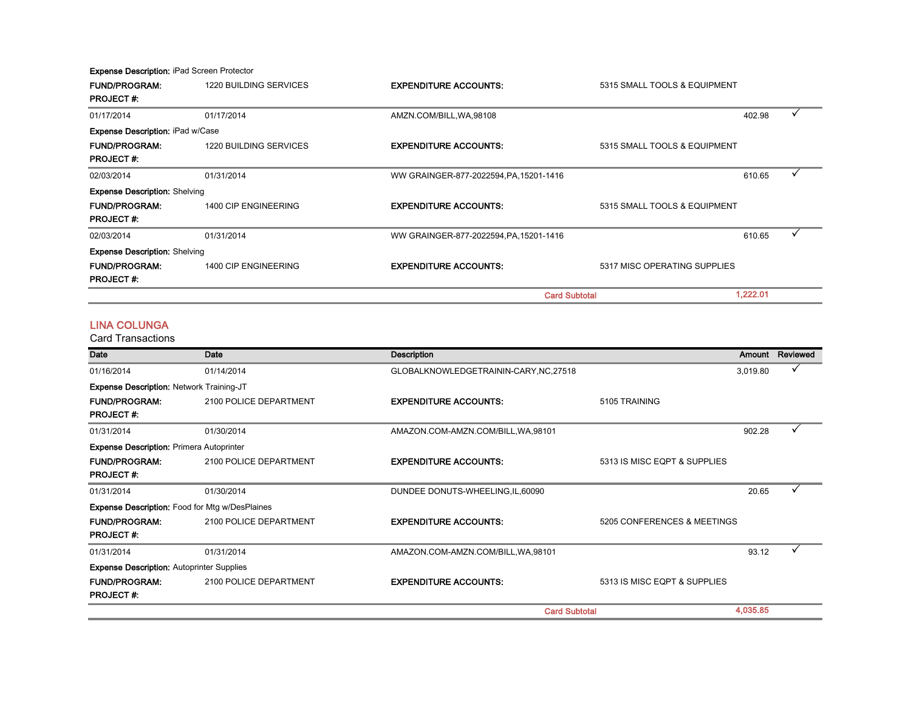Expense Description: iPad Screen Protector

| <b>FUND/PROGRAM:</b>                    | 1220 BUILDING SERVICES | <b>EXPENDITURE ACCOUNTS:</b>            | 5315 SMALL TOOLS & EQUIPMENT |          |   |
|-----------------------------------------|------------------------|-----------------------------------------|------------------------------|----------|---|
| <b>PROJECT#:</b>                        |                        |                                         |                              |          |   |
| 01/17/2014                              | 01/17/2014             | AMZN.COM/BILL, WA, 98108                |                              | 402.98   |   |
| <b>Expense Description: iPad w/Case</b> |                        |                                         |                              |          |   |
| <b>FUND/PROGRAM:</b>                    | 1220 BUILDING SERVICES | <b>EXPENDITURE ACCOUNTS:</b>            | 5315 SMALL TOOLS & EQUIPMENT |          |   |
| <b>PROJECT#:</b>                        |                        |                                         |                              |          |   |
| 02/03/2014                              | 01/31/2014             | WW GRAINGER-877-2022594, PA, 15201-1416 |                              | 610.65   | ✓ |
| <b>Expense Description: Shelving</b>    |                        |                                         |                              |          |   |
| <b>FUND/PROGRAM:</b>                    | 1400 CIP ENGINEERING   | <b>EXPENDITURE ACCOUNTS:</b>            | 5315 SMALL TOOLS & EQUIPMENT |          |   |
| <b>PROJECT#:</b>                        |                        |                                         |                              |          |   |
| 02/03/2014                              | 01/31/2014             | WW GRAINGER-877-2022594, PA, 15201-1416 |                              | 610.65   | ✓ |
| <b>Expense Description: Shelving</b>    |                        |                                         |                              |          |   |
| <b>FUND/PROGRAM:</b>                    | 1400 CIP ENGINEERING   | <b>EXPENDITURE ACCOUNTS:</b>            | 5317 MISC OPERATING SUPPLIES |          |   |
| <b>PROJECT#:</b>                        |                        |                                         |                              |          |   |
|                                         |                        | <b>Card Subtotal</b>                    |                              | 1,222.01 |   |

#### LINA COLUNGA

| Date                                                  | Date                   | <b>Description</b>                     |                              | Amount   | Reviewed |
|-------------------------------------------------------|------------------------|----------------------------------------|------------------------------|----------|----------|
| 01/16/2014                                            | 01/14/2014             | GLOBALKNOWLEDGETRAININ-CARY, NC, 27518 |                              | 3,019.80 | v        |
| Expense Description: Network Training-JT              |                        |                                        |                              |          |          |
| <b>FUND/PROGRAM:</b><br><b>PROJECT#:</b>              | 2100 POLICE DEPARTMENT | <b>EXPENDITURE ACCOUNTS:</b>           | 5105 TRAINING                |          |          |
| 01/31/2014                                            | 01/30/2014             | AMAZON.COM-AMZN.COM/BILL, WA, 98101    |                              | 902.28   |          |
| <b>Expense Description: Primera Autoprinter</b>       |                        |                                        |                              |          |          |
| <b>FUND/PROGRAM:</b><br><b>PROJECT#:</b>              | 2100 POLICE DEPARTMENT | <b>EXPENDITURE ACCOUNTS:</b>           | 5313 IS MISC EQPT & SUPPLIES |          |          |
| 01/31/2014                                            | 01/30/2014             | DUNDEE DONUTS-WHEELING, IL, 60090      |                              | 20.65    |          |
| <b>Expense Description:</b> Food for Mtg w/DesPlaines |                        |                                        |                              |          |          |
| <b>FUND/PROGRAM:</b><br><b>PROJECT#:</b>              | 2100 POLICE DEPARTMENT | <b>EXPENDITURE ACCOUNTS:</b>           | 5205 CONFERENCES & MEETINGS  |          |          |
| 01/31/2014                                            | 01/31/2014             | AMAZON.COM-AMZN.COM/BILL, WA, 98101    |                              | 93.12    | ✓        |
| <b>Expense Description: Autoprinter Supplies</b>      |                        |                                        |                              |          |          |
| <b>FUND/PROGRAM:</b><br><b>PROJECT#:</b>              | 2100 POLICE DEPARTMENT | <b>EXPENDITURE ACCOUNTS:</b>           | 5313 IS MISC EQPT & SUPPLIES |          |          |
|                                                       |                        | <b>Card Subtotal</b>                   |                              | 4,035.85 |          |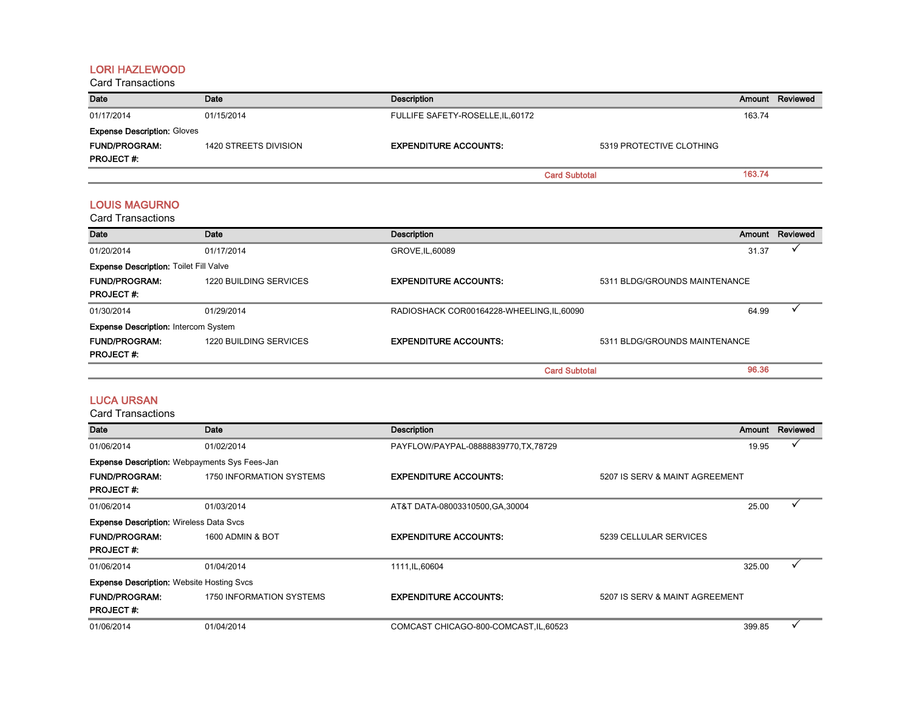#### LORI HAZLEWOOD

Card Transactions

| Date                               | Date                  | Description                       |                          | Amount | Reviewed |
|------------------------------------|-----------------------|-----------------------------------|--------------------------|--------|----------|
| 01/17/2014                         | 01/15/2014            | FULLIFE SAFETY-ROSELLE, IL, 60172 |                          | 163.74 |          |
| <b>Expense Description: Gloves</b> |                       |                                   |                          |        |          |
| <b>FUND/PROGRAM:</b>               | 1420 STREETS DIVISION | <b>EXPENDITURE ACCOUNTS:</b>      | 5319 PROTECTIVE CLOTHING |        |          |
| <b>PROJECT#:</b>                   |                       |                                   |                          |        |          |
|                                    |                       |                                   | <b>Card Subtotal</b>     | 163.74 |          |

#### LOUIS MAGURNO

Card Transactions

| Date                                          | Date                   | Description                                |                               | Amount | Reviewed |
|-----------------------------------------------|------------------------|--------------------------------------------|-------------------------------|--------|----------|
| 01/20/2014                                    | 01/17/2014             | GROVE, IL, 60089                           |                               | 31.37  |          |
| <b>Expense Description: Toilet Fill Valve</b> |                        |                                            |                               |        |          |
| <b>FUND/PROGRAM:</b>                          | 1220 BUILDING SERVICES | <b>EXPENDITURE ACCOUNTS:</b>               | 5311 BLDG/GROUNDS MAINTENANCE |        |          |
| <b>PROJECT#:</b>                              |                        |                                            |                               |        |          |
| 01/30/2014                                    | 01/29/2014             | RADIOSHACK COR00164228-WHEELING, IL, 60090 |                               | 64.99  |          |
| <b>Expense Description: Intercom System</b>   |                        |                                            |                               |        |          |
| <b>FUND/PROGRAM:</b>                          | 1220 BUILDING SERVICES | <b>EXPENDITURE ACCOUNTS:</b>               | 5311 BLDG/GROUNDS MAINTENANCE |        |          |
| <b>PROJECT#:</b>                              |                        |                                            |                               |        |          |
|                                               |                        | <b>Card Subtotal</b>                       |                               | 96.36  |          |

#### LUCA URSAN

| Date                                                 | Date                            | <b>Description</b>                     |                                | Amount | Reviewed |
|------------------------------------------------------|---------------------------------|----------------------------------------|--------------------------------|--------|----------|
| 01/06/2014                                           | 01/02/2014                      | PAYFLOW/PAYPAL-08888839770, TX, 78729  |                                | 19.95  |          |
| <b>Expense Description:</b> Webpayments Sys Fees-Jan |                                 |                                        |                                |        |          |
| <b>FUND/PROGRAM:</b>                                 | <b>1750 INFORMATION SYSTEMS</b> | <b>EXPENDITURE ACCOUNTS:</b>           | 5207 IS SERV & MAINT AGREEMENT |        |          |
| <b>PROJECT#:</b>                                     |                                 |                                        |                                |        |          |
| 01/06/2014                                           | 01/03/2014                      | AT&T DATA-08003310500, GA, 30004       |                                | 25.00  |          |
| <b>Expense Description: Wireless Data Svcs</b>       |                                 |                                        |                                |        |          |
| <b>FUND/PROGRAM:</b>                                 | 1600 ADMIN & BOT                | <b>EXPENDITURE ACCOUNTS:</b>           | 5239 CELLULAR SERVICES         |        |          |
| <b>PROJECT#:</b>                                     |                                 |                                        |                                |        |          |
| 01/06/2014                                           | 01/04/2014                      | 1111, IL, 60604                        |                                | 325.00 | ✓        |
| <b>Expense Description: Website Hosting Svcs</b>     |                                 |                                        |                                |        |          |
| <b>FUND/PROGRAM:</b>                                 | <b>1750 INFORMATION SYSTEMS</b> | <b>EXPENDITURE ACCOUNTS:</b>           | 5207 IS SERV & MAINT AGREEMENT |        |          |
| <b>PROJECT#:</b>                                     |                                 |                                        |                                |        |          |
| 01/06/2014                                           | 01/04/2014                      | COMCAST CHICAGO-800-COMCAST, IL, 60523 |                                | 399.85 |          |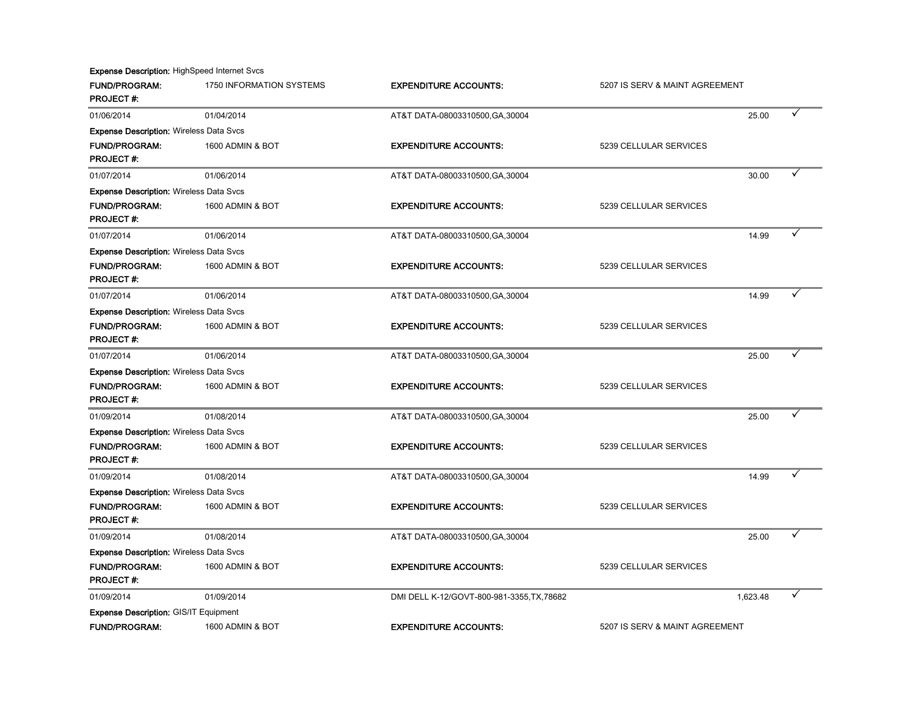Expense Description: HighSpeed Internet Svcs

| <b>FUND/PROGRAM:</b><br><b>PROJECT#:</b>       | 1750 INFORMATION SYSTEMS | <b>EXPENDITURE ACCOUNTS:</b>               | 5207 IS SERV & MAINT AGREEMENT |          |   |
|------------------------------------------------|--------------------------|--------------------------------------------|--------------------------------|----------|---|
| 01/06/2014                                     | 01/04/2014               | AT&T DATA-08003310500, GA, 30004           |                                | 25.00    |   |
| <b>Expense Description: Wireless Data Svcs</b> |                          |                                            |                                |          |   |
| <b>FUND/PROGRAM:</b>                           | 1600 ADMIN & BOT         | <b>EXPENDITURE ACCOUNTS:</b>               | 5239 CELLULAR SERVICES         |          |   |
| <b>PROJECT#:</b>                               |                          |                                            |                                |          |   |
| 01/07/2014                                     | 01/06/2014               | AT&T DATA-08003310500, GA, 30004           |                                | 30.00    |   |
| <b>Expense Description: Wireless Data Svcs</b> |                          |                                            |                                |          |   |
| <b>FUND/PROGRAM:</b>                           | 1600 ADMIN & BOT         | <b>EXPENDITURE ACCOUNTS:</b>               | 5239 CELLULAR SERVICES         |          |   |
| <b>PROJECT#:</b>                               |                          |                                            |                                |          |   |
| 01/07/2014                                     | 01/06/2014               | AT&T DATA-08003310500, GA, 30004           |                                | 14.99    |   |
| <b>Expense Description: Wireless Data Svcs</b> |                          |                                            |                                |          |   |
| <b>FUND/PROGRAM:</b>                           | 1600 ADMIN & BOT         | <b>EXPENDITURE ACCOUNTS:</b>               | 5239 CELLULAR SERVICES         |          |   |
| <b>PROJECT#:</b>                               |                          |                                            |                                |          |   |
| 01/07/2014                                     | 01/06/2014               | AT&T DATA-08003310500, GA, 30004           |                                | 14.99    |   |
| <b>Expense Description: Wireless Data Svcs</b> |                          |                                            |                                |          |   |
| <b>FUND/PROGRAM:</b>                           | 1600 ADMIN & BOT         | <b>EXPENDITURE ACCOUNTS:</b>               | 5239 CELLULAR SERVICES         |          |   |
| <b>PROJECT#:</b>                               |                          |                                            |                                |          |   |
| 01/07/2014                                     | 01/06/2014               | AT&T DATA-08003310500, GA, 30004           |                                | 25.00    |   |
| <b>Expense Description: Wireless Data Svcs</b> |                          |                                            |                                |          |   |
| <b>FUND/PROGRAM:</b>                           | 1600 ADMIN & BOT         | <b>EXPENDITURE ACCOUNTS:</b>               | 5239 CELLULAR SERVICES         |          |   |
| <b>PROJECT#:</b>                               |                          |                                            |                                |          |   |
| 01/09/2014                                     | 01/08/2014               | AT&T DATA-08003310500, GA, 30004           |                                | 25.00    |   |
| <b>Expense Description: Wireless Data Svcs</b> |                          |                                            |                                |          |   |
| <b>FUND/PROGRAM:</b>                           | 1600 ADMIN & BOT         | <b>EXPENDITURE ACCOUNTS:</b>               | 5239 CELLULAR SERVICES         |          |   |
| <b>PROJECT#:</b>                               |                          |                                            |                                |          |   |
| 01/09/2014                                     | 01/08/2014               | AT&T DATA-08003310500, GA, 30004           |                                | 14.99    |   |
| <b>Expense Description: Wireless Data Svcs</b> |                          |                                            |                                |          |   |
| <b>FUND/PROGRAM:</b>                           | 1600 ADMIN & BOT         | <b>EXPENDITURE ACCOUNTS:</b>               | 5239 CELLULAR SERVICES         |          |   |
| <b>PROJECT#:</b>                               |                          |                                            |                                |          |   |
| 01/09/2014                                     | 01/08/2014               | AT&T DATA-08003310500, GA, 30004           |                                | 25.00    |   |
| <b>Expense Description: Wireless Data Svcs</b> |                          |                                            |                                |          |   |
| <b>FUND/PROGRAM:</b>                           | 1600 ADMIN & BOT         | <b>EXPENDITURE ACCOUNTS:</b>               | 5239 CELLULAR SERVICES         |          |   |
| <b>PROJECT#:</b>                               |                          |                                            |                                |          |   |
| 01/09/2014                                     | 01/09/2014               | DMI DELL K-12/GOVT-800-981-3355, TX, 78682 |                                | 1,623.48 | ✓ |
| <b>Expense Description: GIS/IT Equipment</b>   |                          |                                            |                                |          |   |
| <b>FUND/PROGRAM:</b>                           | 1600 ADMIN & BOT         | <b>EXPENDITURE ACCOUNTS:</b>               | 5207 IS SERV & MAINT AGREEMENT |          |   |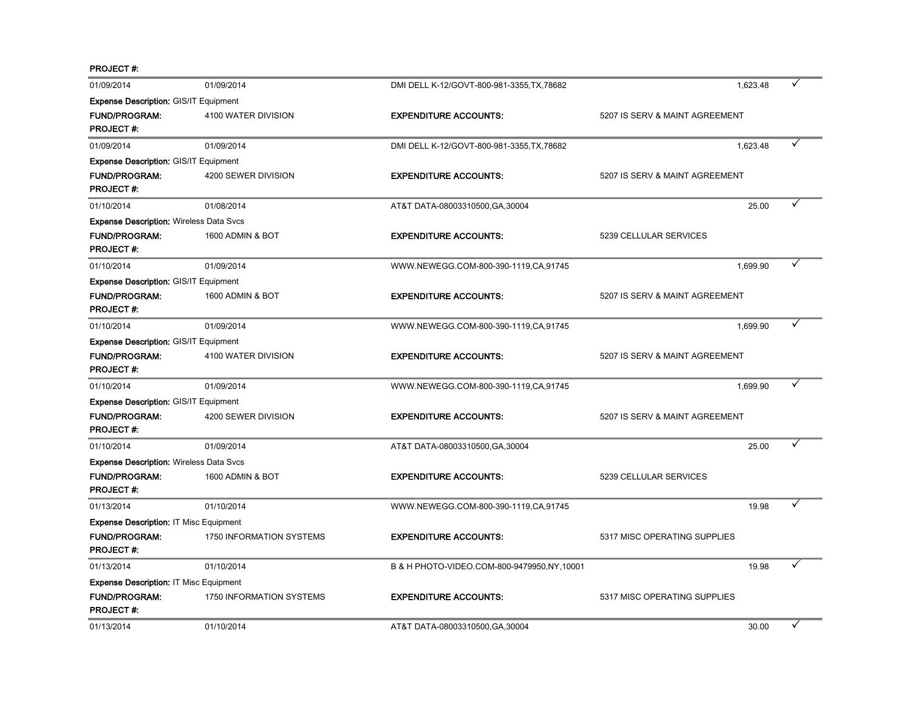PROJECT #:

| 01/09/2014                                     | 01/09/2014               | DMI DELL K-12/GOVT-800-981-3355, TX, 78682 | 1,623.48                       |       |   |
|------------------------------------------------|--------------------------|--------------------------------------------|--------------------------------|-------|---|
| Expense Description: GIS/IT Equipment          |                          |                                            |                                |       |   |
| <b>FUND/PROGRAM:</b><br><b>PROJECT#:</b>       | 4100 WATER DIVISION      | <b>EXPENDITURE ACCOUNTS:</b>               | 5207 IS SERV & MAINT AGREEMENT |       |   |
| 01/09/2014                                     | 01/09/2014               | DMI DELL K-12/GOVT-800-981-3355, TX, 78682 | 1,623.48                       |       |   |
| <b>Expense Description: GIS/IT Equipment</b>   |                          |                                            |                                |       |   |
| <b>FUND/PROGRAM:</b><br><b>PROJECT#:</b>       | 4200 SEWER DIVISION      | <b>EXPENDITURE ACCOUNTS:</b>               | 5207 IS SERV & MAINT AGREEMENT |       |   |
| 01/10/2014                                     | 01/08/2014               | AT&T DATA-08003310500, GA, 30004           |                                | 25.00 |   |
| <b>Expense Description: Wireless Data Svcs</b> |                          |                                            |                                |       |   |
| <b>FUND/PROGRAM:</b><br><b>PROJECT#:</b>       | 1600 ADMIN & BOT         | <b>EXPENDITURE ACCOUNTS:</b>               | 5239 CELLULAR SERVICES         |       |   |
| 01/10/2014                                     | 01/09/2014               | WWW.NEWEGG.COM-800-390-1119,CA,91745       | 1,699.90                       |       | ✓ |
| <b>Expense Description: GIS/IT Equipment</b>   |                          |                                            |                                |       |   |
| <b>FUND/PROGRAM:</b><br><b>PROJECT#:</b>       | 1600 ADMIN & BOT         | <b>EXPENDITURE ACCOUNTS:</b>               | 5207 IS SERV & MAINT AGREEMENT |       |   |
| 01/10/2014                                     | 01/09/2014               | WWW.NEWEGG.COM-800-390-1119.CA.91745       | 1.699.90                       |       | ✓ |
| <b>Expense Description: GIS/IT Equipment</b>   |                          |                                            |                                |       |   |
| <b>FUND/PROGRAM:</b><br><b>PROJECT#:</b>       | 4100 WATER DIVISION      | <b>EXPENDITURE ACCOUNTS:</b>               | 5207 IS SERV & MAINT AGREEMENT |       |   |
| 01/10/2014                                     | 01/09/2014               | WWW.NEWEGG.COM-800-390-1119,CA,91745       | 1,699.90                       |       | ✓ |
| Expense Description: GIS/IT Equipment          |                          |                                            |                                |       |   |
| <b>FUND/PROGRAM:</b><br><b>PROJECT#:</b>       | 4200 SEWER DIVISION      | <b>EXPENDITURE ACCOUNTS:</b>               | 5207 IS SERV & MAINT AGREEMENT |       |   |
| 01/10/2014                                     | 01/09/2014               | AT&T DATA-08003310500, GA, 30004           |                                | 25.00 |   |
| <b>Expense Description: Wireless Data Svcs</b> |                          |                                            |                                |       |   |
| <b>FUND/PROGRAM:</b><br><b>PROJECT#:</b>       | 1600 ADMIN & BOT         | <b>EXPENDITURE ACCOUNTS:</b>               | 5239 CELLULAR SERVICES         |       |   |
| 01/13/2014                                     | 01/10/2014               | WWW.NEWEGG.COM-800-390-1119,CA,91745       |                                | 19.98 |   |
| Expense Description: IT Misc Equipment         |                          |                                            |                                |       |   |
| <b>FUND/PROGRAM:</b><br><b>PROJECT#:</b>       | 1750 INFORMATION SYSTEMS | <b>EXPENDITURE ACCOUNTS:</b>               | 5317 MISC OPERATING SUPPLIES   |       |   |
| 01/13/2014                                     | 01/10/2014               | B & H PHOTO-VIDEO.COM-800-9479950,NY,10001 |                                | 19.98 |   |
| <b>Expense Description: IT Misc Equipment</b>  |                          |                                            |                                |       |   |
| <b>FUND/PROGRAM:</b><br><b>PROJECT#:</b>       | 1750 INFORMATION SYSTEMS | <b>EXPENDITURE ACCOUNTS:</b>               | 5317 MISC OPERATING SUPPLIES   |       |   |
| 01/13/2014                                     | 01/10/2014               | AT&T DATA-08003310500.GA.30004             |                                | 30.00 | ✓ |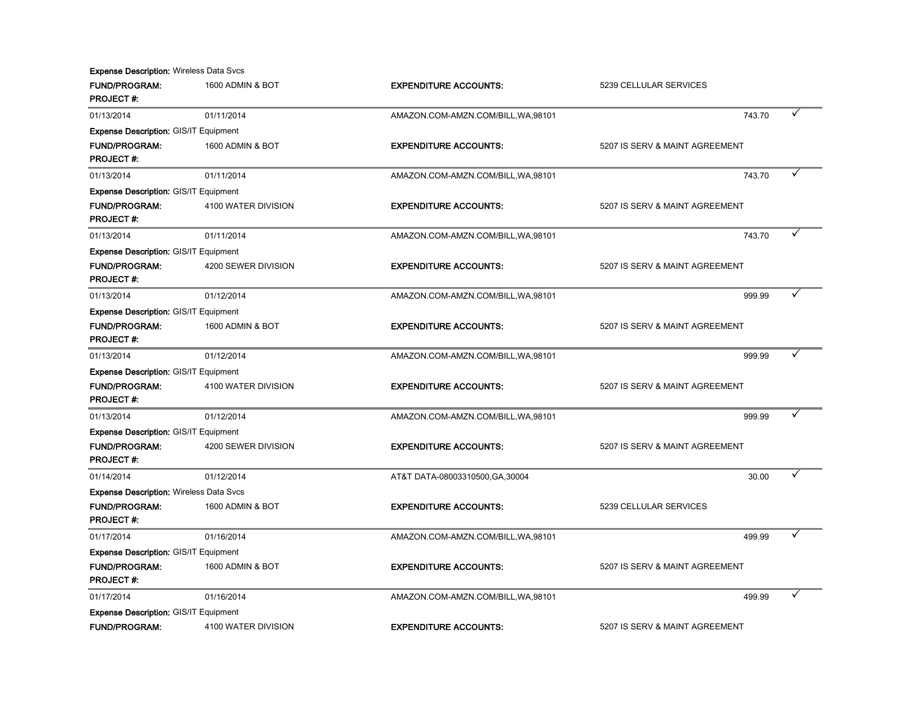**Expense Description: Wireless Data Svcs** 

| <b>FUND/PROGRAM:</b><br><b>PROJECT#:</b>       | 1600 ADMIN & BOT    | <b>EXPENDITURE ACCOUNTS:</b>        | 5239 CELLULAR SERVICES         |
|------------------------------------------------|---------------------|-------------------------------------|--------------------------------|
| 01/13/2014                                     | 01/11/2014          | AMAZON.COM-AMZN.COM/BILL, WA, 98101 | 743.70                         |
| <b>Expense Description: GIS/IT Equipment</b>   |                     |                                     |                                |
| <b>FUND/PROGRAM:</b><br><b>PROJECT#:</b>       | 1600 ADMIN & BOT    | <b>EXPENDITURE ACCOUNTS:</b>        | 5207 IS SERV & MAINT AGREEMENT |
| 01/13/2014                                     | 01/11/2014          | AMAZON.COM-AMZN.COM/BILL, WA, 98101 | 743.70                         |
| <b>Expense Description: GIS/IT Equipment</b>   |                     |                                     |                                |
| <b>FUND/PROGRAM:</b><br><b>PROJECT#:</b>       | 4100 WATER DIVISION | <b>EXPENDITURE ACCOUNTS:</b>        | 5207 IS SERV & MAINT AGREEMENT |
| 01/13/2014                                     | 01/11/2014          | AMAZON.COM-AMZN.COM/BILL, WA, 98101 | 743.70                         |
| <b>Expense Description: GIS/IT Equipment</b>   |                     |                                     |                                |
| <b>FUND/PROGRAM:</b><br><b>PROJECT#:</b>       | 4200 SEWER DIVISION | <b>EXPENDITURE ACCOUNTS:</b>        | 5207 IS SERV & MAINT AGREEMENT |
| 01/13/2014                                     | 01/12/2014          | AMAZON.COM-AMZN.COM/BILL, WA, 98101 | 999.99                         |
| <b>Expense Description: GIS/IT Equipment</b>   |                     |                                     |                                |
| <b>FUND/PROGRAM:</b><br><b>PROJECT#:</b>       | 1600 ADMIN & BOT    | <b>EXPENDITURE ACCOUNTS:</b>        | 5207 IS SERV & MAINT AGREEMENT |
| 01/13/2014                                     | 01/12/2014          | AMAZON.COM-AMZN.COM/BILL, WA, 98101 | 999.99                         |
| Expense Description: GIS/IT Equipment          |                     |                                     |                                |
| <b>FUND/PROGRAM:</b><br><b>PROJECT#:</b>       | 4100 WATER DIVISION | <b>EXPENDITURE ACCOUNTS:</b>        | 5207 IS SERV & MAINT AGREEMENT |
| 01/13/2014                                     | 01/12/2014          | AMAZON.COM-AMZN.COM/BILL, WA, 98101 | 999.99                         |
| <b>Expense Description: GIS/IT Equipment</b>   |                     |                                     |                                |
| <b>FUND/PROGRAM:</b><br><b>PROJECT#:</b>       | 4200 SEWER DIVISION | <b>EXPENDITURE ACCOUNTS:</b>        | 5207 IS SERV & MAINT AGREEMENT |
| 01/14/2014                                     | 01/12/2014          | AT&T DATA-08003310500, GA, 30004    | 30.00                          |
| <b>Expense Description: Wireless Data Svcs</b> |                     |                                     |                                |
| <b>FUND/PROGRAM:</b><br><b>PROJECT#:</b>       | 1600 ADMIN & BOT    | <b>EXPENDITURE ACCOUNTS:</b>        | 5239 CELLULAR SERVICES         |
| 01/17/2014                                     | 01/16/2014          | AMAZON.COM-AMZN.COM/BILL, WA, 98101 | 499.99                         |
| <b>Expense Description: GIS/IT Equipment</b>   |                     |                                     |                                |
| <b>FUND/PROGRAM:</b><br><b>PROJECT#:</b>       | 1600 ADMIN & BOT    | <b>EXPENDITURE ACCOUNTS:</b>        | 5207 IS SERV & MAINT AGREEMENT |
| 01/17/2014                                     | 01/16/2014          | AMAZON.COM-AMZN.COM/BILL, WA, 98101 | ✓<br>499.99                    |
| Expense Description: GIS/IT Equipment          |                     |                                     |                                |
| <b>FUND/PROGRAM:</b>                           | 4100 WATER DIVISION | <b>EXPENDITURE ACCOUNTS:</b>        | 5207 IS SERV & MAINT AGREEMENT |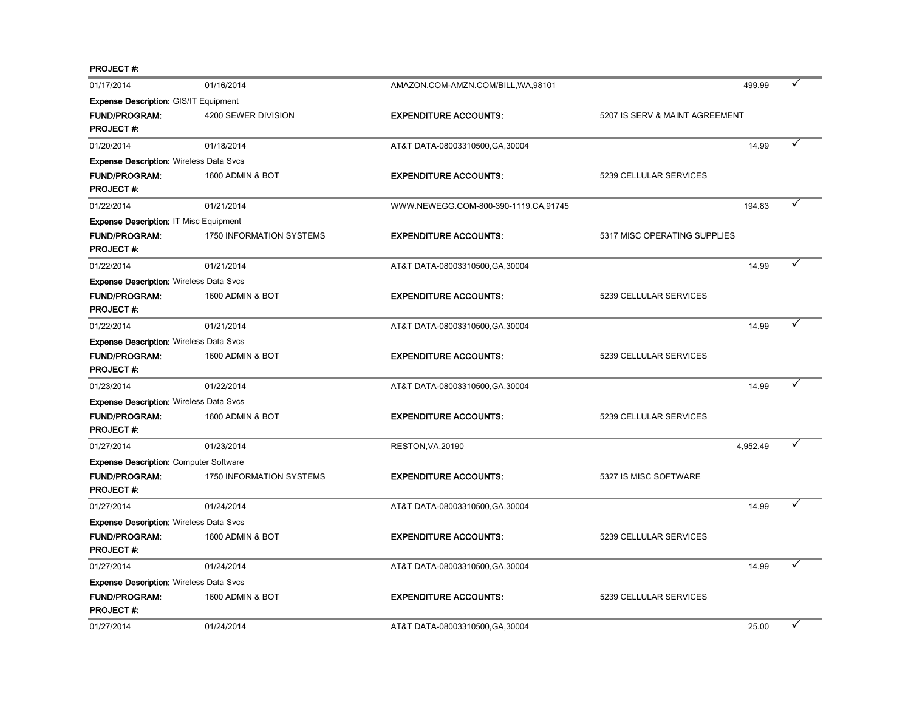PROJECT #:

| 01/17/2014                                     | 01/16/2014               | AMAZON.COM-AMZN.COM/BILL, WA, 98101  |                                | 499.99   |   |
|------------------------------------------------|--------------------------|--------------------------------------|--------------------------------|----------|---|
| <b>Expense Description: GIS/IT Equipment</b>   |                          |                                      |                                |          |   |
| <b>FUND/PROGRAM:</b><br><b>PROJECT#:</b>       | 4200 SEWER DIVISION      | <b>EXPENDITURE ACCOUNTS:</b>         | 5207 IS SERV & MAINT AGREEMENT |          |   |
| 01/20/2014                                     | 01/18/2014               | AT&T DATA-08003310500, GA, 30004     |                                | 14.99    |   |
| <b>Expense Description: Wireless Data Svcs</b> |                          |                                      |                                |          |   |
| <b>FUND/PROGRAM:</b><br><b>PROJECT#:</b>       | 1600 ADMIN & BOT         | <b>EXPENDITURE ACCOUNTS:</b>         | 5239 CELLULAR SERVICES         |          |   |
| 01/22/2014                                     | 01/21/2014               | WWW.NEWEGG.COM-800-390-1119,CA,91745 |                                | 194.83   |   |
| <b>Expense Description: IT Misc Equipment</b>  |                          |                                      |                                |          |   |
| <b>FUND/PROGRAM:</b><br><b>PROJECT#:</b>       | 1750 INFORMATION SYSTEMS | <b>EXPENDITURE ACCOUNTS:</b>         | 5317 MISC OPERATING SUPPLIES   |          |   |
| 01/22/2014                                     | 01/21/2014               | AT&T DATA-08003310500, GA, 30004     |                                | 14.99    |   |
| <b>Expense Description: Wireless Data Svcs</b> |                          |                                      |                                |          |   |
| <b>FUND/PROGRAM:</b><br><b>PROJECT#:</b>       | 1600 ADMIN & BOT         | <b>EXPENDITURE ACCOUNTS:</b>         | 5239 CELLULAR SERVICES         |          |   |
| 01/22/2014                                     | 01/21/2014               | AT&T DATA-08003310500, GA, 30004     |                                | 14.99    | ✓ |
| <b>Expense Description: Wireless Data Svcs</b> |                          |                                      |                                |          |   |
| <b>FUND/PROGRAM:</b><br><b>PROJECT#:</b>       | 1600 ADMIN & BOT         | <b>EXPENDITURE ACCOUNTS:</b>         | 5239 CELLULAR SERVICES         |          |   |
| 01/23/2014                                     | 01/22/2014               | AT&T DATA-08003310500, GA, 30004     |                                | 14.99    |   |
| <b>Expense Description: Wireless Data Svcs</b> |                          |                                      |                                |          |   |
| <b>FUND/PROGRAM:</b><br><b>PROJECT#:</b>       | 1600 ADMIN & BOT         | <b>EXPENDITURE ACCOUNTS:</b>         | 5239 CELLULAR SERVICES         |          |   |
| 01/27/2014                                     | 01/23/2014               | RESTON, VA, 20190                    |                                | 4,952.49 |   |
| <b>Expense Description: Computer Software</b>  |                          |                                      |                                |          |   |
| <b>FUND/PROGRAM:</b><br><b>PROJECT#:</b>       | 1750 INFORMATION SYSTEMS | <b>EXPENDITURE ACCOUNTS:</b>         | 5327 IS MISC SOFTWARE          |          |   |
| 01/27/2014                                     | 01/24/2014               | AT&T DATA-08003310500, GA, 30004     |                                | 14.99    |   |
| <b>Expense Description: Wireless Data Svcs</b> |                          |                                      |                                |          |   |
| <b>FUND/PROGRAM:</b><br><b>PROJECT#:</b>       | 1600 ADMIN & BOT         | <b>EXPENDITURE ACCOUNTS:</b>         | 5239 CELLULAR SERVICES         |          |   |
| 01/27/2014                                     | 01/24/2014               | AT&T DATA-08003310500, GA, 30004     |                                | 14.99    |   |
| <b>Expense Description: Wireless Data Svcs</b> |                          |                                      |                                |          |   |
| <b>FUND/PROGRAM:</b><br><b>PROJECT #:</b>      | 1600 ADMIN & BOT         | <b>EXPENDITURE ACCOUNTS:</b>         | 5239 CELLULAR SERVICES         |          |   |
| 01/27/2014                                     | 01/24/2014               | AT&T DATA-08003310500, GA, 30004     |                                | 25.00    | ✓ |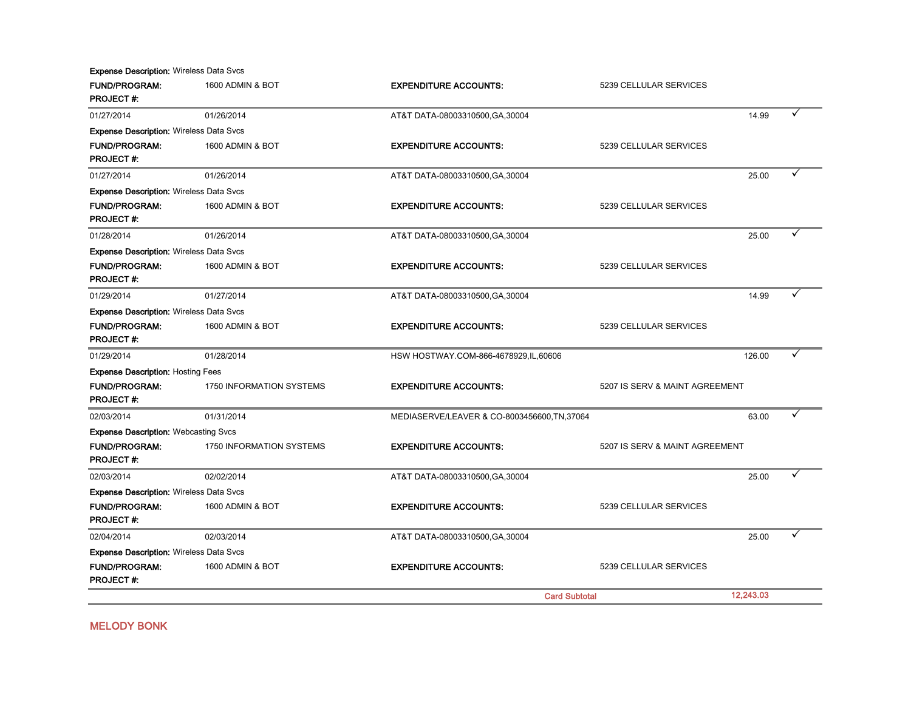FUND/PROGRAM: 1600 ADMIN & BOT **EXPENDITURE ACCOUNTS:** 5239 CELLULAR SERVICES PROJECT #: 01/27/2014 01/26/2014 01/26/2014 01/27/2014 05/2014 05/2014 AT&T DATA-08003310500,GA,30004 06/27/2014 05/2014 FUND/PROGRAM: 1600 ADMIN & BOT **EXPENDITURE ACCOUNTS:** 5239 CELLULAR SERVICES PROJECT #: 01/27/2014 01/26/2014 01/26/2014 01/27/2014 AT&T DATA-08003310500,GA,30004 01/27/2014 25.00 FUND/PROGRAM: 1600 ADMIN & BOT **EXPENDITURE ACCOUNTS:** 5239 CELLULAR SERVICES PROJECT #: 01/28/2014 01/26/2014 01/26/2014 AT&T DATA-08003310500,GA,30004 25.00  $\checkmark$ FUND/PROGRAM: 1600 ADMIN & BOT **EXPENDITURE ACCOUNTS:** 5239 CELLULAR SERVICES PROJECT #: 01/29/2014 01/27/2014 01/27/2014 01/29 01/29 01/29 01/29 01/29 01/29 01/29 01/29 01/29 01/29 01/29 01/29 01/29 FUND/PROGRAM: 1600 ADMIN & BOT **EXPENDITURE ACCOUNTS:** 5239 CELLULAR SERVICES PROJECT #: 01/29/2014 01/28/2014 01/28/2014 026.00 FUND/PROGRAM: 1750 INFORMATION SYSTEMS EXPENDITURE ACCOUNTS: 5207 IS SERV & MAINT AGREEMENT PROJECT #: 02/03/2014 01/31/2014 MEDIASERVE/LEAVER & CO-8003456600,TN,37064 63.00 Ý FUND/PROGRAM: 1750 INFORMATION SYSTEMS EXPENDITURE ACCOUNTS: 5207 IS SERV & MAINT AGREEMENT PROJECT #: 02/03/2014 02/02/2014 02/02/2014 AT&T DATA-08003310500,GA,30004 02/03/2014 25.00 PM FUND/PROGRAM: 1600 ADMIN & BOT **EXPENDITURE ACCOUNTS:** 5239 CELLULAR SERVICES PROJECT #: 02/04/2014 02/03/2014 AT&T DATA-08003310500.GA.30004 25.00 Ý FUND/PROGRAM: 1600 ADMIN & BOT **EXPENDITURE ACCOUNTS:** 5239 CELLULAR SERVICES PROJECT #: 12,243.03 Expense Description: Hosting Fees Expense Description: Webcasting Svcs Expense Description: Wireless Data Svcs Expense Description: Wireless Data Svcs Card Subtotal Expense Description: Wireless Data Svcs Expense Description: Wireless Data Svcs Expense Description: Wireless Data Svcs Expense Description: Wireless Data Svcs

MELODY BONK

Expense Description: Wireless Data Svcs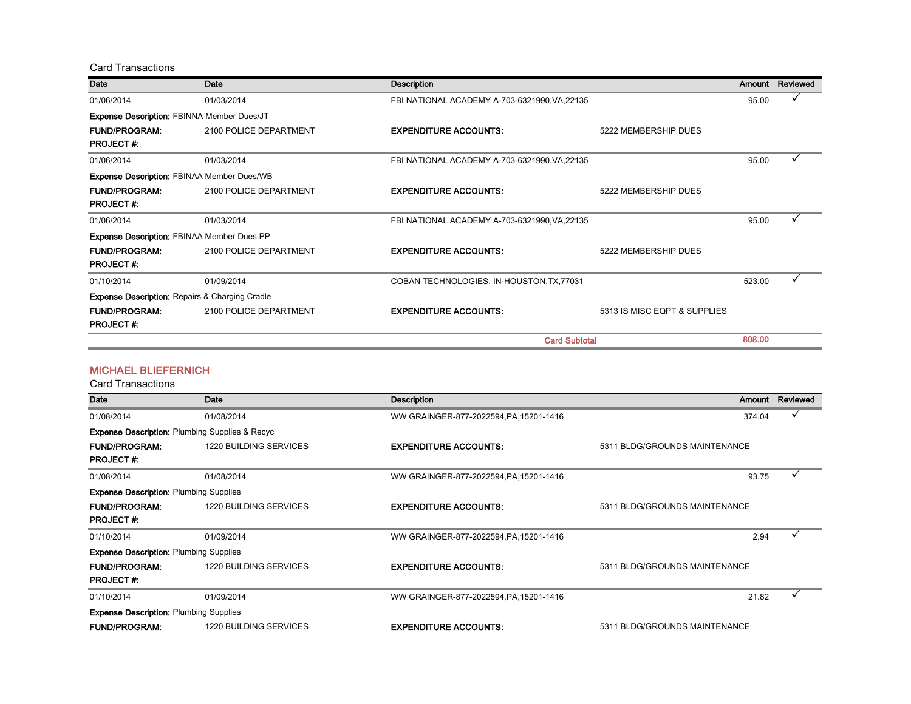Card Transactions

| Date                                                      | Date                   | <b>Description</b>                            |                              | Amount | Reviewed |
|-----------------------------------------------------------|------------------------|-----------------------------------------------|------------------------------|--------|----------|
| 01/06/2014                                                | 01/03/2014             | FBI NATIONAL ACADEMY A-703-6321990, VA, 22135 |                              | 95.00  |          |
| Expense Description: FBINNA Member Dues/JT                |                        |                                               |                              |        |          |
| <b>FUND/PROGRAM:</b><br><b>PROJECT#:</b>                  | 2100 POLICE DEPARTMENT | <b>EXPENDITURE ACCOUNTS:</b>                  | 5222 MEMBERSHIP DUES         |        |          |
| 01/06/2014                                                | 01/03/2014             | FBI NATIONAL ACADEMY A-703-6321990, VA, 22135 |                              | 95.00  |          |
| <b>Expense Description: FBINAA Member Dues/WB</b>         |                        |                                               |                              |        |          |
| <b>FUND/PROGRAM:</b>                                      | 2100 POLICE DEPARTMENT | <b>EXPENDITURE ACCOUNTS:</b>                  | 5222 MEMBERSHIP DUES         |        |          |
| <b>PROJECT#:</b>                                          |                        |                                               |                              |        |          |
| 01/06/2014                                                | 01/03/2014             | FBI NATIONAL ACADEMY A-703-6321990, VA, 22135 |                              | 95.00  |          |
| <b>Expense Description: FBINAA Member Dues.PP</b>         |                        |                                               |                              |        |          |
| <b>FUND/PROGRAM:</b>                                      | 2100 POLICE DEPARTMENT | <b>EXPENDITURE ACCOUNTS:</b>                  | 5222 MEMBERSHIP DUES         |        |          |
| <b>PROJECT#:</b>                                          |                        |                                               |                              |        |          |
| 01/10/2014                                                | 01/09/2014             | COBAN TECHNOLOGIES, IN-HOUSTON, TX, 77031     |                              | 523.00 |          |
| <b>Expense Description: Repairs &amp; Charging Cradle</b> |                        |                                               |                              |        |          |
| <b>FUND/PROGRAM:</b><br><b>PROJECT#:</b>                  | 2100 POLICE DEPARTMENT | <b>EXPENDITURE ACCOUNTS:</b>                  | 5313 IS MISC EQPT & SUPPLIES |        |          |
|                                                           |                        | <b>Card Subtotal</b>                          |                              | 808.00 |          |

#### MICHAEL BLIEFERNICH

| Date                                                        | Date                          | Description                             | Amount                        |       | Reviewed |
|-------------------------------------------------------------|-------------------------------|-----------------------------------------|-------------------------------|-------|----------|
| 01/08/2014                                                  | 01/08/2014                    | WW GRAINGER-877-2022594, PA, 15201-1416 | 374.04                        |       |          |
| <b>Expense Description: Plumbing Supplies &amp; Recycle</b> |                               |                                         |                               |       |          |
| <b>FUND/PROGRAM:</b>                                        | 1220 BUILDING SERVICES        | <b>EXPENDITURE ACCOUNTS:</b>            | 5311 BLDG/GROUNDS MAINTENANCE |       |          |
| <b>PROJECT#:</b>                                            |                               |                                         |                               |       |          |
| 01/08/2014                                                  | 01/08/2014                    | WW GRAINGER-877-2022594, PA, 15201-1416 |                               | 93.75 |          |
| <b>Expense Description: Plumbing Supplies</b>               |                               |                                         |                               |       |          |
| <b>FUND/PROGRAM:</b>                                        | <b>1220 BUILDING SERVICES</b> | <b>EXPENDITURE ACCOUNTS:</b>            | 5311 BLDG/GROUNDS MAINTENANCE |       |          |
| <b>PROJECT#:</b>                                            |                               |                                         |                               |       |          |
| 01/10/2014                                                  | 01/09/2014                    | WW GRAINGER-877-2022594, PA, 15201-1416 |                               | 2.94  |          |
| <b>Expense Description: Plumbing Supplies</b>               |                               |                                         |                               |       |          |
| <b>FUND/PROGRAM:</b>                                        | 1220 BUILDING SERVICES        | <b>EXPENDITURE ACCOUNTS:</b>            | 5311 BLDG/GROUNDS MAINTENANCE |       |          |
| <b>PROJECT#:</b>                                            |                               |                                         |                               |       |          |
| 01/10/2014                                                  | 01/09/2014                    | WW GRAINGER-877-2022594, PA, 15201-1416 |                               | 21.82 |          |
| <b>Expense Description: Plumbing Supplies</b>               |                               |                                         |                               |       |          |
| <b>FUND/PROGRAM:</b>                                        | <b>1220 BUILDING SERVICES</b> | <b>EXPENDITURE ACCOUNTS:</b>            | 5311 BLDG/GROUNDS MAINTENANCE |       |          |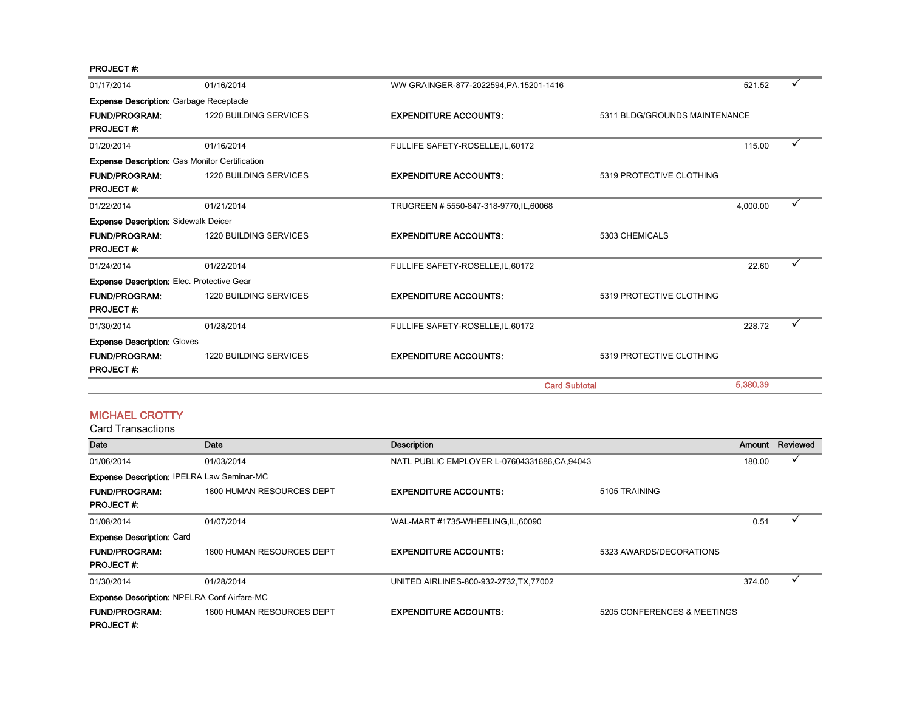PROJECT #:

| 01/17/2014                                            | 01/16/2014                    | WW GRAINGER-877-2022594, PA, 15201-1416 |                               | 521.52   |  |
|-------------------------------------------------------|-------------------------------|-----------------------------------------|-------------------------------|----------|--|
| <b>Expense Description: Garbage Receptacle</b>        |                               |                                         |                               |          |  |
| <b>FUND/PROGRAM:</b><br><b>PROJECT#:</b>              | <b>1220 BUILDING SERVICES</b> | <b>EXPENDITURE ACCOUNTS:</b>            | 5311 BLDG/GROUNDS MAINTENANCE |          |  |
| 01/20/2014                                            | 01/16/2014                    | FULLIFE SAFETY-ROSELLE, IL, 60172       |                               | 115.00   |  |
| <b>Expense Description: Gas Monitor Certification</b> |                               |                                         |                               |          |  |
| <b>FUND/PROGRAM:</b><br><b>PROJECT#:</b>              | <b>1220 BUILDING SERVICES</b> | <b>EXPENDITURE ACCOUNTS:</b>            | 5319 PROTECTIVE CLOTHING      |          |  |
| 01/22/2014                                            | 01/21/2014                    | TRUGREEN # 5550-847-318-9770, IL, 60068 |                               | 4,000.00 |  |
| <b>Expense Description: Sidewalk Deicer</b>           |                               |                                         |                               |          |  |
| <b>FUND/PROGRAM:</b><br><b>PROJECT#:</b>              | <b>1220 BUILDING SERVICES</b> | <b>EXPENDITURE ACCOUNTS:</b>            | 5303 CHEMICALS                |          |  |
| 01/24/2014                                            | 01/22/2014                    | FULLIFE SAFETY-ROSELLE, IL, 60172       |                               | 22.60    |  |
| <b>Expense Description: Elec. Protective Gear</b>     |                               |                                         |                               |          |  |
| <b>FUND/PROGRAM:</b><br><b>PROJECT#:</b>              | <b>1220 BUILDING SERVICES</b> | <b>EXPENDITURE ACCOUNTS:</b>            | 5319 PROTECTIVE CLOTHING      |          |  |
| 01/30/2014                                            | 01/28/2014                    | FULLIFE SAFETY-ROSELLE, IL, 60172       |                               | 228.72   |  |
| <b>Expense Description: Gloves</b>                    |                               |                                         |                               |          |  |
| <b>FUND/PROGRAM:</b><br><b>PROJECT#:</b>              | <b>1220 BUILDING SERVICES</b> | <b>EXPENDITURE ACCOUNTS:</b>            | 5319 PROTECTIVE CLOTHING      |          |  |
|                                                       |                               | <b>Card Subtotal</b>                    |                               | 5,380.39 |  |

#### MICHAEL CROTTY

| Date                                               | Date                      | <b>Description</b>                            |                             | Amount | Reviewed |
|----------------------------------------------------|---------------------------|-----------------------------------------------|-----------------------------|--------|----------|
| 01/06/2014                                         | 01/03/2014                | NATL PUBLIC EMPLOYER L-07604331686, CA, 94043 |                             | 180.00 |          |
| Expense Description: IPELRA Law Seminar-MC         |                           |                                               |                             |        |          |
| <b>FUND/PROGRAM:</b>                               | 1800 HUMAN RESOURCES DEPT | <b>EXPENDITURE ACCOUNTS:</b>                  | 5105 TRAINING               |        |          |
| <b>PROJECT#:</b>                                   |                           |                                               |                             |        |          |
| 01/08/2014                                         | 01/07/2014                | WAL-MART #1735-WHEELING, IL, 60090            |                             | 0.51   |          |
| <b>Expense Description: Card</b>                   |                           |                                               |                             |        |          |
| <b>FUND/PROGRAM:</b>                               | 1800 HUMAN RESOURCES DEPT | <b>EXPENDITURE ACCOUNTS:</b>                  | 5323 AWARDS/DECORATIONS     |        |          |
| <b>PROJECT#:</b>                                   |                           |                                               |                             |        |          |
| 01/30/2014                                         | 01/28/2014                | UNITED AIRLINES-800-932-2732, TX, 77002       |                             | 374.00 |          |
| <b>Expense Description: NPELRA Conf Airfare-MC</b> |                           |                                               |                             |        |          |
| <b>FUND/PROGRAM:</b>                               | 1800 HUMAN RESOURCES DEPT | <b>EXPENDITURE ACCOUNTS:</b>                  | 5205 CONFERENCES & MEETINGS |        |          |
| <b>PROJECT#:</b>                                   |                           |                                               |                             |        |          |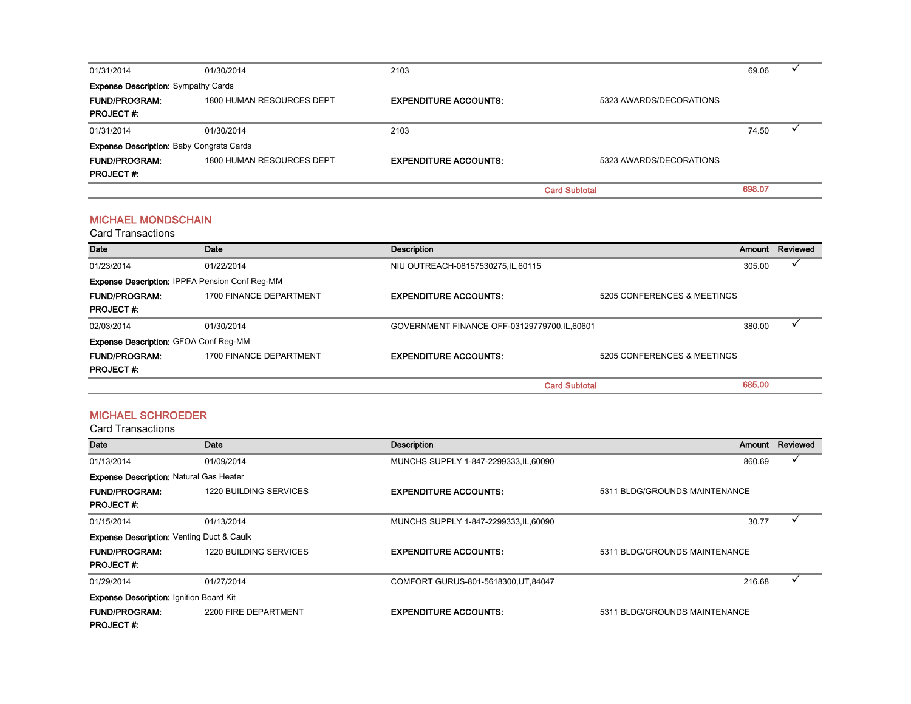| 01/31/2014                                      | 01/30/2014                | 2103                         |                         | 69.06  |  |
|-------------------------------------------------|---------------------------|------------------------------|-------------------------|--------|--|
| <b>Expense Description: Sympathy Cards</b>      |                           |                              |                         |        |  |
| <b>FUND/PROGRAM:</b>                            | 1800 HUMAN RESOURCES DEPT | <b>EXPENDITURE ACCOUNTS:</b> | 5323 AWARDS/DECORATIONS |        |  |
| <b>PROJECT#:</b>                                |                           |                              |                         |        |  |
| 01/31/2014                                      | 01/30/2014                | 2103                         |                         | 74.50  |  |
| <b>Expense Description: Baby Congrats Cards</b> |                           |                              |                         |        |  |
| <b>FUND/PROGRAM:</b>                            | 1800 HUMAN RESOURCES DEPT | <b>EXPENDITURE ACCOUNTS:</b> | 5323 AWARDS/DECORATIONS |        |  |
| <b>PROJECT#:</b>                                |                           |                              |                         |        |  |
|                                                 |                           |                              | <b>Card Subtotal</b>    | 698.07 |  |

#### MICHAEL MONDSCHAIN

Card Transactions

| Date                                         | Date                                           | Description                                 |                             | Amount | Reviewed |
|----------------------------------------------|------------------------------------------------|---------------------------------------------|-----------------------------|--------|----------|
| 01/23/2014                                   | 01/22/2014                                     | NIU OUTREACH-08157530275, IL, 60115         |                             | 305.00 |          |
|                                              | Expense Description: IPPFA Pension Conf Reg-MM |                                             |                             |        |          |
| <b>FUND/PROGRAM:</b><br><b>PROJECT #:</b>    | 1700 FINANCE DEPARTMENT                        | <b>EXPENDITURE ACCOUNTS:</b>                | 5205 CONFERENCES & MEETINGS |        |          |
| 02/03/2014                                   | 01/30/2014                                     | GOVERNMENT FINANCE OFF-03129779700.IL.60601 |                             | 380.00 |          |
| <b>Expense Description: GFOA Conf Reg-MM</b> |                                                |                                             |                             |        |          |
| <b>FUND/PROGRAM:</b>                         | 1700 FINANCE DEPARTMENT                        | <b>EXPENDITURE ACCOUNTS:</b>                | 5205 CONFERENCES & MEETINGS |        |          |
| <b>PROJECT#:</b>                             |                                                |                                             |                             |        |          |
|                                              |                                                |                                             | <b>Card Subtotal</b>        | 685.00 |          |

#### MICHAEL SCHROEDER

| <b>Date</b>                                          | Date                          | <b>Description</b>                     | Amount                        | Reviewed |
|------------------------------------------------------|-------------------------------|----------------------------------------|-------------------------------|----------|
| 01/13/2014                                           | 01/09/2014                    | MUNCHS SUPPLY 1-847-2299333, IL, 60090 | 860.69                        |          |
| <b>Expense Description: Natural Gas Heater</b>       |                               |                                        |                               |          |
| <b>FUND/PROGRAM:</b>                                 | 1220 BUILDING SERVICES        | <b>EXPENDITURE ACCOUNTS:</b>           | 5311 BLDG/GROUNDS MAINTENANCE |          |
| <b>PROJECT#:</b>                                     |                               |                                        |                               |          |
| 01/15/2014                                           | 01/13/2014                    | MUNCHS SUPPLY 1-847-2299333, IL, 60090 | 30.77                         |          |
| <b>Expense Description: Venting Duct &amp; Caulk</b> |                               |                                        |                               |          |
| <b>FUND/PROGRAM:</b>                                 | <b>1220 BUILDING SERVICES</b> | <b>EXPENDITURE ACCOUNTS:</b>           | 5311 BLDG/GROUNDS MAINTENANCE |          |
| <b>PROJECT#:</b>                                     |                               |                                        |                               |          |
| 01/29/2014                                           | 01/27/2014                    | COMFORT GURUS-801-5618300, UT, 84047   | 216.68                        |          |
| <b>Expense Description: Ignition Board Kit</b>       |                               |                                        |                               |          |
| <b>FUND/PROGRAM:</b>                                 | 2200 FIRE DEPARTMENT          | <b>EXPENDITURE ACCOUNTS:</b>           | 5311 BLDG/GROUNDS MAINTENANCE |          |
| <b>PROJECT#:</b>                                     |                               |                                        |                               |          |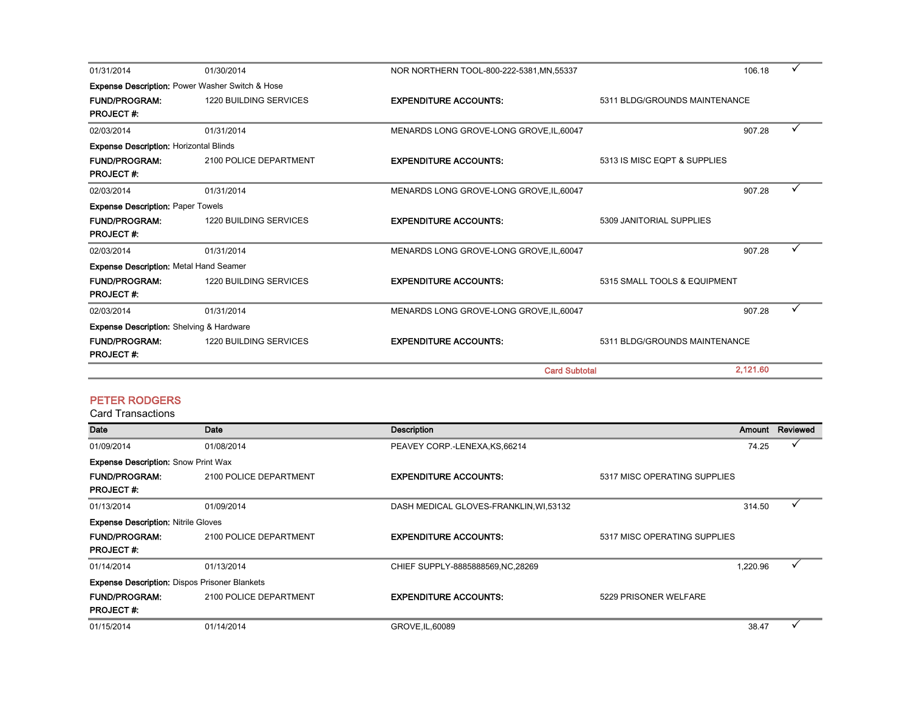| 01/31/2014                                      | 01/30/2014                                                 | NOR NORTHERN TOOL-800-222-5381, MN, 55337 |                               | 106.18   |  |
|-------------------------------------------------|------------------------------------------------------------|-------------------------------------------|-------------------------------|----------|--|
|                                                 | <b>Expense Description: Power Washer Switch &amp; Hose</b> |                                           |                               |          |  |
| <b>FUND/PROGRAM:</b><br><b>PROJECT#:</b>        | <b>1220 BUILDING SERVICES</b>                              | <b>EXPENDITURE ACCOUNTS:</b>              | 5311 BLDG/GROUNDS MAINTENANCE |          |  |
| 02/03/2014                                      | 01/31/2014                                                 | MENARDS LONG GROVE-LONG GROVE, IL, 60047  |                               | 907.28   |  |
| <b>Expense Description: Horizontal Blinds</b>   |                                                            |                                           |                               |          |  |
| <b>FUND/PROGRAM:</b><br><b>PROJECT#:</b>        | 2100 POLICE DEPARTMENT                                     | <b>EXPENDITURE ACCOUNTS:</b>              | 5313 IS MISC EQPT & SUPPLIES  |          |  |
| 02/03/2014                                      | 01/31/2014                                                 | MENARDS LONG GROVE-LONG GROVE, IL, 60047  |                               | 907.28   |  |
| <b>Expense Description: Paper Towels</b>        |                                                            |                                           |                               |          |  |
| <b>FUND/PROGRAM:</b><br><b>PROJECT#:</b>        | <b>1220 BUILDING SERVICES</b>                              | <b>EXPENDITURE ACCOUNTS:</b>              | 5309 JANITORIAL SUPPLIES      |          |  |
| 02/03/2014                                      | 01/31/2014                                                 | MENARDS LONG GROVE-LONG GROVE, IL, 60047  |                               | 907.28   |  |
| <b>Expense Description: Metal Hand Seamer</b>   |                                                            |                                           |                               |          |  |
| <b>FUND/PROGRAM:</b><br><b>PROJECT#:</b>        | <b>1220 BUILDING SERVICES</b>                              | <b>EXPENDITURE ACCOUNTS:</b>              | 5315 SMALL TOOLS & EQUIPMENT  |          |  |
| 02/03/2014                                      | 01/31/2014                                                 | MENARDS LONG GROVE-LONG GROVE, IL, 60047  |                               | 907.28   |  |
| <b>Expense Description:</b> Shelving & Hardware |                                                            |                                           |                               |          |  |
| <b>FUND/PROGRAM:</b><br><b>PROJECT#:</b>        | 1220 BUILDING SERVICES                                     | <b>EXPENDITURE ACCOUNTS:</b>              | 5311 BLDG/GROUNDS MAINTENANCE |          |  |
|                                                 |                                                            | <b>Card Subtotal</b>                      |                               | 2,121.60 |  |

#### PETER RODGERS

| <b>Date</b>                                          | Date                   | <b>Description</b>                     |                              |          | Amount Reviewed |
|------------------------------------------------------|------------------------|----------------------------------------|------------------------------|----------|-----------------|
| 01/09/2014                                           | 01/08/2014             | PEAVEY CORP.-LENEXA, KS, 66214         |                              | 74.25    |                 |
| <b>Expense Description: Snow Print Wax</b>           |                        |                                        |                              |          |                 |
| <b>FUND/PROGRAM:</b>                                 | 2100 POLICE DEPARTMENT | <b>EXPENDITURE ACCOUNTS:</b>           | 5317 MISC OPERATING SUPPLIES |          |                 |
| <b>PROJECT#:</b>                                     |                        |                                        |                              |          |                 |
| 01/13/2014                                           | 01/09/2014             | DASH MEDICAL GLOVES-FRANKLIN, WI,53132 |                              | 314.50   |                 |
| <b>Expense Description: Nitrile Gloves</b>           |                        |                                        |                              |          |                 |
| <b>FUND/PROGRAM:</b>                                 | 2100 POLICE DEPARTMENT | <b>EXPENDITURE ACCOUNTS:</b>           | 5317 MISC OPERATING SUPPLIES |          |                 |
| <b>PROJECT#:</b>                                     |                        |                                        |                              |          |                 |
| 01/14/2014                                           | 01/13/2014             | CHIEF SUPPLY-8885888569, NC, 28269     |                              | 1,220.96 |                 |
| <b>Expense Description: Dispos Prisoner Blankets</b> |                        |                                        |                              |          |                 |
| <b>FUND/PROGRAM:</b>                                 | 2100 POLICE DEPARTMENT | <b>EXPENDITURE ACCOUNTS:</b>           | 5229 PRISONER WELFARE        |          |                 |
| <b>PROJECT#:</b>                                     |                        |                                        |                              |          |                 |
| 01/15/2014                                           | 01/14/2014             | GROVE, IL, 60089                       |                              | 38.47    |                 |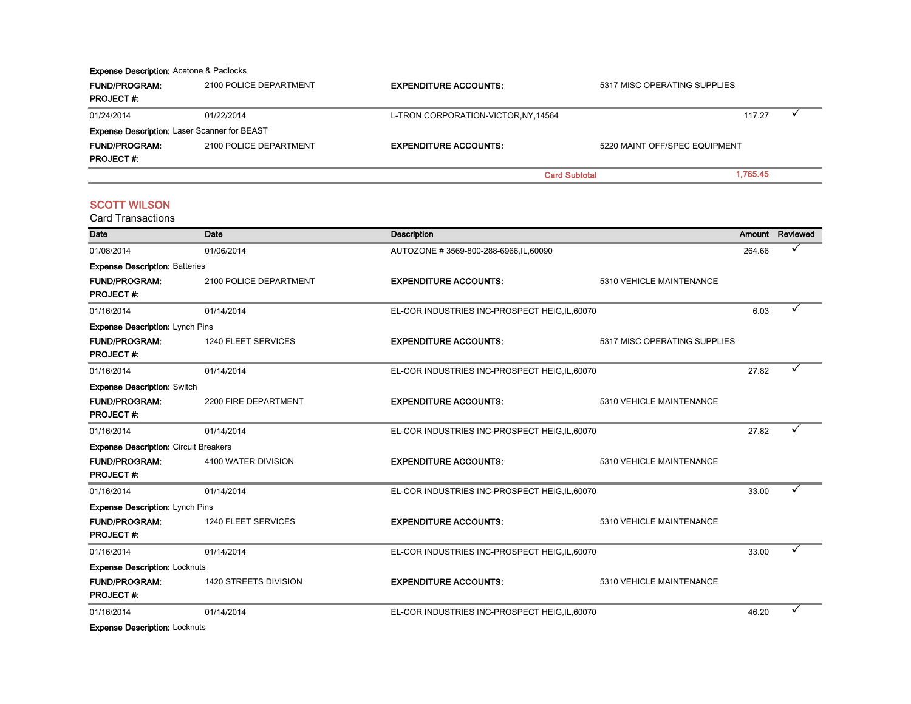#### Expense Description: Acetone & Padlocks

| <b>FUND/PROGRAM:</b>                                | 2100 POLICE DEPARTMENT | <b>EXPENDITURE ACCOUNTS:</b>         | 5317 MISC OPERATING SUPPLIES  |          |  |
|-----------------------------------------------------|------------------------|--------------------------------------|-------------------------------|----------|--|
| <b>PROJECT#:</b>                                    |                        |                                      |                               |          |  |
| 01/24/2014                                          | 01/22/2014             | L-TRON CORPORATION-VICTOR, NY, 14564 |                               | 117.27   |  |
| <b>Expense Description: Laser Scanner for BEAST</b> |                        |                                      |                               |          |  |
| <b>FUND/PROGRAM:</b>                                | 2100 POLICE DEPARTMENT | <b>EXPENDITURE ACCOUNTS:</b>         | 5220 MAINT OFF/SPEC EQUIPMENT |          |  |
| <b>PROJECT#:</b>                                    |                        |                                      |                               |          |  |
|                                                     |                        |                                      | <b>Card Subtotal</b>          | 1.765.45 |  |

#### **SCOTT WILSON**

| Date                                         | Date                   | <b>Description</b>                             |                              |        | Amount Reviewed |
|----------------------------------------------|------------------------|------------------------------------------------|------------------------------|--------|-----------------|
| 01/08/2014                                   | 01/06/2014             | AUTOZONE #3569-800-288-6966, IL, 60090         |                              | 264.66 |                 |
| <b>Expense Description: Batteries</b>        |                        |                                                |                              |        |                 |
| <b>FUND/PROGRAM:</b>                         | 2100 POLICE DEPARTMENT | <b>EXPENDITURE ACCOUNTS:</b>                   | 5310 VEHICLE MAINTENANCE     |        |                 |
| <b>PROJECT#:</b>                             |                        |                                                |                              |        |                 |
| 01/16/2014                                   | 01/14/2014             | EL-COR INDUSTRIES INC-PROSPECT HEIG, IL, 60070 |                              | 6.03   |                 |
| <b>Expense Description: Lynch Pins</b>       |                        |                                                |                              |        |                 |
| <b>FUND/PROGRAM:</b>                         | 1240 FLEET SERVICES    | <b>EXPENDITURE ACCOUNTS:</b>                   | 5317 MISC OPERATING SUPPLIES |        |                 |
| <b>PROJECT#:</b>                             |                        |                                                |                              |        |                 |
| 01/16/2014                                   | 01/14/2014             | EL-COR INDUSTRIES INC-PROSPECT HEIG, IL, 60070 |                              | 27.82  |                 |
| <b>Expense Description: Switch</b>           |                        |                                                |                              |        |                 |
| <b>FUND/PROGRAM:</b>                         | 2200 FIRE DEPARTMENT   | <b>EXPENDITURE ACCOUNTS:</b>                   | 5310 VEHICLE MAINTENANCE     |        |                 |
| <b>PROJECT#:</b>                             |                        |                                                |                              |        |                 |
| 01/16/2014                                   | 01/14/2014             | EL-COR INDUSTRIES INC-PROSPECT HEIG, IL, 60070 |                              | 27.82  |                 |
| <b>Expense Description: Circuit Breakers</b> |                        |                                                |                              |        |                 |
| <b>FUND/PROGRAM:</b>                         | 4100 WATER DIVISION    | <b>EXPENDITURE ACCOUNTS:</b>                   | 5310 VEHICLE MAINTENANCE     |        |                 |
| <b>PROJECT#:</b>                             |                        |                                                |                              |        |                 |
| 01/16/2014                                   | 01/14/2014             | EL-COR INDUSTRIES INC-PROSPECT HEIG, IL, 60070 |                              | 33.00  |                 |
| <b>Expense Description: Lynch Pins</b>       |                        |                                                |                              |        |                 |
| <b>FUND/PROGRAM:</b>                         | 1240 FLEET SERVICES    | <b>EXPENDITURE ACCOUNTS:</b>                   | 5310 VEHICLE MAINTENANCE     |        |                 |
| <b>PROJECT#:</b>                             |                        |                                                |                              |        |                 |
| 01/16/2014                                   | 01/14/2014             | EL-COR INDUSTRIES INC-PROSPECT HEIG, IL, 60070 |                              | 33.00  |                 |
| <b>Expense Description: Locknuts</b>         |                        |                                                |                              |        |                 |
| <b>FUND/PROGRAM:</b>                         | 1420 STREETS DIVISION  | <b>EXPENDITURE ACCOUNTS:</b>                   | 5310 VEHICLE MAINTENANCE     |        |                 |
| <b>PROJECT#:</b>                             |                        |                                                |                              |        |                 |
| 01/16/2014                                   | 01/14/2014             | EL-COR INDUSTRIES INC-PROSPECT HEIG, IL, 60070 |                              | 46.20  |                 |
| <b>Expense Description: Locknuts</b>         |                        |                                                |                              |        |                 |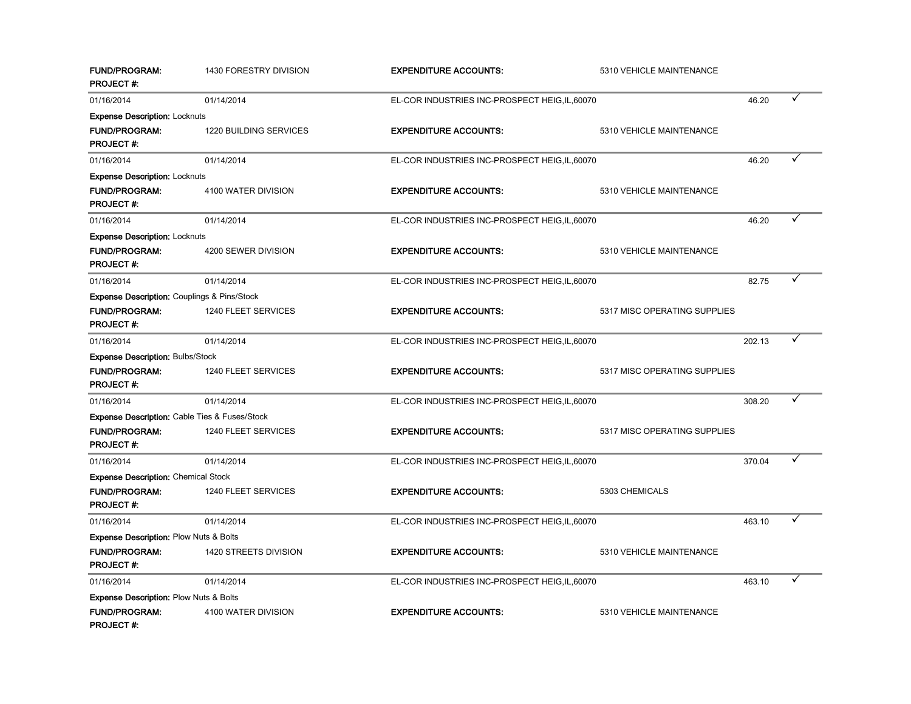| <b>FUND/PROGRAM:</b><br><b>PROJECT#:</b>                 | 1430 FORESTRY DIVISION | <b>EXPENDITURE ACCOUNTS:</b>                   | 5310 VEHICLE MAINTENANCE     |        |  |
|----------------------------------------------------------|------------------------|------------------------------------------------|------------------------------|--------|--|
| 01/16/2014                                               | 01/14/2014             | EL-COR INDUSTRIES INC-PROSPECT HEIG, IL, 60070 |                              | 46.20  |  |
| <b>Expense Description: Locknuts</b>                     |                        |                                                |                              |        |  |
| <b>FUND/PROGRAM:</b><br><b>PROJECT#:</b>                 | 1220 BUILDING SERVICES | <b>EXPENDITURE ACCOUNTS:</b>                   | 5310 VEHICLE MAINTENANCE     |        |  |
| 01/16/2014                                               | 01/14/2014             | EL-COR INDUSTRIES INC-PROSPECT HEIG, IL, 60070 |                              | 46.20  |  |
| <b>Expense Description: Locknuts</b>                     |                        |                                                |                              |        |  |
| <b>FUND/PROGRAM:</b><br><b>PROJECT#:</b>                 | 4100 WATER DIVISION    | <b>EXPENDITURE ACCOUNTS:</b>                   | 5310 VEHICLE MAINTENANCE     |        |  |
| 01/16/2014                                               | 01/14/2014             | EL-COR INDUSTRIES INC-PROSPECT HEIG, IL, 60070 |                              | 46.20  |  |
| <b>Expense Description: Locknuts</b>                     |                        |                                                |                              |        |  |
| <b>FUND/PROGRAM:</b><br><b>PROJECT#:</b>                 | 4200 SEWER DIVISION    | <b>EXPENDITURE ACCOUNTS:</b>                   | 5310 VEHICLE MAINTENANCE     |        |  |
| 01/16/2014                                               | 01/14/2014             | EL-COR INDUSTRIES INC-PROSPECT HEIG, IL, 60070 |                              | 82.75  |  |
| <b>Expense Description: Couplings &amp; Pins/Stock</b>   |                        |                                                |                              |        |  |
| <b>FUND/PROGRAM:</b><br><b>PROJECT#:</b>                 | 1240 FLEET SERVICES    | <b>EXPENDITURE ACCOUNTS:</b>                   | 5317 MISC OPERATING SUPPLIES |        |  |
| 01/16/2014                                               | 01/14/2014             | EL-COR INDUSTRIES INC-PROSPECT HEIG, IL, 60070 |                              | 202.13 |  |
| <b>Expense Description: Bulbs/Stock</b>                  |                        |                                                |                              |        |  |
| <b>FUND/PROGRAM:</b><br><b>PROJECT#:</b>                 | 1240 FLEET SERVICES    | <b>EXPENDITURE ACCOUNTS:</b>                   | 5317 MISC OPERATING SUPPLIES |        |  |
| 01/16/2014                                               | 01/14/2014             | EL-COR INDUSTRIES INC-PROSPECT HEIG, IL, 60070 |                              | 308.20 |  |
| <b>Expense Description: Cable Ties &amp; Fuses/Stock</b> |                        |                                                |                              |        |  |
| <b>FUND/PROGRAM:</b><br><b>PROJECT#:</b>                 | 1240 FLEET SERVICES    | <b>EXPENDITURE ACCOUNTS:</b>                   | 5317 MISC OPERATING SUPPLIES |        |  |
| 01/16/2014                                               | 01/14/2014             | EL-COR INDUSTRIES INC-PROSPECT HEIG, IL, 60070 |                              | 370.04 |  |
| <b>Expense Description: Chemical Stock</b>               |                        |                                                |                              |        |  |
| <b>FUND/PROGRAM:</b><br><b>PROJECT#:</b>                 | 1240 FLEET SERVICES    | <b>EXPENDITURE ACCOUNTS:</b>                   | 5303 CHEMICALS               |        |  |
| 01/16/2014                                               | 01/14/2014             | EL-COR INDUSTRIES INC-PROSPECT HEIG, IL, 60070 |                              | 463.10 |  |
| <b>Expense Description: Plow Nuts &amp; Bolts</b>        |                        |                                                |                              |        |  |
| <b>FUND/PROGRAM:</b><br><b>PROJECT#:</b>                 | 1420 STREETS DIVISION  | <b>EXPENDITURE ACCOUNTS:</b>                   | 5310 VEHICLE MAINTENANCE     |        |  |
| 01/16/2014                                               | 01/14/2014             | EL-COR INDUSTRIES INC-PROSPECT HEIG, IL, 60070 |                              | 463.10 |  |
| <b>Expense Description: Plow Nuts &amp; Bolts</b>        |                        |                                                |                              |        |  |
| <b>FUND/PROGRAM:</b><br>PROJECT #:                       | 4100 WATER DIVISION    | <b>EXPENDITURE ACCOUNTS:</b>                   | 5310 VEHICLE MAINTENANCE     |        |  |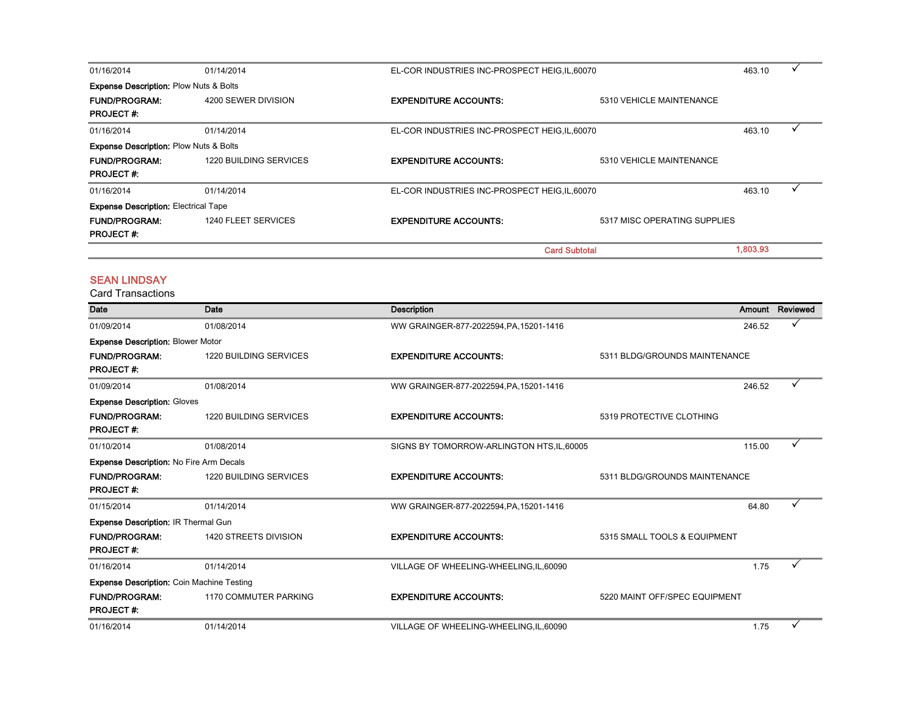| 01/16/2014                                        | 01/14/2014                    | EL-COR INDUSTRIES INC-PROSPECT HEIG, IL, 60070 |                              |          |  |
|---------------------------------------------------|-------------------------------|------------------------------------------------|------------------------------|----------|--|
| <b>Expense Description: Plow Nuts &amp; Bolts</b> |                               |                                                |                              |          |  |
| <b>FUND/PROGRAM:</b>                              | 4200 SEWER DIVISION           | <b>EXPENDITURE ACCOUNTS:</b>                   | 5310 VEHICLE MAINTENANCE     |          |  |
| <b>PROJECT#:</b>                                  |                               |                                                |                              |          |  |
| 01/16/2014                                        | 01/14/2014                    | EL-COR INDUSTRIES INC-PROSPECT HEIG, IL, 60070 |                              | 463.10   |  |
| <b>Expense Description: Plow Nuts &amp; Bolts</b> |                               |                                                |                              |          |  |
| <b>FUND/PROGRAM:</b>                              | <b>1220 BUILDING SERVICES</b> | <b>EXPENDITURE ACCOUNTS:</b>                   | 5310 VEHICLE MAINTENANCE     |          |  |
| <b>PROJECT#:</b>                                  |                               |                                                |                              |          |  |
| 01/16/2014                                        | 01/14/2014                    | EL-COR INDUSTRIES INC-PROSPECT HEIG, IL, 60070 |                              | 463.10   |  |
| <b>Expense Description: Electrical Tape</b>       |                               |                                                |                              |          |  |
| <b>FUND/PROGRAM:</b>                              | 1240 FLEET SERVICES           | <b>EXPENDITURE ACCOUNTS:</b>                   | 5317 MISC OPERATING SUPPLIES |          |  |
| <b>PROJECT#:</b>                                  |                               |                                                |                              |          |  |
|                                                   |                               |                                                | <b>Card Subtotal</b>         | 1,803.93 |  |

#### SEAN LINDSAY

| Date                                             | Date                          | <b>Description</b>                         |                               |        | Amount Reviewed |
|--------------------------------------------------|-------------------------------|--------------------------------------------|-------------------------------|--------|-----------------|
| 01/09/2014                                       | 01/08/2014                    | WW GRAINGER-877-2022594, PA, 15201-1416    |                               | 246.52 |                 |
| <b>Expense Description: Blower Motor</b>         |                               |                                            |                               |        |                 |
| <b>FUND/PROGRAM:</b>                             | <b>1220 BUILDING SERVICES</b> | <b>EXPENDITURE ACCOUNTS:</b>               | 5311 BLDG/GROUNDS MAINTENANCE |        |                 |
| <b>PROJECT#:</b>                                 |                               |                                            |                               |        |                 |
| 01/09/2014                                       | 01/08/2014                    | WW GRAINGER-877-2022594, PA, 15201-1416    |                               | 246.52 |                 |
| <b>Expense Description: Gloves</b>               |                               |                                            |                               |        |                 |
| <b>FUND/PROGRAM:</b>                             | <b>1220 BUILDING SERVICES</b> | <b>EXPENDITURE ACCOUNTS:</b>               | 5319 PROTECTIVE CLOTHING      |        |                 |
| <b>PROJECT#:</b>                                 |                               |                                            |                               |        |                 |
| 01/10/2014                                       | 01/08/2014                    | SIGNS BY TOMORROW-ARLINGTON HTS, IL, 60005 |                               | 115.00 |                 |
| <b>Expense Description: No Fire Arm Decals</b>   |                               |                                            |                               |        |                 |
| <b>FUND/PROGRAM:</b>                             | <b>1220 BUILDING SERVICES</b> | <b>EXPENDITURE ACCOUNTS:</b>               | 5311 BLDG/GROUNDS MAINTENANCE |        |                 |
| <b>PROJECT#:</b>                                 |                               |                                            |                               |        |                 |
| 01/15/2014                                       | 01/14/2014                    | WW GRAINGER-877-2022594, PA, 15201-1416    |                               | 64.80  | $\checkmark$    |
| <b>Expense Description: IR Thermal Gun</b>       |                               |                                            |                               |        |                 |
| <b>FUND/PROGRAM:</b>                             | 1420 STREETS DIVISION         | <b>EXPENDITURE ACCOUNTS:</b>               | 5315 SMALL TOOLS & EQUIPMENT  |        |                 |
| <b>PROJECT#:</b>                                 |                               |                                            |                               |        |                 |
| 01/16/2014                                       | 01/14/2014                    | VILLAGE OF WHEELING-WHEELING, IL, 60090    |                               | 1.75   | ✓               |
| <b>Expense Description: Coin Machine Testing</b> |                               |                                            |                               |        |                 |
| <b>FUND/PROGRAM:</b>                             | <b>1170 COMMUTER PARKING</b>  | <b>EXPENDITURE ACCOUNTS:</b>               | 5220 MAINT OFF/SPEC EQUIPMENT |        |                 |
| <b>PROJECT#:</b>                                 |                               |                                            |                               |        |                 |
| 01/16/2014                                       | 01/14/2014                    | VILLAGE OF WHEELING-WHEELING, IL, 60090    |                               | 1.75   |                 |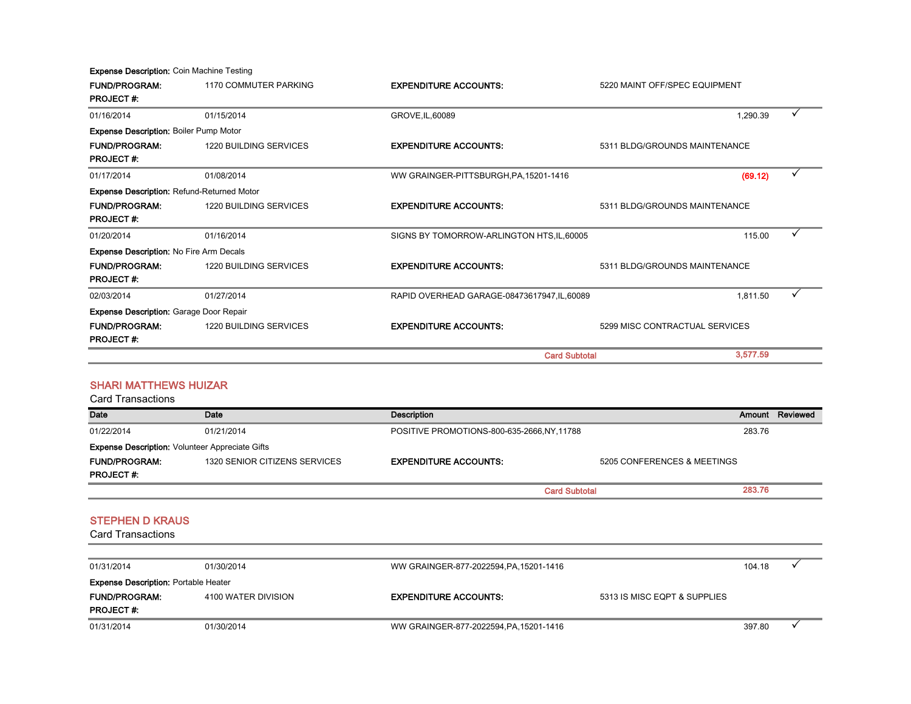Expense Description: Coin Machine Testing

| <b>FUND/PROGRAM:</b>                              | 1170 COMMUTER PARKING         | <b>EXPENDITURE ACCOUNTS:</b>                 | 5220 MAINT OFF/SPEC EQUIPMENT  |                 |
|---------------------------------------------------|-------------------------------|----------------------------------------------|--------------------------------|-----------------|
| <b>PROJECT#:</b>                                  |                               |                                              |                                |                 |
| 01/16/2014                                        | 01/15/2014                    | GROVE, IL, 60089                             | 1,290.39                       |                 |
| <b>Expense Description: Boiler Pump Motor</b>     |                               |                                              |                                |                 |
| <b>FUND/PROGRAM:</b>                              | <b>1220 BUILDING SERVICES</b> | <b>EXPENDITURE ACCOUNTS:</b>                 | 5311 BLDG/GROUNDS MAINTENANCE  |                 |
| <b>PROJECT#:</b>                                  |                               |                                              |                                |                 |
| 01/17/2014                                        | 01/08/2014                    | WW GRAINGER-PITTSBURGH, PA, 15201-1416       | (69.12)                        | ✓               |
| <b>Expense Description: Refund-Returned Motor</b> |                               |                                              |                                |                 |
| <b>FUND/PROGRAM:</b>                              | <b>1220 BUILDING SERVICES</b> | <b>EXPENDITURE ACCOUNTS:</b>                 | 5311 BLDG/GROUNDS MAINTENANCE  |                 |
| <b>PROJECT#:</b>                                  |                               |                                              |                                |                 |
| 01/20/2014                                        | 01/16/2014                    | SIGNS BY TOMORROW-ARLINGTON HTS, IL, 60005   | 115.00                         | ✓               |
| <b>Expense Description: No Fire Arm Decals</b>    |                               |                                              |                                |                 |
| <b>FUND/PROGRAM:</b>                              | <b>1220 BUILDING SERVICES</b> | <b>EXPENDITURE ACCOUNTS:</b>                 | 5311 BLDG/GROUNDS MAINTENANCE  |                 |
| <b>PROJECT#:</b>                                  |                               |                                              |                                |                 |
| 02/03/2014                                        | 01/27/2014                    | RAPID OVERHEAD GARAGE-08473617947, IL, 60089 | 1,811.50                       |                 |
| <b>Expense Description: Garage Door Repair</b>    |                               |                                              |                                |                 |
| <b>FUND/PROGRAM:</b>                              | <b>1220 BUILDING SERVICES</b> | <b>EXPENDITURE ACCOUNTS:</b>                 | 5299 MISC CONTRACTUAL SERVICES |                 |
| <b>PROJECT#:</b>                                  |                               |                                              |                                |                 |
|                                                   |                               | <b>Card Subtotal</b>                         | 3,577.59                       |                 |
|                                                   |                               |                                              |                                |                 |
| <b>SHARI MATTHEWS HUIZAR</b>                      |                               |                                              |                                |                 |
|                                                   |                               |                                              |                                |                 |
| <b>Card Transactions</b>                          |                               |                                              |                                |                 |
| Date                                              | Date                          | <b>Description</b>                           |                                | Amount Reviewed |

Expense Description: Volunteer Appreciate Gifts

FUND/PROGRAM: 1320 SENIOR CITIZENS SERVICES EXPENDITURE ACCOUNTS: 5205 CONFERENCES & MEETINGS PROJECT #: 283.76 Card Subtotal

#### STEPHEN D KRAUS

| 01/31/2014                                  | 01/30/2014          | WW GRAINGER-877-2022594, PA, 15201-1416 |                              | 104.18 |  |
|---------------------------------------------|---------------------|-----------------------------------------|------------------------------|--------|--|
| <b>Expense Description: Portable Heater</b> |                     |                                         |                              |        |  |
| <b>FUND/PROGRAM:</b>                        | 4100 WATER DIVISION | <b>EXPENDITURE ACCOUNTS:</b>            | 5313 IS MISC EQPT & SUPPLIES |        |  |
| <b>PROJECT#:</b>                            |                     |                                         |                              |        |  |
| 01/31/2014                                  | 01/30/2014          | WW GRAINGER-877-2022594, PA, 15201-1416 |                              | 397.80 |  |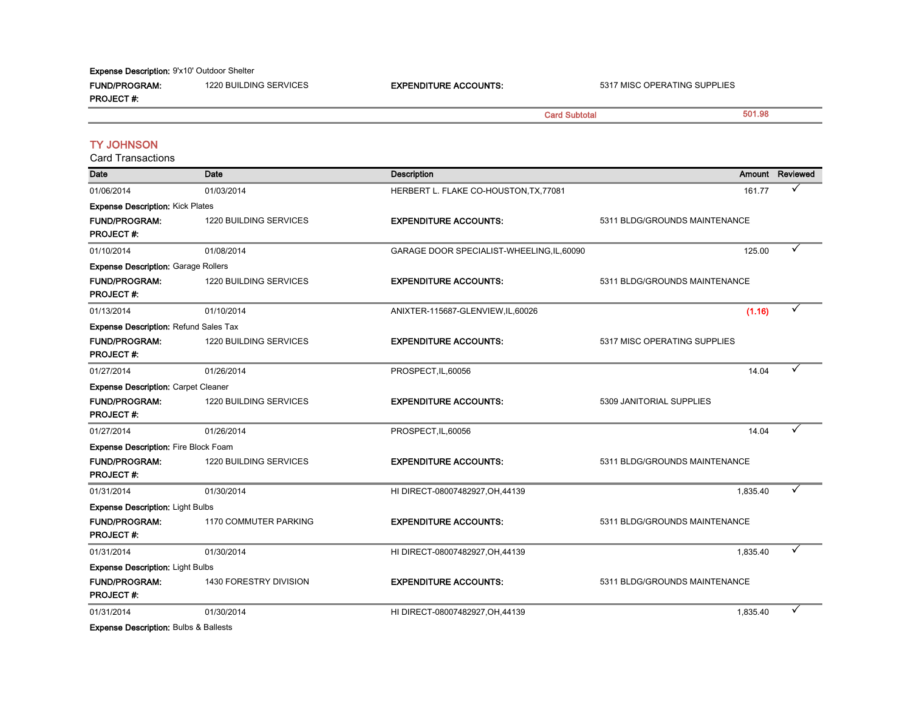Expense Description: 9'x10' Outdoor Shelter

FUND/PROGRAM: 1220 BUILDING SERVICES **EXPENDITURE ACCOUNTS:** 5317 MISC OPERATING SUPPLIES PROJECT #: 501.98 Card Transactions Date Date Description Amount Reviewed 01/06/2014 01/03/2014 01/03/2014 01/03/2014 HERBERT L. FLAKE CO-HOUSTON,TX,77081 161.77 <del>V</del> Expense Description: Kick Plates Card Subtotal TY JOHNSON

| <b>FUND/PROGRAM:</b><br><b>PROJECT#:</b>     | <b>1220 BUILDING SERVICES</b> | <b>EXPENDITURE ACCOUNTS:</b>               | 5311 BLDG/GROUNDS MAINTENANCE |   |
|----------------------------------------------|-------------------------------|--------------------------------------------|-------------------------------|---|
| 01/10/2014                                   | 01/08/2014                    | GARAGE DOOR SPECIALIST-WHEELING, IL, 60090 | 125.00                        | ✓ |
| <b>Expense Description: Garage Rollers</b>   |                               |                                            |                               |   |
| <b>FUND/PROGRAM:</b>                         | 1220 BUILDING SERVICES        | <b>EXPENDITURE ACCOUNTS:</b>               | 5311 BLDG/GROUNDS MAINTENANCE |   |
| <b>PROJECT#:</b>                             |                               |                                            |                               |   |
| 01/13/2014                                   | 01/10/2014                    | ANIXTER-115687-GLENVIEW,IL,60026           | (1.16)                        | ✓ |
| <b>Expense Description: Refund Sales Tax</b> |                               |                                            |                               |   |
| <b>FUND/PROGRAM:</b><br><b>PROJECT#:</b>     | <b>1220 BUILDING SERVICES</b> | <b>EXPENDITURE ACCOUNTS:</b>               | 5317 MISC OPERATING SUPPLIES  |   |
| 01/27/2014                                   | 01/26/2014                    | PROSPECT, IL, 60056                        | 14.04                         |   |
| <b>Expense Description: Carpet Cleaner</b>   |                               |                                            |                               |   |
| <b>FUND/PROGRAM:</b><br><b>PROJECT#:</b>     | <b>1220 BUILDING SERVICES</b> | <b>EXPENDITURE ACCOUNTS:</b>               | 5309 JANITORIAL SUPPLIES      |   |
| 01/27/2014                                   | 01/26/2014                    | PROSPECT, IL, 60056                        | 14.04                         |   |
| <b>Expense Description: Fire Block Foam</b>  |                               |                                            |                               |   |
| <b>FUND/PROGRAM:</b><br><b>PROJECT#:</b>     | <b>1220 BUILDING SERVICES</b> | <b>EXPENDITURE ACCOUNTS:</b>               | 5311 BLDG/GROUNDS MAINTENANCE |   |
| 01/31/2014                                   | 01/30/2014                    | HI DIRECT-08007482927, OH, 44139           | 1,835.40                      |   |
| <b>Expense Description: Light Bulbs</b>      |                               |                                            |                               |   |
| <b>FUND/PROGRAM:</b><br><b>PROJECT#:</b>     | <b>1170 COMMUTER PARKING</b>  | <b>EXPENDITURE ACCOUNTS:</b>               | 5311 BLDG/GROUNDS MAINTENANCE |   |
| 01/31/2014                                   | 01/30/2014                    | HI DIRECT-08007482927, OH, 44139           | 1,835.40                      |   |
| <b>Expense Description: Light Bulbs</b>      |                               |                                            |                               |   |
| <b>FUND/PROGRAM:</b><br><b>PROJECT#:</b>     | 1430 FORESTRY DIVISION        | <b>EXPENDITURE ACCOUNTS:</b>               | 5311 BLDG/GROUNDS MAINTENANCE |   |
| 01/31/2014                                   | 01/30/2014                    | HI DIRECT-08007482927, OH, 44139           | 1,835.40                      |   |
|                                              |                               |                                            |                               |   |

Expense Description: Bulbs & Ballests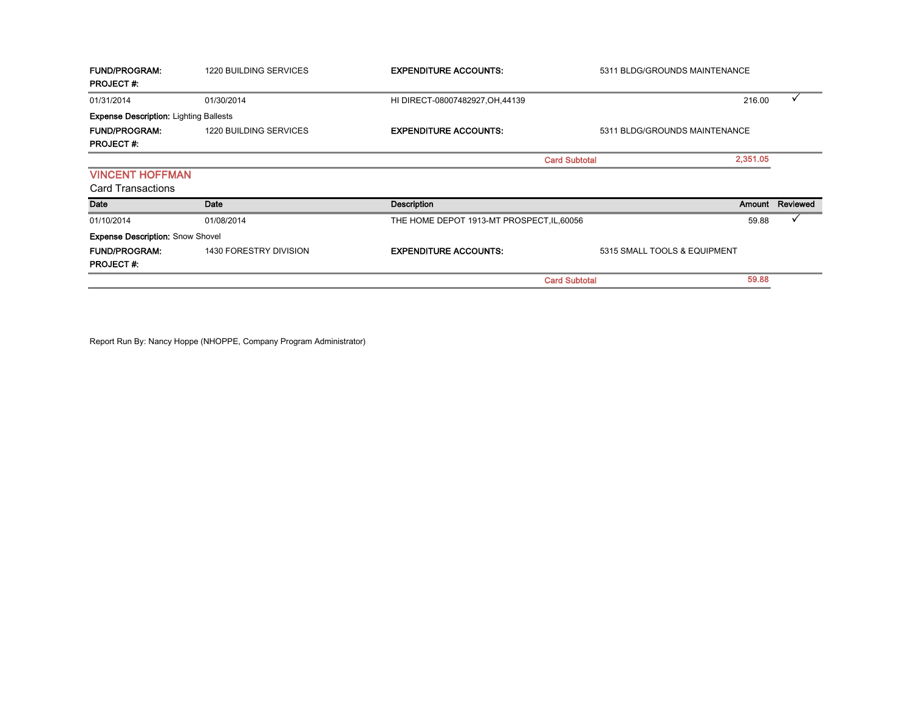| <b>FUND/PROGRAM:</b><br><b>PROJECT#:</b>           | 1220 BUILDING SERVICES        | <b>EXPENDITURE ACCOUNTS:</b>               | 5311 BLDG/GROUNDS MAINTENANCE |          |          |
|----------------------------------------------------|-------------------------------|--------------------------------------------|-------------------------------|----------|----------|
| 01/31/2014                                         | 01/30/2014                    | HI DIRECT-08007482927, OH, 44139           |                               | 216.00   | v        |
| <b>Expense Description: Lighting Ballests</b>      |                               |                                            |                               |          |          |
| <b>FUND/PROGRAM:</b><br><b>PROJECT#:</b>           | 1220 BUILDING SERVICES        | <b>EXPENDITURE ACCOUNTS:</b>               | 5311 BLDG/GROUNDS MAINTENANCE |          |          |
|                                                    |                               |                                            | <b>Card Subtotal</b>          | 2.351.05 |          |
| <b>VINCENT HOFFMAN</b><br><b>Card Transactions</b> |                               |                                            |                               |          |          |
| Date                                               | Date                          | <b>Description</b>                         |                               | Amount   | Reviewed |
| 01/10/2014                                         | 01/08/2014                    | THE HOME DEPOT 1913-MT PROSPECT, IL, 60056 |                               | 59.88    |          |
| <b>Expense Description: Snow Shovel</b>            |                               |                                            |                               |          |          |
| <b>FUND/PROGRAM:</b><br><b>PROJECT#:</b>           | <b>1430 FORESTRY DIVISION</b> | <b>EXPENDITURE ACCOUNTS:</b>               | 5315 SMALL TOOLS & EQUIPMENT  |          |          |
|                                                    |                               |                                            | <b>Card Subtotal</b>          | 59.88    |          |

Report Run By: Nancy Hoppe (NHOPPE, Company Program Administrator)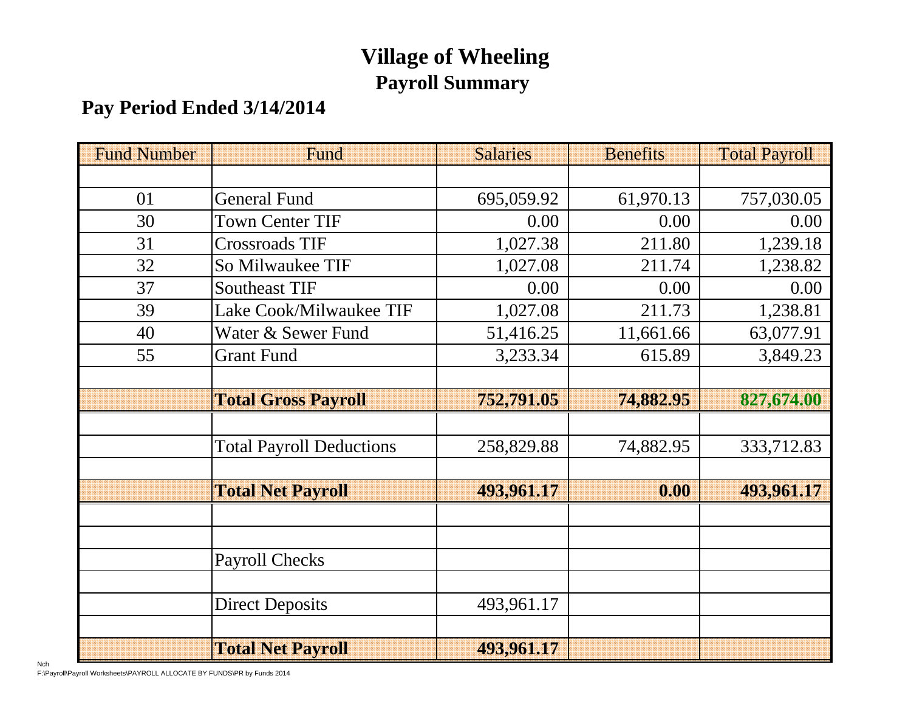# **Village of Wheeling Payroll Summary**

# **Pay Period Ended 3/14/2014**

| <b>Fund Number</b> | Fund                            | <b>Salaries</b> | <b>Benefits</b> | <b>Total Payroll</b> |
|--------------------|---------------------------------|-----------------|-----------------|----------------------|
|                    |                                 |                 |                 |                      |
| 01                 | <b>General Fund</b>             | 695,059.92      | 61,970.13       | 757,030.05           |
| 30                 | <b>Town Center TIF</b>          | 0.00            | 0.00            | 0.00                 |
| 31                 | <b>Crossroads TIF</b>           | 1,027.38        | 211.80          | 1,239.18             |
| 32                 | So Milwaukee TIF                | 1,027.08        | 211.74          | 1,238.82             |
| 37                 | <b>Southeast TIF</b>            | 0.00            | 0.00            | 0.00                 |
| 39                 | Lake Cook/Milwaukee TIF         | 1,027.08        | 211.73          | 1,238.81             |
| 40                 | Water & Sewer Fund              | 51,416.25       | 11,661.66       | 63,077.91            |
| 55                 | <b>Grant Fund</b>               | 3,233.34        | 615.89          | 3,849.23             |
|                    |                                 |                 |                 |                      |
|                    | <b>Total Gross Payroll</b>      | 752,791.05      | 74,882.95       | 827,674.00           |
|                    |                                 |                 |                 |                      |
|                    | <b>Total Payroll Deductions</b> | 258,829.88      | 74,882.95       | 333,712.83           |
|                    |                                 |                 |                 |                      |
|                    | <b>Total Net Payroll</b>        | 493,961.17      | 0.00            | 493,961.17           |
|                    |                                 |                 |                 |                      |
|                    |                                 |                 |                 |                      |
|                    | <b>Payroll Checks</b>           |                 |                 |                      |
|                    |                                 |                 |                 |                      |
|                    | <b>Direct Deposits</b>          | 493,961.17      |                 |                      |
|                    |                                 |                 |                 |                      |
|                    | <b>Total Net Payroll</b>        | 493,961.17      |                 |                      |

Nch F:\Payroll\Payroll Worksheets\PAYROLL ALLOCATE BY FUNDS\PR by Funds 2014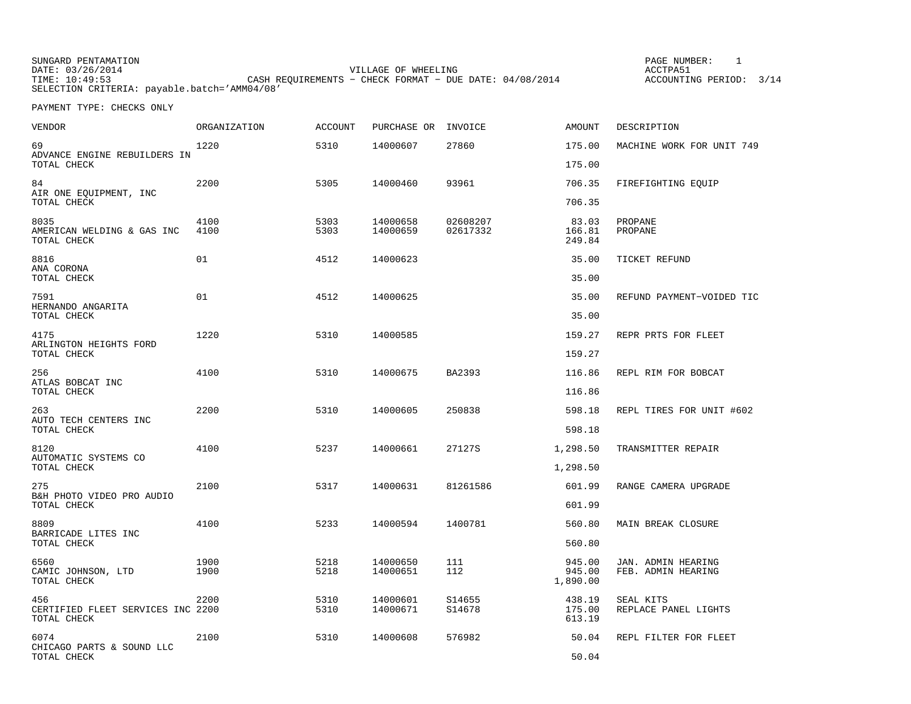SUNGARD PENTAMATION<br>DATE: 03/26/2014 DATE: 03/26/2014 VILLAGE OF WHEELING ACCTPA51 TIME: 10:49:53 CASH REQUIREMENTS − CHECK FORMAT − DUE DATE: 04/08/2014 ACCOUNTING PERIOD: 3/14 SELECTION CRITERIA: payable.batch='AMM04/08'

PAGE NUMBER: 1

| VENDOR                                                  | ORGANIZATION | ACCOUNT      | PURCHASE OR          | INVOICE              | AMOUNT                       | DESCRIPTION                              |
|---------------------------------------------------------|--------------|--------------|----------------------|----------------------|------------------------------|------------------------------------------|
| 69<br>ADVANCE ENGINE REBUILDERS IN                      | 1220         | 5310         | 14000607             | 27860                | 175.00                       | MACHINE WORK FOR UNIT 749                |
| TOTAL CHECK                                             |              |              |                      |                      | 175.00                       |                                          |
| 84<br>AIR ONE EOUIPMENT, INC                            | 2200         | 5305         | 14000460             | 93961                | 706.35                       | FIREFIGHTING EQUIP                       |
| TOTAL CHECK                                             |              |              |                      |                      | 706.35                       |                                          |
| 8035<br>AMERICAN WELDING & GAS INC<br>TOTAL CHECK       | 4100<br>4100 | 5303<br>5303 | 14000658<br>14000659 | 02608207<br>02617332 | 83.03<br>166.81<br>249.84    | PROPANE<br>PROPANE                       |
| 8816<br>ANA CORONA                                      | 01           | 4512         | 14000623             |                      | 35.00                        | TICKET REFUND                            |
| TOTAL CHECK                                             |              |              |                      |                      | 35.00                        |                                          |
| 7591<br>HERNANDO ANGARITA                               | 01           | 4512         | 14000625             |                      | 35.00                        | REFUND PAYMENT-VOIDED TIC                |
| TOTAL CHECK                                             |              |              |                      |                      | 35.00                        |                                          |
| 4175                                                    | 1220         | 5310         | 14000585             |                      | 159.27                       | REPR PRTS FOR FLEET                      |
| ARLINGTON HEIGHTS FORD<br>TOTAL CHECK                   |              |              |                      |                      | 159.27                       |                                          |
| 256<br>ATLAS BOBCAT INC                                 | 4100         | 5310         | 14000675             | BA2393               | 116.86                       | REPL RIM FOR BOBCAT                      |
| TOTAL CHECK                                             |              |              |                      |                      | 116.86                       |                                          |
| 263<br>AUTO TECH CENTERS INC                            | 2200         | 5310         | 14000605             | 250838               | 598.18                       | REPL TIRES FOR UNIT #602                 |
| TOTAL CHECK                                             |              |              |                      |                      | 598.18                       |                                          |
| 8120                                                    | 4100         | 5237         | 14000661             | 27127S               | 1,298.50                     | TRANSMITTER REPAIR                       |
| AUTOMATIC SYSTEMS CO<br>TOTAL CHECK                     |              |              |                      |                      | 1,298.50                     |                                          |
| 275<br>B&H PHOTO VIDEO PRO AUDIO                        | 2100         | 5317         | 14000631             | 81261586             | 601.99                       | RANGE CAMERA UPGRADE                     |
| TOTAL CHECK                                             |              |              |                      |                      | 601.99                       |                                          |
| 8809<br>BARRICADE LITES INC                             | 4100         | 5233         | 14000594             | 1400781              | 560.80                       | MAIN BREAK CLOSURE                       |
| TOTAL CHECK                                             |              |              |                      |                      | 560.80                       |                                          |
| 6560<br>CAMIC JOHNSON, LTD<br>TOTAL CHECK               | 1900<br>1900 | 5218<br>5218 | 14000650<br>14000651 | 111<br>112           | 945.00<br>945.00<br>1,890.00 | JAN. ADMIN HEARING<br>FEB. ADMIN HEARING |
| 456<br>CERTIFIED FLEET SERVICES INC 2200<br>TOTAL CHECK | 2200         | 5310<br>5310 | 14000601<br>14000671 | S14655<br>S14678     | 438.19<br>175.00<br>613.19   | SEAL KITS<br>REPLACE PANEL LIGHTS        |
| 6074<br>CHICAGO PARTS & SOUND LLC<br>TOTAL CHECK        | 2100         | 5310         | 14000608             | 576982               | 50.04<br>50.04               | REPL FILTER FOR FLEET                    |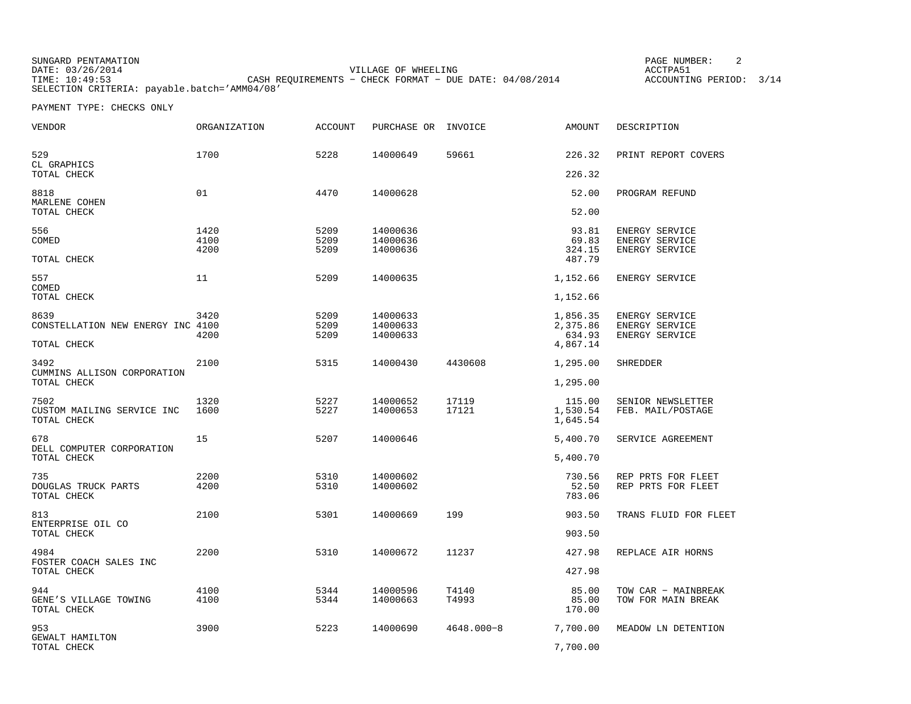SUNGARD PENTAMATION<br>DATE: 03/26/2014 VILLAGE OF WHEELING **ACCTPA51** TIME: 10:49:53 CASH REQUIREMENTS − CHECK FORMAT − DUE DATE: 04/08/2014 ACCOUNTING PERIOD: 3/14 SELECTION CRITERIA: payable.batch='AMM04/08'

PAGE NUMBER: 2

| VENDOR                                            | <b>ORGANIZATION</b>  | <b>ACCOUNT</b>       | PURCHASE OR                      | INVOICE        | <b>AMOUNT</b>                      | DESCRIPTION                                        |
|---------------------------------------------------|----------------------|----------------------|----------------------------------|----------------|------------------------------------|----------------------------------------------------|
| 529<br>CL GRAPHICS                                | 1700                 | 5228                 | 14000649                         | 59661          | 226.32                             | PRINT REPORT COVERS                                |
| TOTAL CHECK                                       |                      |                      |                                  |                | 226.32                             |                                                    |
| 8818<br>MARLENE COHEN                             | 01                   | 4470                 | 14000628                         |                | 52.00                              | PROGRAM REFUND                                     |
| TOTAL CHECK                                       |                      |                      |                                  |                | 52.00                              |                                                    |
| 556<br>COMED<br>TOTAL CHECK                       | 1420<br>4100<br>4200 | 5209<br>5209<br>5209 | 14000636<br>14000636<br>14000636 |                | 93.81<br>69.83<br>324.15<br>487.79 | ENERGY SERVICE<br>ENERGY SERVICE<br>ENERGY SERVICE |
| 557                                               | 11                   | 5209                 | 14000635                         |                | 1,152.66                           | ENERGY SERVICE                                     |
| COMED<br>TOTAL CHECK                              |                      |                      |                                  |                | 1,152.66                           |                                                    |
| 8639<br>CONSTELLATION NEW ENERGY INC 4100         | 3420                 | 5209<br>5209         | 14000633<br>14000633             |                | 1,856.35<br>2,375.86               | ENERGY SERVICE<br>ENERGY SERVICE                   |
| TOTAL CHECK                                       | 4200                 | 5209                 | 14000633                         |                | 634.93<br>4,867.14                 | ENERGY SERVICE                                     |
| 3492<br>CUMMINS ALLISON CORPORATION               | 2100                 | 5315                 | 14000430                         | 4430608        | 1,295.00                           | SHREDDER                                           |
| TOTAL CHECK                                       |                      |                      |                                  |                | 1,295.00                           |                                                    |
| 7502<br>CUSTOM MAILING SERVICE INC<br>TOTAL CHECK | 1320<br>1600         | 5227<br>5227         | 14000652<br>14000653             | 17119<br>17121 | 115.00<br>1,530.54<br>1,645.54     | SENIOR NEWSLETTER<br>FEB. MAIL/POSTAGE             |
| 678<br>DELL COMPUTER CORPORATION                  | 15                   | 5207                 | 14000646                         |                | 5,400.70                           | SERVICE AGREEMENT                                  |
| TOTAL CHECK                                       |                      |                      |                                  |                | 5,400.70                           |                                                    |
| 735<br>DOUGLAS TRUCK PARTS<br>TOTAL CHECK         | 2200<br>4200         | 5310<br>5310         | 14000602<br>14000602             |                | 730.56<br>52.50<br>783.06          | REP PRTS FOR FLEET<br>REP PRTS FOR FLEET           |
| 813                                               | 2100                 | 5301                 | 14000669                         | 199            | 903.50                             | TRANS FLUID FOR FLEET                              |
| ENTERPRISE OIL CO<br>TOTAL CHECK                  |                      |                      |                                  |                | 903.50                             |                                                    |
| 4984<br>FOSTER COACH SALES INC                    | 2200                 | 5310                 | 14000672                         | 11237          | 427.98                             | REPLACE AIR HORNS                                  |
| TOTAL CHECK                                       |                      |                      |                                  |                | 427.98                             |                                                    |
| 944<br>GENE'S VILLAGE TOWING<br>TOTAL CHECK       | 4100<br>4100         | 5344<br>5344         | 14000596<br>14000663             | T4140<br>T4993 | 85.00<br>85.00<br>170.00           | TOW CAR - MAINBREAK<br>TOW FOR MAIN BREAK          |
| 953                                               | 3900                 | 5223                 | 14000690                         | $4648.000 - 8$ | 7,700.00                           | MEADOW LN DETENTION                                |
| GEWALT HAMILTON<br>TOTAL CHECK                    |                      |                      |                                  |                | 7,700.00                           |                                                    |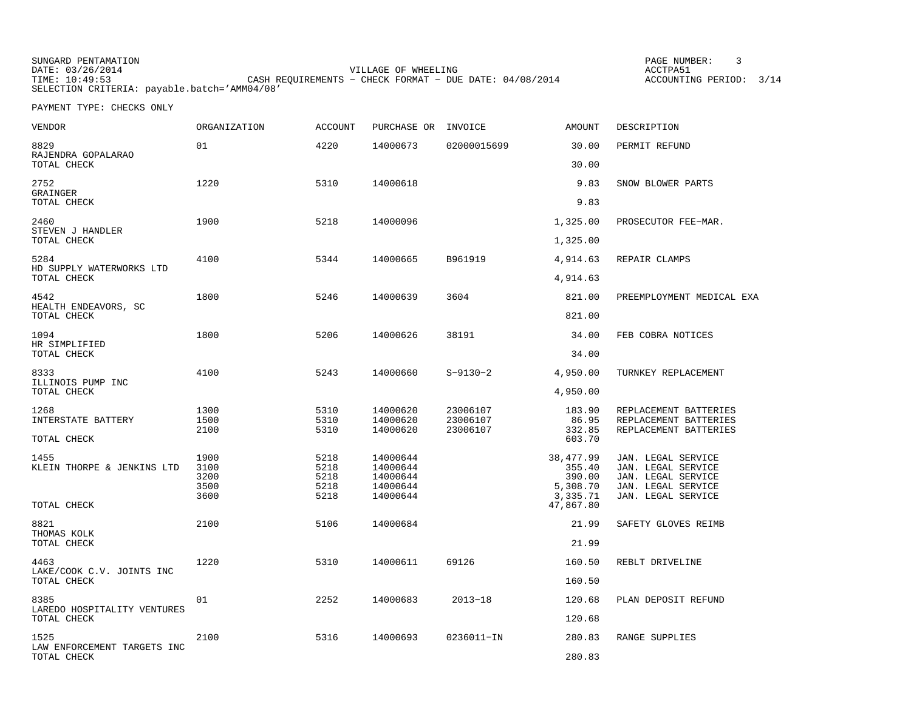SUNGARD PENTAMATION DATE: 03/26/2014 VILLAGE OF WHEELING ACCTPA51 TIME: 10:49:53 CASH REQUIREMENTS − CHECK FORMAT − DUE DATE: 04/08/2014 ACCOUNTING PERIOD: 3/14 SELECTION CRITERIA: payable.batch='AMM04/08'

PAGE NUMBER: 3

| <b>VENDOR</b>                           | ORGANIZATION                         | <b>ACCOUNT</b>                       | PURCHASE OR                                              | INVOICE                          | <b>AMOUNT</b>                                         | DESCRIPTION                                                                                                |
|-----------------------------------------|--------------------------------------|--------------------------------------|----------------------------------------------------------|----------------------------------|-------------------------------------------------------|------------------------------------------------------------------------------------------------------------|
| 8829<br>RAJENDRA GOPALARAO              | 01                                   | 4220                                 | 14000673                                                 | 02000015699                      | 30.00                                                 | PERMIT REFUND                                                                                              |
| TOTAL CHECK                             |                                      |                                      |                                                          |                                  | 30.00                                                 |                                                                                                            |
| 2752<br>GRAINGER<br>TOTAL CHECK         | 1220                                 | 5310                                 | 14000618                                                 |                                  | 9.83<br>9.83                                          | SNOW BLOWER PARTS                                                                                          |
| 2460                                    | 1900                                 | 5218                                 | 14000096                                                 |                                  | 1,325.00                                              | PROSECUTOR FEE-MAR.                                                                                        |
| STEVEN J HANDLER<br>TOTAL CHECK         |                                      |                                      |                                                          |                                  | 1,325.00                                              |                                                                                                            |
| 5284                                    | 4100                                 | 5344                                 | 14000665                                                 | B961919                          | 4,914.63                                              | REPAIR CLAMPS                                                                                              |
| HD SUPPLY WATERWORKS LTD<br>TOTAL CHECK |                                      |                                      |                                                          |                                  | 4,914.63                                              |                                                                                                            |
| 4542                                    | 1800                                 | 5246                                 | 14000639                                                 | 3604                             | 821.00                                                | PREEMPLOYMENT MEDICAL EXA                                                                                  |
| HEALTH ENDEAVORS, SC<br>TOTAL CHECK     |                                      |                                      |                                                          |                                  | 821.00                                                |                                                                                                            |
| 1094                                    | 1800                                 | 5206                                 | 14000626                                                 | 38191                            | 34.00                                                 | FEB COBRA NOTICES                                                                                          |
| HR SIMPLIFIED<br>TOTAL CHECK            |                                      |                                      |                                                          |                                  | 34.00                                                 |                                                                                                            |
| 8333<br>ILLINOIS PUMP INC               | 4100                                 | 5243                                 | 14000660                                                 | $S-9130-2$                       | 4,950.00                                              | TURNKEY REPLACEMENT                                                                                        |
| TOTAL CHECK                             |                                      |                                      |                                                          |                                  | 4,950.00                                              |                                                                                                            |
| 1268<br>INTERSTATE BATTERY              | 1300<br>1500<br>2100                 | 5310<br>5310<br>5310                 | 14000620<br>14000620<br>14000620                         | 23006107<br>23006107<br>23006107 | 183.90<br>86.95<br>332.85                             | REPLACEMENT BATTERIES<br>REPLACEMENT BATTERIES<br>REPLACEMENT BATTERIES                                    |
| TOTAL CHECK                             |                                      |                                      |                                                          |                                  | 603.70                                                |                                                                                                            |
| 1455<br>KLEIN THORPE & JENKINS LTD      | 1900<br>3100<br>3200<br>3500<br>3600 | 5218<br>5218<br>5218<br>5218<br>5218 | 14000644<br>14000644<br>14000644<br>14000644<br>14000644 |                                  | 38,477.99<br>355.40<br>390.00<br>5,308.70<br>3,335.71 | JAN. LEGAL SERVICE<br>JAN. LEGAL SERVICE<br>JAN. LEGAL SERVICE<br>JAN. LEGAL SERVICE<br>JAN. LEGAL SERVICE |
| TOTAL CHECK                             |                                      |                                      |                                                          |                                  | 47,867.80                                             |                                                                                                            |
| 8821<br>THOMAS KOLK                     | 2100                                 | 5106                                 | 14000684                                                 |                                  | 21.99                                                 | SAFETY GLOVES REIMB                                                                                        |
| TOTAL CHECK                             |                                      |                                      |                                                          |                                  | 21.99                                                 |                                                                                                            |
| 4463<br>LAKE/COOK C.V. JOINTS INC       | 1220                                 | 5310                                 | 14000611                                                 | 69126                            | 160.50                                                | REBLT DRIVELINE                                                                                            |
| TOTAL CHECK                             |                                      |                                      |                                                          |                                  | 160.50                                                |                                                                                                            |
| 8385<br>LAREDO HOSPITALITY VENTURES     | 01                                   | 2252                                 | 14000683                                                 | $2013 - 18$                      | 120.68                                                | PLAN DEPOSIT REFUND                                                                                        |
| TOTAL CHECK                             |                                      |                                      |                                                          |                                  | 120.68                                                |                                                                                                            |
| 1525<br>LAW ENFORCEMENT TARGETS INC     | 2100                                 | 5316                                 | 14000693                                                 | 0236011-IN                       | 280.83                                                | RANGE SUPPLIES                                                                                             |
| TOTAL CHECK                             |                                      |                                      |                                                          |                                  | 280.83                                                |                                                                                                            |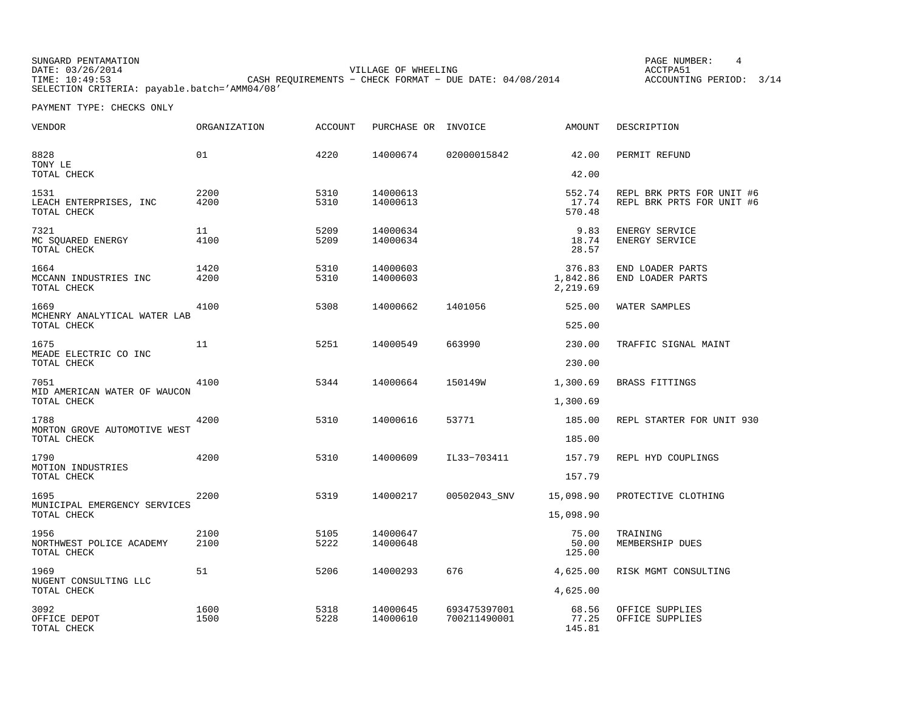SUNGARD PENTAMATION<br>DATE: 03/26/2014 PAGE NUMBER: 4 VILLAGE OF WHEELING **ACCTPA51** TIME: 10:49:53 CASH REQUIREMENTS − CHECK FORMAT − DUE DATE: 04/08/2014 ACCOUNTING PERIOD: 3/14 SELECTION CRITERIA: payable.batch='AMM04/08'

| <b>VENDOR</b>                                 | <b>ORGANIZATION</b> | <b>ACCOUNT</b> | PURCHASE OR          | INVOICE      | <b>AMOUNT</b>                  | DESCRIPTION                                            |
|-----------------------------------------------|---------------------|----------------|----------------------|--------------|--------------------------------|--------------------------------------------------------|
| 8828<br>TONY LE                               | 01                  | 4220           | 14000674             | 02000015842  | 42.00                          | PERMIT REFUND                                          |
| TOTAL CHECK                                   |                     |                |                      |              | 42.00                          |                                                        |
| 1531<br>LEACH ENTERPRISES, INC<br>TOTAL CHECK | 2200<br>4200        | 5310<br>5310   | 14000613<br>14000613 |              | 552.74<br>17.74<br>570.48      | REPL BRK PRTS FOR UNIT #6<br>REPL BRK PRTS FOR UNIT #6 |
| 7321<br>MC SQUARED ENERGY<br>TOTAL CHECK      | 11<br>4100          | 5209<br>5209   | 14000634<br>14000634 |              | 9.83<br>18.74<br>28.57         | ENERGY SERVICE<br>ENERGY SERVICE                       |
| 1664<br>MCCANN INDUSTRIES INC<br>TOTAL CHECK  | 1420<br>4200        | 5310<br>5310   | 14000603<br>14000603 |              | 376.83<br>1,842.86<br>2,219.69 | END LOADER PARTS<br>END LOADER PARTS                   |
| 1669                                          | 4100                | 5308           | 14000662             | 1401056      | 525.00                         | WATER SAMPLES                                          |
| MCHENRY ANALYTICAL WATER LAB<br>TOTAL CHECK   |                     |                |                      |              | 525.00                         |                                                        |
| 1675                                          | 11                  | 5251           | 14000549             | 663990       | 230.00                         | TRAFFIC SIGNAL MAINT                                   |
| MEADE ELECTRIC CO INC<br>TOTAL CHECK          |                     |                |                      |              | 230.00                         |                                                        |
| 7051                                          | 4100                | 5344           | 14000664             | 150149W      | 1,300.69                       | BRASS FITTINGS                                         |
| MID AMERICAN WATER OF WAUCON<br>TOTAL CHECK   |                     |                |                      |              | 1,300.69                       |                                                        |
| 1788                                          | 4200                | 5310           | 14000616             | 53771        | 185.00                         | REPL STARTER FOR UNIT 930                              |
| MORTON GROVE AUTOMOTIVE WEST<br>TOTAL CHECK   |                     |                |                      |              | 185.00                         |                                                        |
| 1790                                          | 4200                | 5310           | 14000609             | IL33-703411  | 157.79                         | REPL HYD COUPLINGS                                     |
| MOTION INDUSTRIES<br>TOTAL CHECK              |                     |                |                      |              | 157.79                         |                                                        |
| 1695                                          | 2200                | 5319           | 14000217             | 00502043_SNV | 15,098.90                      | PROTECTIVE CLOTHING                                    |
| MUNICIPAL EMERGENCY SERVICES<br>TOTAL CHECK   |                     |                |                      |              | 15,098.90                      |                                                        |
| 1956                                          | 2100                | 5105           | 14000647             |              | 75.00                          | TRAINING                                               |
| NORTHWEST POLICE ACADEMY<br>TOTAL CHECK       | 2100                | 5222           | 14000648             |              | 50.00<br>125.00                | MEMBERSHIP DUES                                        |
| 1969                                          | 51                  | 5206           | 14000293             | 676          | 4,625.00                       | RISK MGMT CONSULTING                                   |
| NUGENT CONSULTING LLC<br>TOTAL CHECK          |                     |                |                      |              | 4,625.00                       |                                                        |
| 3092                                          | 1600                | 5318           | 14000645             | 693475397001 | 68.56                          | OFFICE SUPPLIES                                        |
| OFFICE DEPOT<br>TOTAL CHECK                   | 1500                | 5228           | 14000610             | 700211490001 | 77.25<br>145.81                | OFFICE SUPPLIES                                        |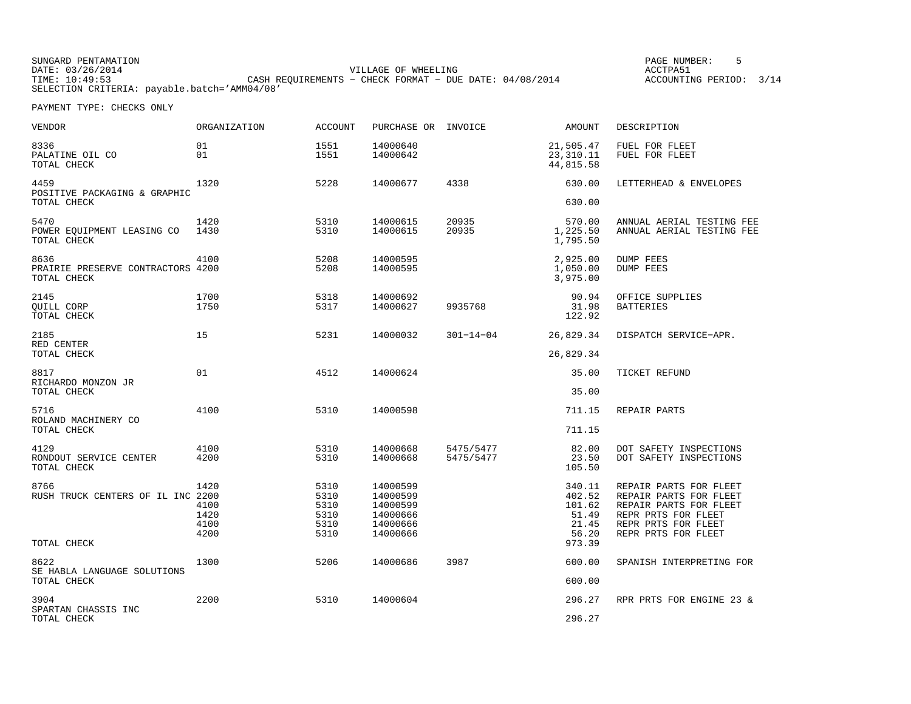SUNGARD PENTAMATION<br>DATE: 03/26/2014 VILLAGE OF WHEELING **ACCTPA51** TIME: 10:49:53 CASH REQUIREMENTS − CHECK FORMAT − DUE DATE: 04/08/2014 ACCOUNTING PERIOD: 3/14 SELECTION CRITERIA: payable.batch='AMM04/08'

PAGE NUMBER: 5

| VENDOR                                                   | ORGANIZATION                         | <b>ACCOUNT</b>                               | PURCHASE OR INVOICE                                                  |                        | AMOUNT                                                          | DESCRIPTION                                                                                                                                     |
|----------------------------------------------------------|--------------------------------------|----------------------------------------------|----------------------------------------------------------------------|------------------------|-----------------------------------------------------------------|-------------------------------------------------------------------------------------------------------------------------------------------------|
| 8336<br>PALATINE OIL CO<br>TOTAL CHECK                   | 01<br>01                             | 1551<br>1551                                 | 14000640<br>14000642                                                 |                        | 21,505.47<br>23, 310.11<br>44,815.58                            | FUEL FOR FLEET<br>FUEL FOR FLEET                                                                                                                |
| 4459<br>POSITIVE PACKAGING & GRAPHIC<br>TOTAL CHECK      | 1320                                 | 5228                                         | 14000677                                                             | 4338                   | 630.00<br>630.00                                                | LETTERHEAD & ENVELOPES                                                                                                                          |
| 5470<br>POWER EQUIPMENT LEASING CO<br>TOTAL CHECK        | 1420<br>1430                         | 5310<br>5310                                 | 14000615<br>14000615                                                 | 20935<br>20935         | 570.00<br>1,225.50<br>1,795.50                                  | ANNUAL AERIAL TESTING FEE<br>ANNUAL AERIAL TESTING FEE                                                                                          |
| 8636<br>PRAIRIE PRESERVE CONTRACTORS 4200<br>TOTAL CHECK | 4100                                 | 5208<br>5208                                 | 14000595<br>14000595                                                 |                        | 2,925.00<br>1,050.00<br>3,975.00                                | DUMP FEES<br><b>DUMP FEES</b>                                                                                                                   |
| 2145<br>OUILL CORP<br>TOTAL CHECK                        | 1700<br>1750                         | 5318<br>5317                                 | 14000692<br>14000627                                                 | 9935768                | 90.94<br>31.98<br>122.92                                        | OFFICE SUPPLIES<br><b>BATTERIES</b>                                                                                                             |
| 2185<br>RED CENTER<br>TOTAL CHECK                        | 15                                   | 5231                                         | 14000032                                                             | $301 - 14 - 04$        | 26,829.34<br>26,829.34                                          | DISPATCH SERVICE-APR.                                                                                                                           |
| 8817<br>RICHARDO MONZON JR<br>TOTAL CHECK                | 01                                   | 4512                                         | 14000624                                                             |                        | 35.00<br>35.00                                                  | TICKET REFUND                                                                                                                                   |
| 5716<br>ROLAND MACHINERY CO<br>TOTAL CHECK               | 4100                                 | 5310                                         | 14000598                                                             |                        | 711.15<br>711.15                                                | REPAIR PARTS                                                                                                                                    |
| 4129<br>RONDOUT SERVICE CENTER<br>TOTAL CHECK            | 4100<br>4200                         | 5310<br>5310                                 | 14000668<br>14000668                                                 | 5475/5477<br>5475/5477 | 82.00<br>23.50<br>105.50                                        | DOT SAFETY INSPECTIONS<br>DOT SAFETY INSPECTIONS                                                                                                |
| 8766<br>RUSH TRUCK CENTERS OF IL INC 2200<br>TOTAL CHECK | 1420<br>4100<br>1420<br>4100<br>4200 | 5310<br>5310<br>5310<br>5310<br>5310<br>5310 | 14000599<br>14000599<br>14000599<br>14000666<br>14000666<br>14000666 |                        | 340.11<br>402.52<br>101.62<br>51.49<br>21.45<br>56.20<br>973.39 | REPAIR PARTS FOR FLEET<br>REPAIR PARTS FOR FLEET<br>REPAIR PARTS FOR FLEET<br>REPR PRTS FOR FLEET<br>REPR PRTS FOR FLEET<br>REPR PRTS FOR FLEET |
| 8622<br>SE HABLA LANGUAGE SOLUTIONS<br>TOTAL CHECK       | 1300                                 | 5206                                         | 14000686                                                             | 3987                   | 600.00<br>600.00                                                | SPANISH INTERPRETING FOR                                                                                                                        |
| 3904<br>SPARTAN CHASSIS INC<br>TOTAL CHECK               | 2200                                 | 5310                                         | 14000604                                                             |                        | 296.27<br>296.27                                                | RPR PRTS FOR ENGINE 23 &                                                                                                                        |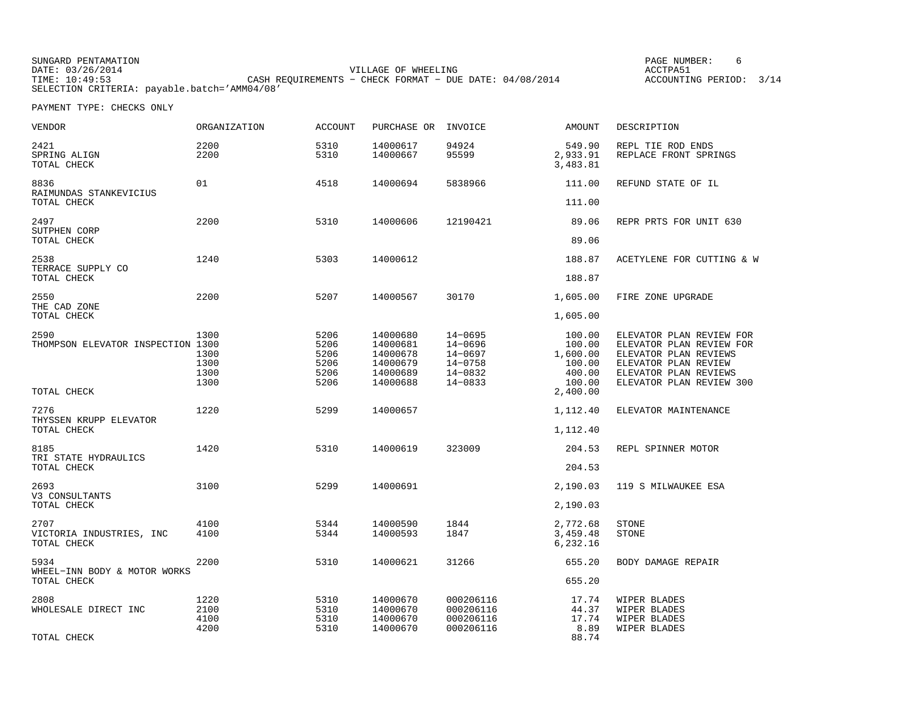| SUNGARD PENTAMATION                          |                                                           | PAGE NUMBER:            |  |
|----------------------------------------------|-----------------------------------------------------------|-------------------------|--|
| DATE: 03/26/2014                             | VILLAGE OF WHEELING                                       | ACCTPA51                |  |
| TIME: 10:49:53                               | CASH REOUIREMENTS - CHECK FORMAT - DUE DATE: $04/08/2014$ | ACCOUNTING PERIOD: 3/14 |  |
| SELECTION CRITERIA: payable.batch='AMM04/08' |                                                           |                         |  |

 $6\overline{6}$ 

| VENDOR                                          | ORGANIZATION                         | <b>ACCOUNT</b>                               | PURCHASE OR                                                          | INVOICE                                                                    | AMOUNT                                                     | DESCRIPTION                                                                                                                                                |
|-------------------------------------------------|--------------------------------------|----------------------------------------------|----------------------------------------------------------------------|----------------------------------------------------------------------------|------------------------------------------------------------|------------------------------------------------------------------------------------------------------------------------------------------------------------|
| 2421<br>SPRING ALIGN<br>TOTAL CHECK             | 2200<br>2200                         | 5310<br>5310                                 | 14000617<br>14000667                                                 | 94924<br>95599                                                             | 549.90<br>2,933.91<br>3,483.81                             | REPL TIE ROD ENDS<br>REPLACE FRONT SPRINGS                                                                                                                 |
| 8836<br>RAIMUNDAS STANKEVICIUS<br>TOTAL CHECK   | 01                                   | 4518                                         | 14000694                                                             | 5838966                                                                    | 111.00<br>111.00                                           | REFUND STATE OF IL                                                                                                                                         |
| 2497                                            | 2200                                 | 5310                                         | 14000606                                                             | 12190421                                                                   | 89.06                                                      | REPR PRTS FOR UNIT 630                                                                                                                                     |
| SUTPHEN CORP<br>TOTAL CHECK                     |                                      |                                              |                                                                      |                                                                            | 89.06                                                      |                                                                                                                                                            |
| 2538<br>TERRACE SUPPLY CO                       | 1240                                 | 5303                                         | 14000612                                                             |                                                                            | 188.87                                                     | ACETYLENE FOR CUTTING & W                                                                                                                                  |
| TOTAL CHECK                                     |                                      |                                              |                                                                      |                                                                            | 188.87                                                     |                                                                                                                                                            |
| 2550<br>THE CAD ZONE                            | 2200                                 | 5207                                         | 14000567                                                             | 30170                                                                      | 1,605.00                                                   | FIRE ZONE UPGRADE                                                                                                                                          |
| TOTAL CHECK                                     |                                      |                                              |                                                                      |                                                                            | 1,605.00                                                   |                                                                                                                                                            |
| 2590<br>THOMPSON ELEVATOR INSPECTION 1300       | 1300<br>1300<br>1300<br>1300<br>1300 | 5206<br>5206<br>5206<br>5206<br>5206<br>5206 | 14000680<br>14000681<br>14000678<br>14000679<br>14000689<br>14000688 | 14-0695<br>14-0696<br>$14 - 0697$<br>$14 - 0758$<br>14-0832<br>$14 - 0833$ | 100.00<br>100.00<br>1,600.00<br>100.00<br>400.00<br>100.00 | ELEVATOR PLAN REVIEW FOR<br>ELEVATOR PLAN REVIEW FOR<br>ELEVATOR PLAN REVIEWS<br>ELEVATOR PLAN REVIEW<br>ELEVATOR PLAN REVIEWS<br>ELEVATOR PLAN REVIEW 300 |
| TOTAL CHECK                                     |                                      |                                              |                                                                      |                                                                            | 2,400.00                                                   |                                                                                                                                                            |
| 7276<br>THYSSEN KRUPP ELEVATOR                  | 1220                                 | 5299                                         | 14000657                                                             |                                                                            | 1,112.40                                                   | ELEVATOR MAINTENANCE                                                                                                                                       |
| TOTAL CHECK                                     |                                      |                                              |                                                                      |                                                                            | 1,112.40                                                   |                                                                                                                                                            |
| 8185<br>TRI STATE HYDRAULICS                    | 1420                                 | 5310                                         | 14000619                                                             | 323009                                                                     | 204.53                                                     | REPL SPINNER MOTOR                                                                                                                                         |
| TOTAL CHECK                                     |                                      |                                              |                                                                      |                                                                            | 204.53                                                     |                                                                                                                                                            |
| 2693<br>V3 CONSULTANTS                          | 3100                                 | 5299                                         | 14000691                                                             |                                                                            | 2,190.03                                                   | 119 S MILWAUKEE ESA                                                                                                                                        |
| TOTAL CHECK                                     |                                      |                                              |                                                                      |                                                                            | 2,190.03                                                   |                                                                                                                                                            |
| 2707<br>VICTORIA INDUSTRIES, INC<br>TOTAL CHECK | 4100<br>4100                         | 5344<br>5344                                 | 14000590<br>14000593                                                 | 1844<br>1847                                                               | 2,772.68<br>3,459.48<br>6,232.16                           | <b>STONE</b><br><b>STONE</b>                                                                                                                               |
| 5934<br>WHEEL-INN BODY & MOTOR WORKS            | 2200                                 | 5310                                         | 14000621                                                             | 31266                                                                      | 655.20                                                     | BODY DAMAGE REPAIR                                                                                                                                         |
| TOTAL CHECK                                     |                                      |                                              |                                                                      |                                                                            | 655.20                                                     |                                                                                                                                                            |
| 2808<br>WHOLESALE DIRECT INC                    | 1220<br>2100<br>4100<br>4200         | 5310<br>5310<br>5310<br>5310                 | 14000670<br>14000670<br>14000670<br>14000670                         | 000206116<br>000206116<br>000206116<br>000206116                           | 17.74<br>44.37<br>17.74<br>8.89                            | WIPER BLADES<br>WIPER BLADES<br>WIPER BLADES<br>WIPER BLADES                                                                                               |
| TOTAL CHECK                                     |                                      |                                              |                                                                      |                                                                            | 88.74                                                      |                                                                                                                                                            |